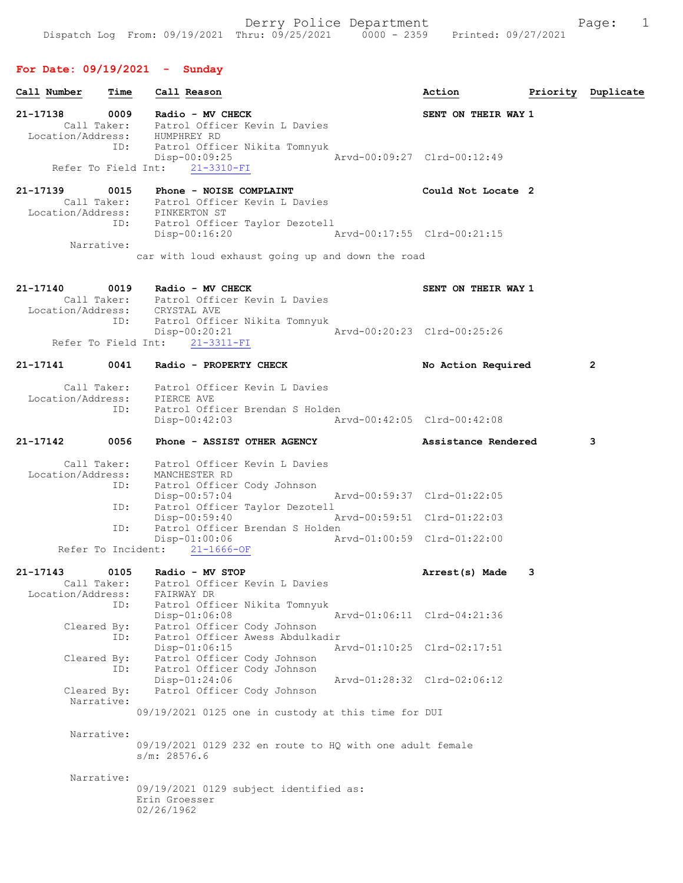## For Date: 09/19/2021 - Sunday

| Call Number                      | Time |                             | Call Reason                                      |                                                          | Action                      |   | Priority Duplicate |
|----------------------------------|------|-----------------------------|--------------------------------------------------|----------------------------------------------------------|-----------------------------|---|--------------------|
| 21-17138                         | 0009 |                             | Radio - MV CHECK                                 | Call Taker: Patrol Officer Kevin L Davies                | SENT ON THEIR WAY 1         |   |                    |
| Location/Address: HUMPHREY RD    | ID:  |                             |                                                  | Patrol Officer Nikita Tomnyuk                            |                             |   |                    |
| Refer To Field Int:              |      |                             | $Disp-00:09:25$<br>$21 - 3310 - FI$              |                                                          | Arvd-00:09:27 Clrd-00:12:49 |   |                    |
| 21-17139                         | 0015 |                             |                                                  | Phone - NOISE COMPLAINT                                  | Could Not Locate 2          |   |                    |
| Location/Address: PINKERTON ST   |      |                             |                                                  | Call Taker: Patrol Officer Kevin L Davies                |                             |   |                    |
|                                  | ID:  |                             |                                                  | Patrol Officer Taylor Dezotell                           |                             |   |                    |
| Narrative:                       |      |                             | Disp-00:16:20                                    |                                                          | Arvd-00:17:55 Clrd-00:21:15 |   |                    |
|                                  |      |                             |                                                  | car with loud exhaust going up and down the road         |                             |   |                    |
| 21-17140                         | 0019 |                             | Radio - MV CHECK                                 |                                                          | SENT ON THEIR WAY 1         |   |                    |
|                                  |      |                             |                                                  | Call Taker: Patrol Officer Kevin L Davies                |                             |   |                    |
| Location/Address: CRYSTAL AVE    | ID:  |                             |                                                  | Patrol Officer Nikita Tomnyuk                            |                             |   |                    |
| Refer To Field Int:              |      |                             | Disp-00:20:21<br>$21 - 3311 - FI$                |                                                          | Arvd-00:20:23 Clrd-00:25:26 |   |                    |
| 21-17141                         | 0041 |                             | Radio - PROPERTY CHECK                           |                                                          | No Action Required          |   | $\mathbf{2}$       |
|                                  |      |                             |                                                  | Call Taker: Patrol Officer Kevin L Davies                |                             |   |                    |
| Location/Address: PIERCE AVE     |      |                             |                                                  |                                                          |                             |   |                    |
|                                  | ID:  |                             | $Disp-00:42:03$                                  | Patrol Officer Brendan S Holden                          | Arvd-00:42:05 Clrd-00:42:08 |   |                    |
| 21-17142                         | 0056 |                             |                                                  | Phone - ASSIST OTHER AGENCY                              | Assistance Rendered         |   | 3                  |
|                                  |      |                             |                                                  | Call Taker: Patrol Officer Kevin L Davies                |                             |   |                    |
| Location/Address:                | ID:  |                             | MANCHESTER RD                                    | Patrol Officer Cody Johnson                              |                             |   |                    |
|                                  |      |                             | $Disp-00:57:04$                                  |                                                          | Arvd-00:59:37 Clrd-01:22:05 |   |                    |
|                                  | ID:  |                             | $Disp-00:59:40$                                  | Patrol Officer Taylor Dezotell                           | Arvd-00:59:51 Clrd-01:22:03 |   |                    |
|                                  | ID:  |                             |                                                  | Patrol Officer Brendan S Holden                          |                             |   |                    |
|                                  |      |                             | $Disp-01:00:06$<br>Refer To Incident: 21-1666-OF |                                                          | Arvd-01:00:59 Clrd-01:22:00 |   |                    |
| $21 - 17143$                     | 0105 |                             | Radio - MV STOP                                  |                                                          | Arrest(s) Made              | 3 |                    |
| Call Taker:<br>Location/Address: |      |                             | FAIRWAY DR                                       | Patrol Officer Kevin L Davies                            |                             |   |                    |
|                                  | ID:  |                             |                                                  | Patrol Officer Nikita Tomnyuk                            |                             |   |                    |
| Cleared By:                      |      |                             | Disp-01:06:08                                    | Patrol Officer Cody Johnson                              | Arvd-01:06:11 Clrd-04:21:36 |   |                    |
|                                  | ID:  |                             |                                                  | Patrol Officer Awess Abdulkadir                          |                             |   |                    |
| Cleared By:                      |      |                             | $Disp-01:06:15$                                  | Patrol Officer Cody Johnson                              | Arvd-01:10:25 Clrd-02:17:51 |   |                    |
|                                  | ID:  |                             |                                                  | Patrol Officer Cody Johnson                              |                             |   |                    |
| Cleared By:                      |      |                             | $Disp-01:24:06$                                  | Patrol Officer Cody Johnson                              | Arvd-01:28:32 Clrd-02:06:12 |   |                    |
| Narrative:                       |      |                             |                                                  |                                                          |                             |   |                    |
|                                  |      |                             |                                                  | 09/19/2021 0125 one in custody at this time for DUI      |                             |   |                    |
| Narrative:                       |      |                             |                                                  |                                                          |                             |   |                    |
|                                  |      | s/m: 28576.6                |                                                  | 09/19/2021 0129 232 en route to HQ with one adult female |                             |   |                    |
| Narrative:                       |      |                             |                                                  |                                                          |                             |   |                    |
|                                  |      | Erin Groesser<br>02/26/1962 |                                                  | 09/19/2021 0129 subject identified as:                   |                             |   |                    |
|                                  |      |                             |                                                  |                                                          |                             |   |                    |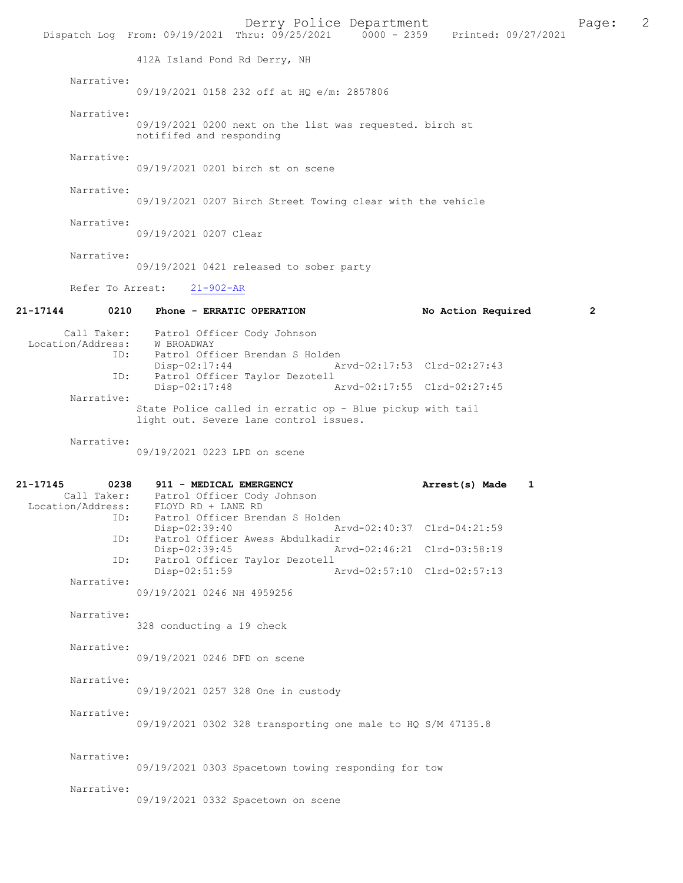|                                       |                                                                                                            | Derry Police Department<br>Dispatch Log From: 09/19/2021 Thru: 09/25/2021   0000 - 2359   Printed: 09/27/2021 | Page:        | 2 |
|---------------------------------------|------------------------------------------------------------------------------------------------------------|---------------------------------------------------------------------------------------------------------------|--------------|---|
|                                       | 412A Island Pond Rd Derry, NH                                                                              |                                                                                                               |              |   |
| Narrative:                            | 09/19/2021 0158 232 off at HO e/m: 2857806                                                                 |                                                                                                               |              |   |
| Narrative:                            | 09/19/2021 0200 next on the list was requested. birch st<br>notififed and responding                       |                                                                                                               |              |   |
| Narrative:                            | 09/19/2021 0201 birch st on scene                                                                          |                                                                                                               |              |   |
| Narrative:                            | 09/19/2021 0207 Birch Street Towing clear with the vehicle                                                 |                                                                                                               |              |   |
| Narrative:                            | 09/19/2021 0207 Clear                                                                                      |                                                                                                               |              |   |
| Narrative:                            | 09/19/2021 0421 released to sober party                                                                    |                                                                                                               |              |   |
|                                       | Refer To Arrest: 21-902-AR                                                                                 |                                                                                                               |              |   |
| 21-17144                              | 0210 Phone - ERRATIC OPERATION                                                                             | No Action Required                                                                                            | $\mathbf{2}$ |   |
| ID:                                   | Call Taker: Patrol Officer Cody Johnson<br>Location/Address: W BROADWAY<br>Patrol Officer Brendan S Holden |                                                                                                               |              |   |
| ID:                                   | Disp-02:17:44<br>Patrol Officer Taylor Dezotell                                                            | Arvd-02:17:53 Clrd-02:27:43                                                                                   |              |   |
| Narrative:                            | Disp-02:17:48                                                                                              | Arvd-02:17:55 Clrd-02:27:45                                                                                   |              |   |
|                                       | State Police called in erratic op - Blue pickup with tail<br>light out. Severe lane control issues.        |                                                                                                               |              |   |
| Narrative:                            | 09/19/2021 0223 LPD on scene                                                                               |                                                                                                               |              |   |
| 21-17145<br>0238<br>Location/Address: | 911 - MEDICAL EMERGENCY<br>Call Taker: Patrol Officer Cody Johnson<br>FLOYD RD + LANE RD                   | Arrest(s) Made<br>1                                                                                           |              |   |
|                                       | ID: Patrol Officer Brendan S Holden<br>$Disp-02:39:40$                                                     | Arvd-02:40:37 Clrd-04:21:59                                                                                   |              |   |
| ID:                                   | Patrol Officer Awess Abdulkadir<br>Disp-02:39:45                                                           | Arvd-02:46:21 Clrd-03:58:19                                                                                   |              |   |
| ID:                                   | Patrol Officer Taylor Dezotell<br>$Disp-02:51:59$                                                          | Arvd-02:57:10 Clrd-02:57:13                                                                                   |              |   |
| Narrative:                            | 09/19/2021 0246 NH 4959256                                                                                 |                                                                                                               |              |   |
| Narrative:                            | 328 conducting a 19 check                                                                                  |                                                                                                               |              |   |
| Narrative:                            | 09/19/2021 0246 DFD on scene                                                                               |                                                                                                               |              |   |
| Narrative:                            | 09/19/2021 0257 328 One in custody                                                                         |                                                                                                               |              |   |
| Narrative:                            | 09/19/2021 0302 328 transporting one male to HQ S/M 47135.8                                                |                                                                                                               |              |   |
| Narrative:                            | 09/19/2021 0303 Spacetown towing responding for tow                                                        |                                                                                                               |              |   |
| Narrative:                            | 09/19/2021 0332 Spacetown on scene                                                                         |                                                                                                               |              |   |
|                                       |                                                                                                            |                                                                                                               |              |   |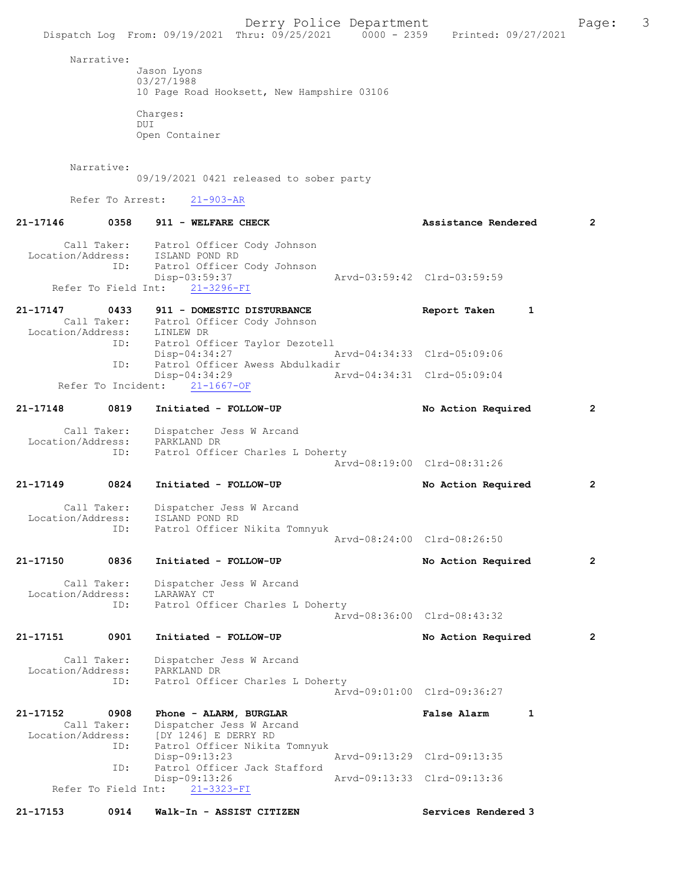Dispatch Log From: 09/19/2021 Thru: 09/25/2021 0000 - 2359 Printed: 09/27/2021 Narrative: Jason Lyons 03/27/1988 10 Page Road Hooksett, New Hampshire 03106 Charges: DUI Open Container Narrative: 09/19/2021 0421 released to sober party Refer To Arrest: 21-903-AR 21-17146 0358 911 - WELFARE CHECK 2 Assistance Rendered 2 Call Taker: Patrol Officer Cody Johnson<br>.on/Address: ISLAND POND RD Location/Address: ID: Patrol Officer Cody Johnson Disp-03:59:37 Arvd-03:59:42 Clrd-03:59:59 Refer To Field Int: 21-3296-FI 21-17147 0433 911 - DOMESTIC DISTURBANCE Report Taken 1 Call Taker: Patrol Officer Cody Johnson Location/Address: LINLEW DR ID: Patrol Officer Taylor Dezotell Disp-04:34:27 Arvd-04:34:33 Clrd-05:09:06 ID: Patrol Officer Awess Abdulkadir<br>Disp-04:34:29 A 04:34:29 Arvd-04:34:31 Clrd-05:09:04<br>21-1667-0F Refer To Incident: 21-17148 0819 Initiated - FOLLOW-UP No Action Required 2 Call Taker: Dispatcher Jess W Arcand Location/Address: PARKLAND DR ID: Patrol Officer Charles L Doherty Arvd-08:19:00 Clrd-08:31:26 21-17149 0824 Initiated - FOLLOW-UP No Action Required 2 Call Taker: Dispatcher Jess W Arcand<br>ion/Address: ISLAND POND RD Location/Address: ID: Patrol Officer Nikita Tomnyuk Arvd-08:24:00 Clrd-08:26:50 21-17150 0836 Initiated - FOLLOW-UP No Action Required 2 Call Taker: Dispatcher Jess W Arcand<br>ion/Address: LARAWAY CT Location/Address:<br>TD: Patrol Officer Charles L Doherty Arvd-08:36:00 Clrd-08:43:32 21-17151 0901 Initiated - FOLLOW-UP No Action Required 2 Call Taker: Dispatcher Jess W Arcand Location/Address: PARKLAND DR<br>TD: Patrol Offic Patrol Officer Charles L Doherty Arvd-09:01:00 Clrd-09:36:27 21-17152 0908 Phone - ALARM, BURGLAR False Alarm 1 Call Taker: Dispatcher Jess W Arcand<br>Location/Address: [DY 1246] E DERRY RD ess: [DY 1246] E DERRY RD<br>ID: Patrol Officer Nikita Patrol Officer Nikita Tomnyuk<br>Disp-09:13:23 Disp-09:13:23 Arvd-09:13:29 Clrd-09:13:35 ID: Patrol Officer Jack Stafford 09:13:26 Arvd-09:13:33 Clrd-09:13:36<br>21-3323-FI Refer To Field Int:

21-17153 0914 Walk-In - ASSIST CITIZEN Services Rendered 3

Derry Police Department Fage: 3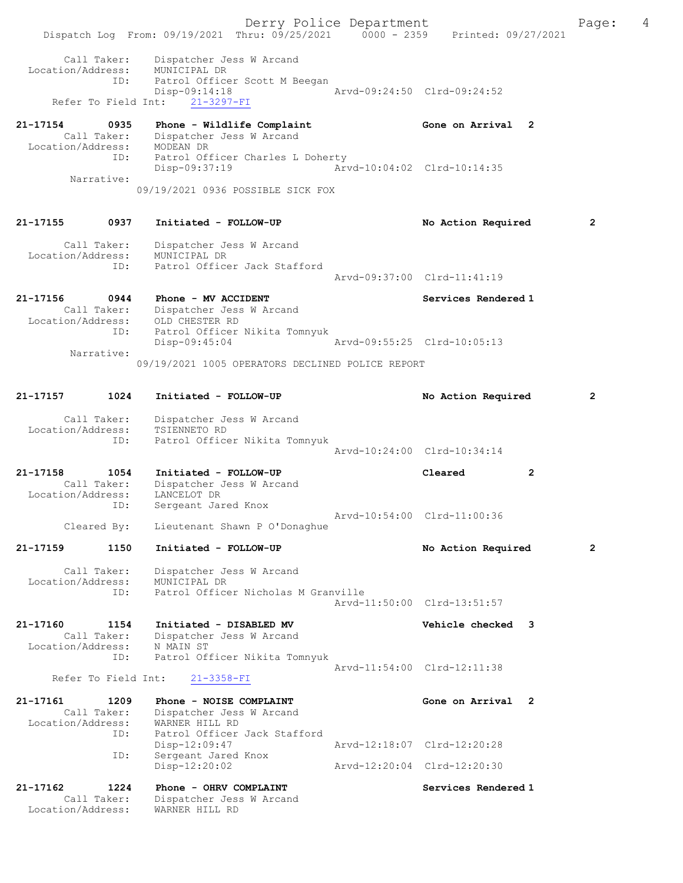Derry Police Department Fage: 4 Dispatch Log From: 09/19/2021 Thru: 09/25/2021 0000 - 2359 Printed: 09/27/2021 Call Taker: Dispatcher Jess W Arcand Location/Address: MUNICIPAL DR ID: Patrol Officer Scott M Beegan Disp-09:14:18 Arvd-09:24:50 Clrd-09:24:52 Refer To Field Int: 21-3297-FI 21-17154 0935 Phone - Wildlife Complaint Gone on Arrival 2 Call Taker: Dispatcher Jess W Arcand Location/Address: MODEAN DR ID: Patrol Officer Charles L Doherty Disp-09:37:19 Arvd-10:04:02 Clrd-10:14:35 Narrative: 09/19/2021 0936 POSSIBLE SICK FOX 21-17155 0937 Initiated - FOLLOW-UP No Action Required 2 Call Taker: Dispatcher Jess W Arcand Location/Address: MUNICIPAL DR ID: Patrol Officer Jack Stafford Arvd-09:37:00 Clrd-11:41:19 21-17156 0944 Phone - MV ACCIDENT Services Rendered 1 Call Taker: Dispatcher Jess W Arcand Location/Address: OLD CHESTER RD ID: Patrol Officer Nikita Tomnyuk Disp-09:45:04 Arvd-09:55:25 Clrd-10:05:13 Narrative: 09/19/2021 1005 OPERATORS DECLINED POLICE REPORT 21-17157 1024 Initiated - FOLLOW-UP No Action Required 2 Call Taker: Dispatcher Jess W Arcand Location/Address: TSIENNETO RD ID: Patrol Officer Nikita Tomnyuk Arvd-10:24:00 Clrd-10:34:14 21-17158 1054 Initiated - FOLLOW-UP Cleared 2 Call Taker: Dispatcher Jess W Arcand Location/Address: LANCELOT DR ID: Sergeant Jared Knox Arvd-10:54:00 Clrd-11:00:36 Cleared By: Lieutenant Shawn P O'Donaghue 21-17159 1150 Initiated - FOLLOW-UP No Action Required 2 Call Taker: Dispatcher Jess W Arcand Location/Address: MUNICIPAL DR ID: Patrol Officer Nicholas M Granville Arvd-11:50:00 Clrd-13:51:57 21-17160 1154 Initiated - DISABLED MV Vehicle checked 3 Call Taker: Dispatcher Jess W Arcand Location/Address: N MAIN ST ID: Patrol Officer Nikita Tomnyuk Arvd-11:54:00 Clrd-12:11:38 Refer To Field Int: 21-3358-FI 21-17161 1209 Phone - NOISE COMPLAINT Gone on Arrival 2 Call Taker: Dispatcher Jess W Arcand Location/Address: WARNER HILL RD ID: Patrol Officer Jack Stafford Disp-12:09:47 Arvd-12:18:07 Clrd-12:20:28 ID: Sergeant Jared Knox<br>Disp-12:20:02 Disp-12:20:02 Arvd-12:20:04 Clrd-12:20:30 21-17162 1224 Phone - OHRV COMPLAINT Services Rendered 1 Call Taker: Dispatcher Jess W Arcand Location/Address: WARNER HILL RD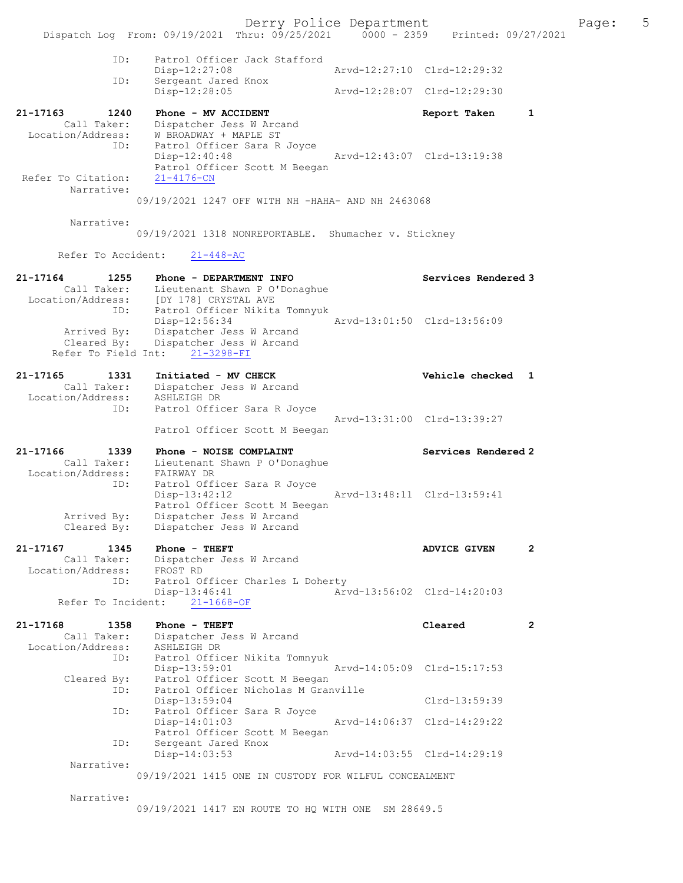Derry Police Department Fage: 5 Dispatch Log From: 09/19/2021 Thru: 09/25/2021 0000 - 2359 Printed: 09/27/2021 ID: Patrol Officer Jack Stafford Disp-12:27:08 Arvd-12:27:10 Clrd-12:29:32 ID: Sergeant Jared Knox Sergeant Jared Knox<br>Disp-12:28:05 Arvd-12:28:07 Clrd-12:29:30 21-17163 1240 Phone - MV ACCIDENT Report Taken 1 Call Taker: Dispatcher Jess W Arcand Location/Address: W BROADWAY + MAPLE ST ID: Patrol Officer Sara R Joyce Disp-12:40:48 Arvd-12:43:07 Clrd-13:19:38 Patrol Officer Scott M Beegan Refer To Citation: Narrative: 09/19/2021 1247 OFF WITH NH -HAHA- AND NH 2463068 Narrative: 09/19/2021 1318 NONREPORTABLE. Shumacher v. Stickney Refer To Accident: 21-448-AC 21-17164 1255 Phone - DEPARTMENT INFO Services Rendered 3 Call Taker: Lieutenant Shawn P O'Donaghue Location/Address: [DY 178] CRYSTAL AVE ID: Patrol Officer Nikita Tomnyuk Disp-12:56:34 Arvd-13:01:50 Clrd-13:56:09 Arrived By: Dispatcher Jess W Arcand Cleared By: Dispatcher Jess W Arcand Refer To Field Int: 21-3298-FI 21-17165 1331 Initiated - MV CHECK 1 21-17165 vehicle checked 1 Call Taker: Dispatcher Jess W Arcand Location/Address: ASHLEIGH DR ID: Patrol Officer Sara R Joyce Arvd-13:31:00 Clrd-13:39:27 Patrol Officer Scott M Beegan 21-17166 1339 Phone - NOISE COMPLAINT Services Rendered 2 Call Taker: Lieutenant Shawn P O'Donaghue Location/Address: FAIRWAY DR ID: Patrol Officer Sara R Joyce<br>Disp-13:42:12 Disp-13:42:12 Arvd-13:48:11 Clrd-13:59:41 Patrol Officer Scott M Beegan Arrived By: Dispatcher Jess W Arcand Cleared By: Dispatcher Jess W Arcand 21-17167 1345 Phone - THEFT **ADVICE GIVEN** 2 Call Taker: Dispatcher Jess W Arcand Location/Address: FROST RD ID: Patrol Officer Charles L Doherty Disp-13:46:41 Arvd-13:56:02 Clrd-14:20:03 Refer To Incident: 21-1668-OF 21-17168 1358 Phone - THEFT Cleared 2 Call Taker: Dispatcher Jess W Arcand Location/Address: ASHLEIGH DR ID: Patrol Officer Nikita Tomnyuk Disp-13:59:01 Arvd-14:05:09 Clrd-15:17:53 Cleared By: Patrol Officer Scott M Beegan ID: Patrol Officer Nicholas M Granville Disp-13:59:04 Clrd-13:59:39 ID: Patrol Officer Sara R Joyce<br>Disp-14:01:03 Disp-14:01:03 Arvd-14:06:37 Clrd-14:29:22 Patrol Officer Scott M Beegan ID: Sergeant Jared Knox Disp-14:03:53 Arvd-14:03:55 Clrd-14:29:19 Narrative: 09/19/2021 1415 ONE IN CUSTODY FOR WILFUL CONCEALMENT Narrative:

09/19/2021 1417 EN ROUTE TO HQ WITH ONE SM 28649.5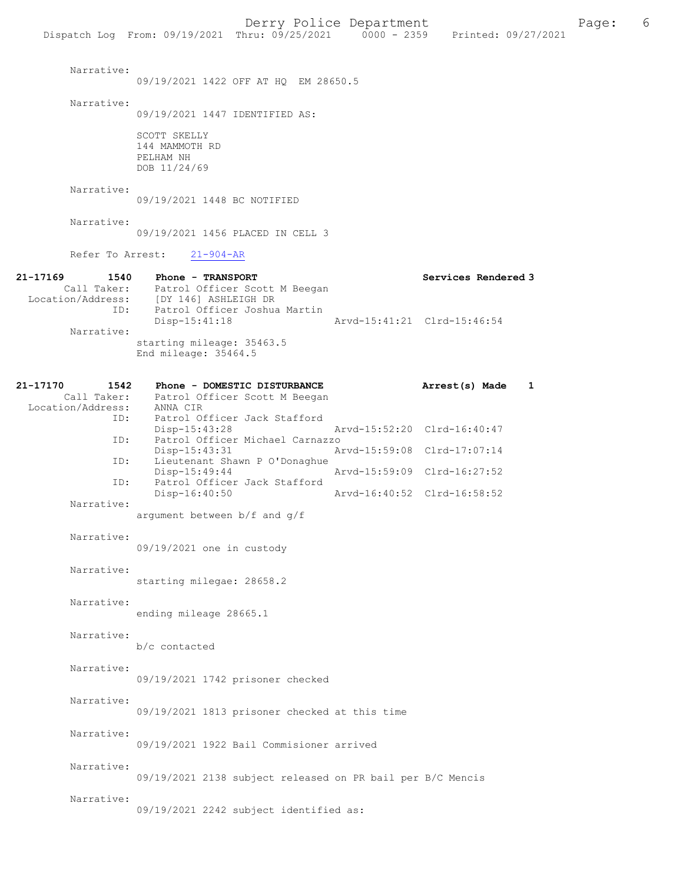Dispatch Log From: 09/19/2021 Thru: 09/25/2021

 Narrative: 09/19/2021 1422 OFF AT HQ EM 28650.5 Narrative: 09/19/2021 1447 IDENTIFIED AS: SCOTT SKELLY 144 MAMMOTH RD PELHAM NH DOB 11/24/69 Narrative: 09/19/2021 1448 BC NOTIFIED Narrative: 09/19/2021 1456 PLACED IN CELL 3 Refer To Arrest: 21-904-AR 21-17169 1540 Phone - TRANSPORT Call Taker: Patrol Officer Scott M Beegan Services Rendered 3 Patrol Officer Scott M Beegan Location/Address: [DY 146] ASHLEIGH DR .<br>Patrol Officer Joshua Martin<br>Disp-15:41:18 Arvd-15:41:21 Clrd-15:46:54 Narrative: starting mileage: 35463.5 End mileage: 35464.5 21-17170 1542 Phone - DOMESTIC DISTURBANCE Arrest(s) Made 1 Call Taker: Patrol Officer Scott M Beegan<br>.on/Address: ANNA CIR Location/Address:<br>ID: Patrol Officer Jack Stafford<br>Disp-15:43:28 Disp-15:43:28 Arvd-15:52:20 Clrd-16:40:47 ID: Patrol Officer Michael Carnazzo Disp-15:43:31 Arvd-15:59:08 Clrd-17:07:14 ID: Lieutenant Shawn P O'Donaghue Disp-15:49:44 Arvd-15:59:09 Clrd-16:27:52<br>ID: Patrol Officer Jack Stafford Patrol Officer Jack Stafford Disp-16:40:50 Arvd-16:40:52 Clrd-16:58:52 Narrative: argument between b/f and g/f Narrative: 09/19/2021 one in custody Narrative: starting milegae: 28658.2 Narrative: ending mileage 28665.1 Narrative: b/c contacted Narrative: 09/19/2021 1742 prisoner checked Narrative: 09/19/2021 1813 prisoner checked at this time Narrative: 09/19/2021 1922 Bail Commisioner arrived Narrative: 09/19/2021 2138 subject released on PR bail per B/C Mencis Narrative: 09/19/2021 2242 subject identified as: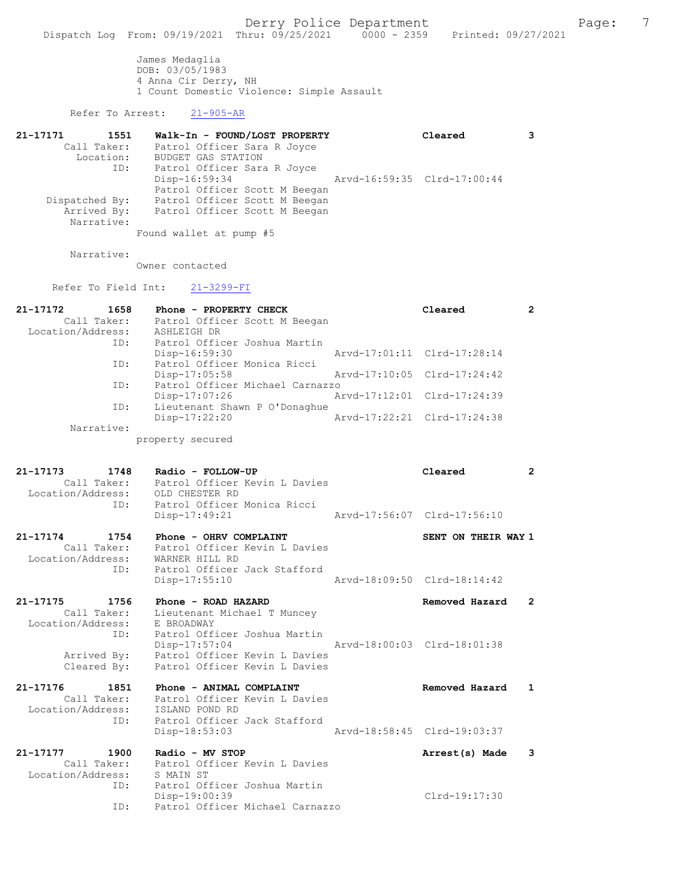James Medaglia DOB: 03/05/1983 4 Anna Cir Derry, NH 1 Count Domestic Violence: Simple Assault

### Refer To Arrest: 21-905-AR

| 21-17171<br>1551 | Walk-In - FOUND/LOST PROPERTY | Cleared                     |  |
|------------------|-------------------------------|-----------------------------|--|
| Call Taker:      | Patrol Officer Sara R Joyce   |                             |  |
| Location:        | BUDGET GAS STATION            |                             |  |
| ID:              | Patrol Officer Sara R Joyce   |                             |  |
|                  | Disp-16:59:34                 | Arvd-16:59:35 Clrd-17:00:44 |  |
|                  | Patrol Officer Scott M Beegan |                             |  |
| Dispatched By:   | Patrol Officer Scott M Beegan |                             |  |
| Arrived By:      | Patrol Officer Scott M Beegan |                             |  |
| Narrative:       |                               |                             |  |
|                  |                               |                             |  |

Found wallet at pump #5

Narrative:

Owner contacted

Refer To Field Int: 21-3299-FI

| 21-17172<br>1658  | Phone - PROPERTY CHECK          | Cleared                     | 2 |
|-------------------|---------------------------------|-----------------------------|---|
| Call Taker:       | Patrol Officer Scott M Beegan   |                             |   |
| Location/Address: | ASHLEIGH DR                     |                             |   |
| ID:               | Patrol Officer Joshua Martin    |                             |   |
|                   | $Disp-16:59:30$                 | Arvd-17:01:11 Clrd-17:28:14 |   |
| ID:               | Patrol Officer Monica Ricci     |                             |   |
|                   | $Disp-17:05:58$                 | Arvd-17:10:05 Clrd-17:24:42 |   |
| ID:               | Patrol Officer Michael Carnazzo |                             |   |
|                   | Disp-17:07:26                   | Arvd-17:12:01 Clrd-17:24:39 |   |
| ID:               | Lieutenant Shawn P O'Donaghue   |                             |   |
|                   | Disp-17:22:20                   | Arvd-17:22:21 Clrd-17:24:38 |   |
| Narrative:        |                                 |                             |   |
|                   | property secured                |                             |   |

| 21-17173          | 1748 | Radio - FOLLOW-UP             |                             | Cleared |  |
|-------------------|------|-------------------------------|-----------------------------|---------|--|
| Call Taker:       |      | Patrol Officer Kevin L Davies |                             |         |  |
| Location/Address: |      | OLD CHESTER RD                |                             |         |  |
|                   | TD:  | Patrol Officer Monica Ricci   |                             |         |  |
|                   |      | Disp-17:49:21                 | Aryd-17:56:07 Clrd-17:56:10 |         |  |
|                   |      |                               |                             |         |  |

| 21-17174          | 1754        | Phone - OHRV COMPLAINT        |                             | SENT ON THEIR WAY 1 |  |
|-------------------|-------------|-------------------------------|-----------------------------|---------------------|--|
|                   | Call Taker: | Patrol Officer Kevin L Davies |                             |                     |  |
| Location/Address: |             | WARNER HILL RD                |                             |                     |  |
|                   | TD:         | Patrol Officer Jack Stafford  |                             |                     |  |
|                   |             | Disp-17:55:10                 | Aryd-18:09:50 Clrd-18:14:42 |                     |  |
|                   |             |                               |                             |                     |  |

21-17175 1756 Phone - ROAD HAZARD Removed Hazard 2 Call Taker: Lieutenant Michael T Muncey Location/Address: E BROADWAY ID: Patrol Officer Joshua Martin Disp-17:57:04 Arvd-18:00:03 Clrd-18:01:38 Arrived By: Patrol Officer Kevin L Davies Cleared By: Patrol Officer Kevin L Davies

21-17176 1851 Phone - ANIMAL COMPLAINT Removed Hazard 1 Call Taker: Patrol Officer Kevin L Davies Location/Address: ISLAND POND RD ID: Patrol Officer Jack Stafford Disp-18:53:03 Arvd-18:58:45 Clrd-19:03:37 21-17177 1900 Radio - MV STOP 1900 1900 Redio - MV STOP 1900 1900 Arrest(s) Made Call Taker: Patrol Officer Kevin L Davies

 Location/Address: S MAIN ST ID: Patrol Officer Joshua Martin Disp-19:00:39 Clrd-19:17:30 ID: Patrol Officer Michael Carnazzo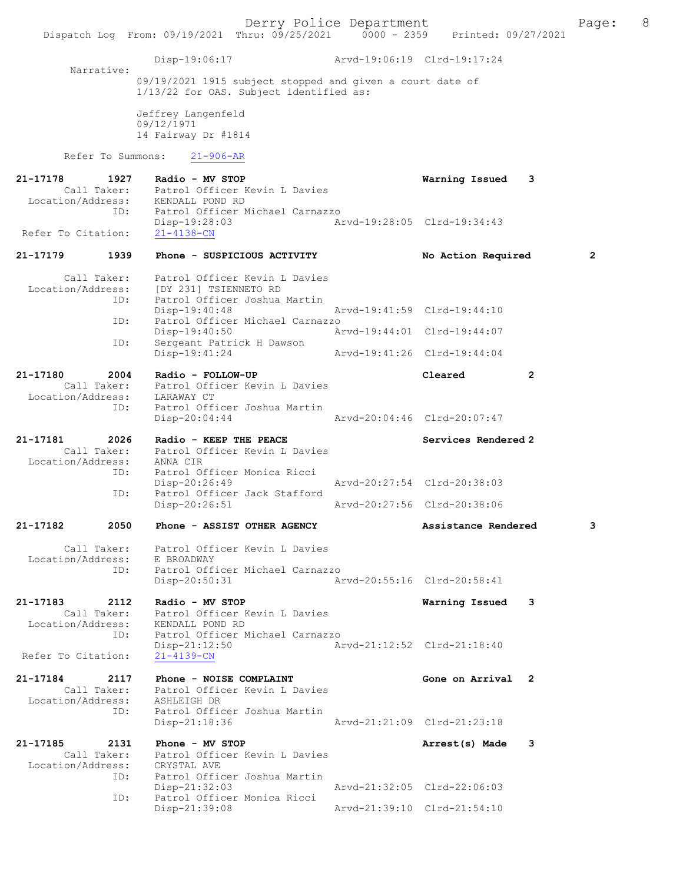Derry Police Department<br>
Page: 8 (19/25/2021 0000 - 2359 Printed: 09/27/2021 Dispatch Log From: 09/19/2021 Thru: 09/25/2021 0000 - 2359 Disp-19:06:17 Arvd-19:06:19 Clrd-19:17:24 Narrative: 09/19/2021 1915 subject stopped and given a court date of 1/13/22 for OAS. Subject identified as: Jeffrey Langenfeld 09/12/1971 14 Fairway Dr #1814 Refer To Summons: 21-906-AR 21-17178 1927 Radio - MV STOP Warning Issued 3 Call Taker: Patrol Officer Kevin L Davies Location/Address: KENDALL POND RD<br>ID: Patrol Officer M ID: Patrol Officer Michael Carnazzo Disp-19:28:03 Arvd-19:28:05 Clrd-19:34:43 Refer To Citation: 21-17179 1939 Phone - SUSPICIOUS ACTIVITY No Action Required 2 Call Taker: Patrol Officer Kevin L Davies Location/Address: [DY 231] TSIENNETO RD ID: Patrol Officer Joshua Martin Disp-19:40:48 Arvd-19:41:59 Clrd-19:44:10 ID: Patrol Officer Michael Carnazzo Disp-19:40:50 Arvd-19:44:01 Clrd-19:44:07 ID: Sergeant Patrick H Dawson Disp-19:41:24 Arvd-19:41:26 Clrd-19:44:04 21-17180 2004 Radio - FOLLOW-UP Cleared 2 Call Taker: Patrol Officer Kevin L Davies Location/Address: LARAWAY CT ID: Patrol Officer Joshua Martin Disp-20:04:44 Arvd-20:04:46 Clrd-20:07:47 21-17181 2026 Radio - KEEP THE PEACE Services Rendered 2 Call Taker: Patrol Officer Kevin L Davies Location/Address: ANNA CIR ID: Patrol Officer Monica Ricci Disp-20:26:49 Arvd-20:27:54 Clrd-20:38:03<br>ID: Patrol Officer Jack Stafford Patrol Officer Jack Stafford<br>Disp-20:26:51 Disp-20:26:51 Arvd-20:27:56 Clrd-20:38:06 21-17182 2050 Phone - ASSIST OTHER AGENCY Assistance Rendered 3 Call Taker: Patrol Officer Kevin L Davies<br>ion/Address: E BROADWAY Location/Address:<br>ID: Patrol Officer Michael Carnazzo Disp-20:50:31 Arvd-20:55:16 Clrd-20:58:41 21-17183 2112 Radio - MV STOP Warning Issued 3 Call Taker: Patrol Officer Kevin L Davies Location/Address: KENDALL POND RD ID: Patrol Officer Michael Carnazzo Disp-21:12:50 Arvd-21:12:52 Clrd-21:18:40 Refer To Citation: 21-17184 2117 Phone - NOISE COMPLAINT Gone on Arrival 2 Call Taker: Patrol Officer Kevin L Davies Location/Address: ASHLEIGH DR ID: Patrol Officer Joshua Martin Disp-21:18:36 Arvd-21:21:09 Clrd-21:23:18 21-17185 2131 Phone - MV STOP Arrest(s) Made 3 Call Taker: Patrol Officer Kevin L Davies<br>tion/Address: CRYSTAL AVE Location/Address:<br>ID: CRYSTAL Ave<br>Patrol Officer Joshua Martin<br>Disp-21:32:03 Disp-21:32:03 Arvd-21:32:05 Clrd-22:06:03 ID: Patrol Officer Monica Ricci Disp-21:39:08 Arvd-21:39:10 Clrd-21:54:10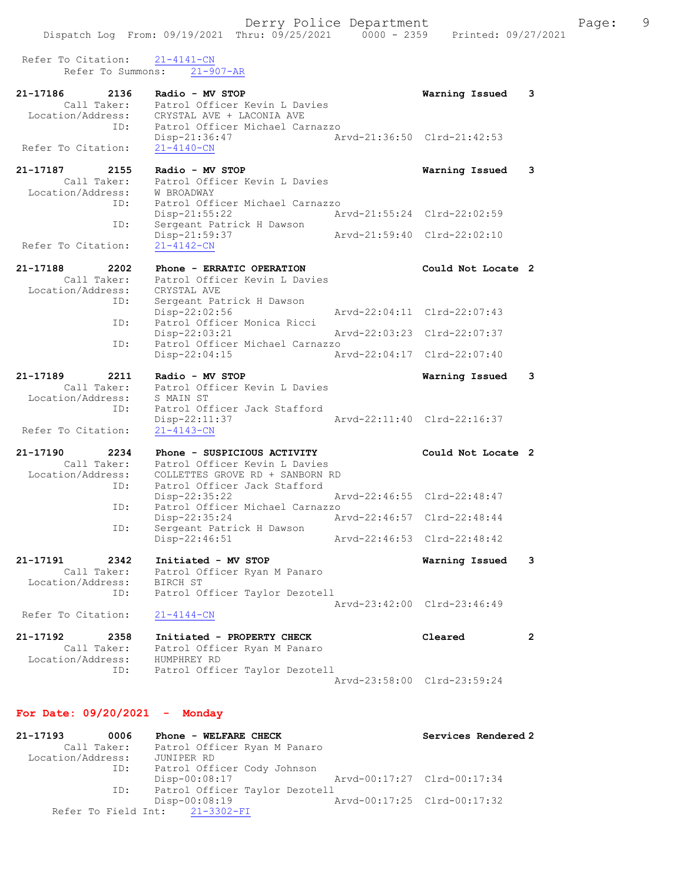| Refer To Citation:<br>Refer To Summons:              | $21 - 4141 - CN$                                                              |                             |                       |
|------------------------------------------------------|-------------------------------------------------------------------------------|-----------------------------|-----------------------|
|                                                      | $21 - 907 - AR$                                                               |                             |                       |
| 21-17186<br>2136<br>Call Taker:<br>Location/Address: | Radio - MV STOP<br>Patrol Officer Kevin L Davies<br>CRYSTAL AVE + LACONIA AVE | Warning Issued              | 3                     |
| ID:<br>Refer To Citation:                            | Patrol Officer Michael Carnazzo<br>$Disp-21:36:47$<br>$21 - 4140 - CN$        | Arvd-21:36:50 Clrd-21:42:53 |                       |
|                                                      |                                                                               |                             |                       |
| 21-17187<br>2155<br>Call Taker:<br>Location/Address: | Radio - MV STOP<br>Patrol Officer Kevin L Davies<br>W BROADWAY                | Warning Issued              | 3                     |
| ID:<br>ID:                                           | Patrol Officer Michael Carnazzo<br>Disp-21:55:22<br>Sergeant Patrick H Dawson | Arvd-21:55:24 Clrd-22:02:59 |                       |
| Refer To Citation:                                   | Disp-21:59:37<br>$21 - 4142 - CN$                                             | Arvd-21:59:40 Clrd-22:02:10 |                       |
|                                                      |                                                                               |                             |                       |
| 21-17188<br>2202<br>Call Taker:<br>Location/Address: | Phone - ERRATIC OPERATION<br>Patrol Officer Kevin L Davies<br>CRYSTAL AVE     | Could Not Locate 2          |                       |
| ID:                                                  | Sergeant Patrick H Dawson<br>Disp-22:02:56                                    | Arvd-22:04:11 Clrd-22:07:43 |                       |
| ID:                                                  | Patrol Officer Monica Ricci<br>Disp-22:03:21                                  | Arvd-22:03:23 Clrd-22:07:37 |                       |
| ID:                                                  | Patrol Officer Michael Carnazzo<br>Disp-22:04:15                              | Arvd-22:04:17 Clrd-22:07:40 |                       |
| 21-17189<br>2211                                     | Radio - MV STOP                                                               | Warning Issued              | 3                     |
| Call Taker:<br>Location/Address:                     | Patrol Officer Kevin L Davies<br>S MAIN ST                                    |                             |                       |
| ID:<br>Refer To Citation:                            | Patrol Officer Jack Stafford<br>Disp-22:11:37<br>$21 - 4143 - CN$             | Arvd-22:11:40 Clrd-22:16:37 |                       |
|                                                      |                                                                               |                             |                       |
| 21-17190<br>2234<br>Call Taker:                      | Phone - SUSPICIOUS ACTIVITY<br>Patrol Officer Kevin L Davies                  | Could Not Locate 2          |                       |
| Location/Address:                                    | COLLETTES GROVE RD + SANBORN RD                                               |                             |                       |
| ID:                                                  | Patrol Officer Jack Stafford<br>Disp-22:35:22                                 | Arvd-22:46:55 Clrd-22:48:47 |                       |
| ID:                                                  | Patrol Officer Michael Carnazzo<br>Disp-22:35:24                              | Arvd-22:46:57 Clrd-22:48:44 |                       |
| ID:                                                  | Sergeant Patrick H Dawson                                                     |                             |                       |
|                                                      | Disp-22:46:51                                                                 | Arvd-22:46:53 Clrd-22:48:42 |                       |
| 21-17191<br>2342<br>Call Taker:<br>Location/Address: | Initiated - MV STOP<br>Patrol Officer Ryan M Panaro<br>BIRCH ST               | Warning Issued              | 3                     |
| ID:                                                  | Patrol Officer Taylor Dezotell                                                |                             |                       |
| Refer To Citation:                                   | $21 - 4144 - CN$                                                              | Arvd-23:42:00 Clrd-23:46:49 |                       |
| 21-17192<br>2358                                     | Initiated - PROPERTY CHECK                                                    | Cleared                     | $\mathbf{2}^{\prime}$ |
| Call Taker:                                          | Patrol Officer Ryan M Panaro                                                  |                             |                       |
| Location/Address:<br>ID:                             | HUMPHREY RD<br>Patrol Officer Taylor Dezotell                                 |                             |                       |
|                                                      |                                                                               | Arvd-23:58:00 Clrd-23:59:24 |                       |
| For Date: $09/20/2021$ - Monday                      |                                                                               |                             |                       |
| 21-17193<br>0006<br>Call Taker:                      | Phone - WELFARE CHECK<br>Patrol Officer Ryan M Panaro                         | Services Rendered 2         |                       |
|                                                      | תת תקתדוווד                                                                   |                             |                       |

 Location/Address: JUNIPER RD ID: Patrol Officer Cody Johnson Disp-00:08:17 Arvd-00:17:27 Clrd-00:17:34 ID: Patrol Officer Taylor Dezotell Disp-00:08:19 Arvd-00:17:25 Clrd-00:17:32 Refer To Field Int: 21-3302-FI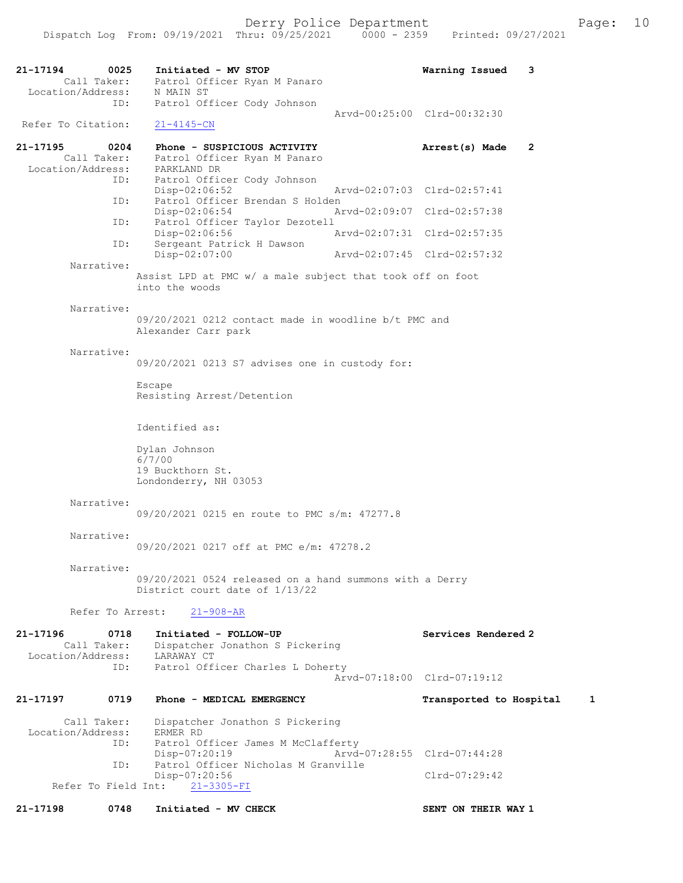21-17194 0025 Initiated - MV STOP **Warning Issued 3**<br>Call Taker: Patrol Officer Ryan M Panaro Call Taker: Patrol Officer Ryan M Panaro Location/Address: N MAIN ST ID: Patrol Officer Cody Johnson Arvd-00:25:00 Clrd-00:32:30<br>21-4145-CN Refer To Citation: 21-17195 0204 Phone - SUSPICIOUS ACTIVITY Arrest(s) Made 2 Call Taker: Patrol Officer Ryan M Panaro Call Taker: Patrol Offic<br>Location/Address: PARKLAND DR ID: Patrol Officer Cody Johnson Disp-02:06:52 Arvd-02:07:03 Clrd-02:57:41<br>ID: Patrol Officer Brendan S Holden Patrol Officer Brendan S Holden<br>Disp-02:06:54 A Disp-02:06:54 Arvd-02:09:07 Clrd-02:57:38 ID: Patrol Officer Taylor Dezotell<br>Disp-02:06:56 Disp-02:06:56 Arvd-02:07:31 Clrd-02:57:35<br>ID: Sergeant Patrick H Dawson Sergeant Patrick H Dawson<br>Disp-02:07:00 Disp-02:07:00 Arvd-02:07:45 Clrd-02:57:32 Narrative: Assist LPD at PMC w/ a male subject that took off on foot into the woods Narrative: 09/20/2021 0212 contact made in woodline b/t PMC and Alexander Carr park Narrative: 09/20/2021 0213 S7 advises one in custody for: Escape Resisting Arrest/Detention Identified as: Dylan Johnson 6/7/00 19 Buckthorn St. Londonderry, NH 03053 Narrative: 09/20/2021 0215 en route to PMC s/m: 47277.8 Narrative: 09/20/2021 0217 off at PMC e/m: 47278.2 Narrative: 09/20/2021 0524 released on a hand summons with a Derry District court date of 1/13/22 Refer To Arrest: 21-908-AR 21-17196 0718 Initiated - FOLLOW-UP Services Rendered 2 Call Taker: Dispatcher Jonathon S Pickering Location/Address: LARAWAY CT ID: Patrol Officer Charles L Doherty Arvd-07:18:00 Clrd-07:19:12 21-17197 0719 Phone - MEDICAL EMERGENCY Transported to Hospital 1 Call Taker: Dispatcher Jonathon S Pickering<br>ion/Address: ERMER RD Location/Address:<br>ID: Patrol Officer James M McClafferty<br>Disp-07:20:19 Arvd Disp-07:20:19 Arvd-07:28:55 Clrd-07:44:28<br>ID: Patrol Officer Nicholas M Granville Patrol Officer Nicholas M Granville Disp-07:20:56 Clrd-07:29:42<br>nt: 21-3305-FI Refer To Field Int: 21-17198 0748 Initiated - MV CHECK SENT ON THEIR WAY 1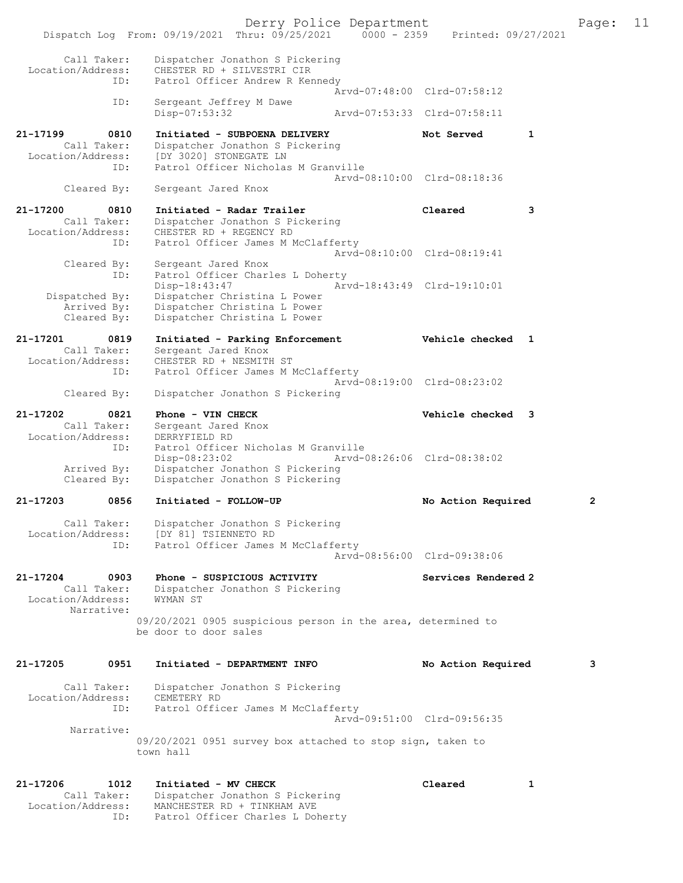Dispatch Log From: 09/19/2021 Thru: 09/25/2021 0000 - 2359 Printed: 09/27/2021 Call Taker: Dispatcher Jonathon S Pickering Location/Address: CHESTER RD + SILVESTRI CIR ID: Patrol Officer Andrew R Kennedy Arvd-07:48:00 Clrd-07:58:12<br>TD: Sergeant Jeffrey M Dawe Sergeant Jeffrey M Dawe<br>Disp-07:53:32 Disp-07:53:32 Arvd-07:53:33 Clrd-07:58:11 21-17199 0810 Initiated - SUBPOENA DELIVERY Not Served 1 Call Taker: Dispatcher Jonathon S Pickering Location/Address: [DY 3020] STONEGATE LN ID: Patrol Officer Nicholas M Granville Arvd-08:10:00 Clrd-08:18:36<br>Cleared By: Sergeant Jared Knox Sergeant Jared Knox 21-17200 0810 Initiated - Radar Trailer Cleared 3 Call Taker: Dispatcher Jonathon S Pickering Location/Address: CHESTER RD + REGENCY RD ID: Patrol Officer James M McClafferty Arvd-08:10:00 Clrd-08:19:41 Cleared By: Sergeant Jared Knox ID: Patrol Officer Charles L Doherty Disp-18:43:47 Arvd-18:43:49 Clrd-19:10:01<br>Dispatched By: Dispatcher Christina L Power Dispatcher Christina L Power Arrived By: Dispatcher Christina L Power Cleared By: Dispatcher Christina L Power 21-17201 0819 Initiated - Parking Enforcement Vehicle checked 1 Call Taker: Sergeant Jared Knox Location/Address: CHESTER RD + NESMITH ST ID: Patrol Officer James M McClafferty Arvd-08:19:00 Clrd-08:23:02 Cleared By: Dispatcher Jonathon S Pickering 21-17202 0821 Phone - VIN CHECK Vehicle checked 3 Call Taker: Sergeant Jared Knox Location/Address: DERRYFIELD RD Patrol Officer Nicholas M Granville Disp-08:23:02 Arvd-08:26:06 Clrd-08:38:02 Arrived By: Dispatcher Jonathon S Pickering Cleared By: Dispatcher Jonathon S Pickering 21-17203 0856 Initiated - FOLLOW-UP No Action Required 2 Call Taker: Dispatcher Jonathon S Pickering Location/Address: [DY 81] TSIENNETO RD ID: Patrol Officer James M McClafferty Arvd-08:56:00 Clrd-09:38:06 21-17204 0903 Phone - SUSPICIOUS ACTIVITY Services Rendered 2 Call Taker: Dispatcher Jonathon S Pickering<br>Location/Address: WYMAN ST 4<br>Call Taker: Dispacent<br>MYMAN ST Narrative: 09/20/2021 0905 suspicious person in the area, determined to be door to door sales 21-17205 0951 Initiated - DEPARTMENT INFO No Action Required 3 Call Taker: Dispatcher Jonathon S Pickering Location/Address: CEMETERY RD ID: Patrol Officer James M McClafferty Arvd-09:51:00 Clrd-09:56:35 Narrative: 09/20/2021 0951 survey box attached to stop sign, taken to town hall 21-17206 1012 Initiated - MV CHECK Cleared 1 Call Taker: Dispatcher Jonathon S Pickering Location/Address: MANCHESTER RD + TINKHAM AVE

ID: Patrol Officer Charles L Doherty

Derry Police Department The Page: 11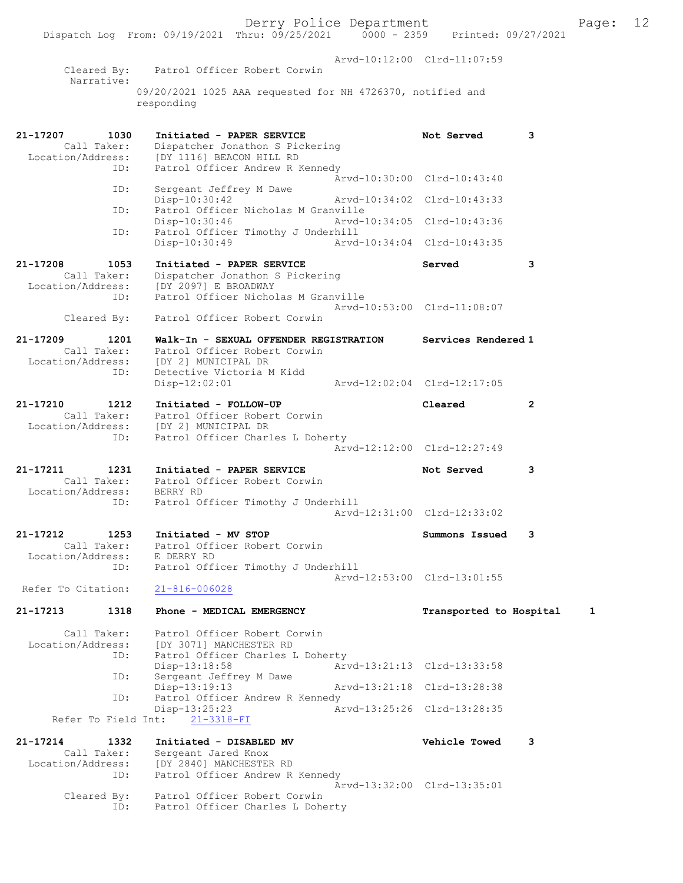|                                              |            | Dispatch Log From: 09/19/2021 Thru: 09/25/2021 0000 - 2359 Printed: 09/27/2021                                                                 | Derry Police Department     |                             |   | Page: | 12 |
|----------------------------------------------|------------|------------------------------------------------------------------------------------------------------------------------------------------------|-----------------------------|-----------------------------|---|-------|----|
|                                              |            | Cleared By: Patrol Officer Robert Corwin                                                                                                       |                             | Arvd-10:12:00 Clrd-11:07:59 |   |       |    |
| Narrative:                                   |            | 09/20/2021 1025 AAA requested for NH 4726370, notified and                                                                                     |                             |                             |   |       |    |
|                                              |            | responding                                                                                                                                     |                             |                             |   |       |    |
| 21-17207                                     | 1030       | Initiated - PAPER SERVICE<br>Call Taker: Dispatcher Jonathon S Pickering<br>Location/Address: [DY 1116] BEACON HILL RD                         |                             | Not Served                  | 3 |       |    |
|                                              | ID:        | Patrol Officer Andrew R Kennedy                                                                                                                |                             | Arvd-10:30:00 Clrd-10:43:40 |   |       |    |
|                                              | ID:<br>ID: | Sergeant Jeffrey M Dawe<br>Disp-10:30:42<br>Patrol Officer Nicholas M Granville                                                                |                             | Arvd-10:34:02 Clrd-10:43:33 |   |       |    |
|                                              | ID:        | Disp-10:30:46<br>Patrol Officer Timothy J Underhill                                                                                            |                             | Arvd-10:34:05 Clrd-10:43:36 |   |       |    |
|                                              |            | Disp-10:30:49                                                                                                                                  | Arvd-10:34:04 Clrd-10:43:35 |                             |   |       |    |
| 21-17208<br>1053<br>Call Taker:              |            | Initiated - PAPER SERVICE<br>Dispatcher Jonathon S Pickering<br>Location/Address: [DY 2097] E BROADWAY                                         |                             | Served                      | 3 |       |    |
|                                              | ID:        | Patrol Officer Nicholas M Granville                                                                                                            |                             | Arvd-10:53:00 Clrd-11:08:07 |   |       |    |
| Cleared By:                                  |            | Patrol Officer Robert Corwin                                                                                                                   |                             |                             |   |       |    |
| 21-17209                                     | 1201       | Walk-In - SEXUAL OFFENDER REGISTRATION<br>Call Taker: Patrol Officer Robert Corwin<br>Location/Address: [DY 2] MUNICIPAL DR                    |                             | Services Rendered 1         |   |       |    |
|                                              | ID:        | Detective Victoria M Kidd<br>$Disp-12:02:01$                                                                                                   | Arvd-12:02:04 Clrd-12:17:05 |                             |   |       |    |
| 21-17210                                     | 1212       | Initiated - FOLLOW-UP<br>Call Taker: Patrol Officer Robert Corwin<br>Location/Address: [DY 2] MUNICIPAL DR<br>Patrol Officer Charles L Doherty |                             | Cleared                     | 2 |       |    |
|                                              | ID:        |                                                                                                                                                |                             | Arvd-12:12:00 Clrd-12:27:49 |   |       |    |
| 21-17211<br>Location/Address: BERRY RD       | 1231       | Initiated - PAPER SERVICE<br>Call Taker: Patrol Officer Robert Corwin                                                                          |                             | Not Served                  | 3 |       |    |
|                                              | ID:        | Patrol Officer Timothy J Underhill                                                                                                             | Arvd-12:31:00 Clrd-12:33:02 |                             |   |       |    |
| 21-17212<br>Call Taker:<br>Location/Address: | 1253       | Initiated - MV STOP<br>Patrol Officer Robert Corwin<br>E DERRY RD                                                                              |                             | Summons Issued              | 3 |       |    |
| Refer To Citation:                           | ID:        | Patrol Officer Timothy J Underhill<br>$21 - 816 - 006028$                                                                                      |                             | Arvd-12:53:00 Clrd-13:01:55 |   |       |    |
| 21-17213                                     | 1318       | Phone - MEDICAL EMERGENCY                                                                                                                      |                             | Transported to Hospital     |   | 1     |    |
| Call Taker:                                  |            | Patrol Officer Robert Corwin                                                                                                                   |                             |                             |   |       |    |
| Location/Address:                            | ID:        | [DY 3071] MANCHESTER RD<br>Patrol Officer Charles L Doherty<br>Disp-13:18:58                                                                   |                             | Arvd-13:21:13 Clrd-13:33:58 |   |       |    |
|                                              | ID:        | Sergeant Jeffrey M Dawe<br>Disp-13:19:13                                                                                                       |                             | Arvd-13:21:18 Clrd-13:28:38 |   |       |    |
|                                              | ID:        | Patrol Officer Andrew R Kennedy<br>Disp-13:25:23                                                                                               |                             | Arvd-13:25:26 Clrd-13:28:35 |   |       |    |
| Refer To Field Int:                          |            | $21 - 3318 - FI$                                                                                                                               |                             |                             |   |       |    |
| 21-17214<br>Call Taker:<br>Location/Address: | 1332       | Initiated - DISABLED MV<br>Sergeant Jared Knox<br>[DY 2840] MANCHESTER RD                                                                      |                             | <b>Vehicle Towed</b>        | 3 |       |    |
|                                              | ID:        | Patrol Officer Andrew R Kennedy<br>Cleared By: Patrol Officer Robert Corwin                                                                    |                             | Arvd-13:32:00 Clrd-13:35:01 |   |       |    |

ID: Patrol Officer Charles L Doherty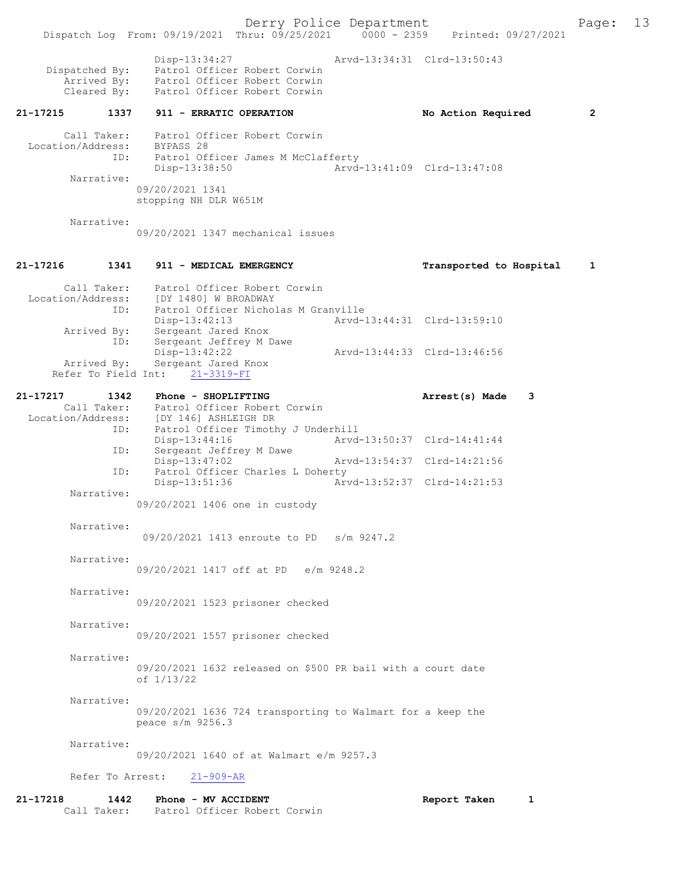Derry Police Department<br>Page: 13<br>Printed: 09/27/2021 0000 - 2359 Printed: 09/27/2021 Dispatch Log From: 09/19/2021 Thru: 09/25/2021 Disp-13:34:27 Arvd-13:34:31 Clrd-13:50:43 Dispatched By: Patrol Officer Robert Corwin<br>Arrived By: Patrol Officer Robert Corwin Patrol Officer Robert Corwin Cleared By: Patrol Officer Robert Corwin 21-17215 1337 911 - ERRATIC OPERATION No Action Required 2 Call Taker: Patrol Officer Robert Corwin Location/Address: BYPASS 28 ID: Patrol Officer James M McClafferty Patrol Officer James M McClafferty<br>Disp-13:38:50 Arvd-13:41:09 Clrd-13:47:08 Narrative: 09/20/2021 1341 stopping NH DLR W651M Narrative: 09/20/2021 1347 mechanical issues 21-17216 1341 911 - MEDICAL EMERGENCY Transported to Hospital 1 Call Taker: Patrol Officer Robert Corwin Location/Address: [DY 1480] W BROADWAY ID: Patrol Officer Nicholas M Granville<br>Disp-13:42:13 Arvd- Disp-13:42:13 Arvd-13:44:31 Clrd-13:59:10 Arrived By: Sergeant Jared Knox<br>ID: Sergeant Jeffrey M D. Sergeant Jeffrey M Dawe<br>Disp-13:42:22 Disp-13:42:22 <br>
Disp-13:42:22 Arvd-13:44:33 Clrd-13:46:56<br>
Arrived By: Sergeant Jared Knox Sergeant Jared Knox Refer To Field Int: 21-3319-FI 21-17217 1342 Phone - SHOPLIFTING **Arrest(s)** Made 3 Call Taker: Patrol Officer Robert Corwin<br>Location/Address: [DY 146] ASHLEIGH DR Location/Address: [DY 146] ASHLEIGH DR ID: Patrol Officer Timothy J Underhill Disp-13:44:16 Arvd-13:50:37 Clrd-14:41:44 ID: Sergeant Jeffrey M Dawe Disp-13:47:02 Arvd-13:54:37 Clrd-14:21:56<br>TD: Patrol Officer Charles L Doberty Patrol Officer Charles L Doherty<br>Disp-13:51:36 Art Disp-13:51:36 Arvd-13:52:37 Clrd-14:21:53 Narrative: 09/20/2021 1406 one in custody Narrative: 09/20/2021 1413 enroute to PD s/m 9247.2 Narrative: 09/20/2021 1417 off at PD e/m 9248.2 Narrative: 09/20/2021 1523 prisoner checked Narrative: 09/20/2021 1557 prisoner checked Narrative: 09/20/2021 1632 released on \$500 PR bail with a court date of 1/13/22 Narrative: 09/20/2021 1636 724 transporting to Walmart for a keep the peace s/m 9256.3 Narrative: 09/20/2021 1640 of at Walmart e/m 9257.3 Refer To Arrest: 21-909-AR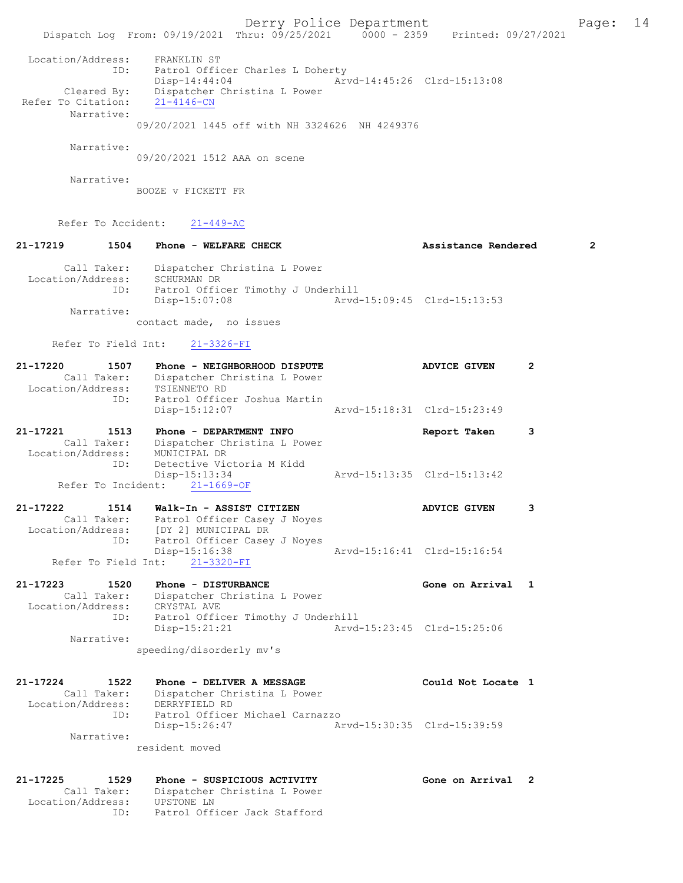Derry Police Department Fage: 14 Dispatch Log From: 09/19/2021 Thru: 09/25/2021 0000 - 2359 Printed: 09/27/2021 Location/Address: FRANKLIN ST ID: Patrol Officer Charles L Doherty Disp-14:44:04 Arvd-14:45:26 Clrd-15:13:08 Cleared By: Dispatcher Christina L Power Refer To Citation: 21-4146-CN Narrative: 09/20/2021 1445 off with NH 3324626 NH 4249376 Narrative: 09/20/2021 1512 AAA on scene Narrative: BOOZE v FICKETT FR Refer To Accident: 21-449-AC 21-17219 1504 Phone - WELFARE CHECK 2 Assistance Rendered 2 Call Taker: Dispatcher Christina L Power Location/Address: SCHURMAN DR ID: Patrol Officer Timothy J Underhill Disp-15:07:08 Arvd-15:09:45 Clrd-15:13:53 Narrative: contact made, no issues Refer To Field Int: 21-3326-FI 21-17220 1507 Phone - NEIGHBORHOOD DISPUTE ADVICE GIVEN 2 Call Taker: Dispatcher Christina L Power Location/Address: TSIENNETO RD ID: Patrol Officer Joshua Martin Disp-15:12:07 Arvd-15:18:31 Clrd-15:23:49 21-17221 1513 Phone - DEPARTMENT INFO Report Taken 3 Call Taker: Dispatcher Christina L Power Location/Address: MUNICIPAL DR ID: Detective Victoria M Kidd Disp-15:13:34 Arvd-15:13:35 Clrd-15:13:42 Refer To Incident: 21-1669-OF 21-17222 1514 Walk-In - ASSIST CITIZEN ADVICE GIVEN 3 Call Taker: Patrol Officer Casey J Noyes Location/Address: [DY 2] MUNICIPAL DR ID: Patrol Officer Casey J Noyes Disp-15:16:38 Arvd-15:16:41 Clrd-15:16:54 Disp-15:16:38<br>
Refer To Field Int:  $\frac{21-3320-FI}{21-3320-FI}$ 21-17223 1520 Phone - DISTURBANCE Gone on Arrival 1 Call Taker: Dispatcher Christina L Power Location/Address: CRYSTAL AVE ID: Patrol Officer Timothy J Underhill Disp-15:21:21 Arvd-15:23:45 Clrd-15:25:06 Narrative: speeding/disorderly mv's 21-17224 1522 Phone - DELIVER A MESSAGE NERRI Could Not Locate 1 Call Taker: Dispatcher Christina L Power Location/Address: DERRYFIELD RD ID: Patrol Officer Michael Carnazzo Disp-15:26:47 Arvd-15:30:35 Clrd-15:39:59 Narrative: resident moved 21-17225 1529 Phone - SUSPICIOUS ACTIVITY Gone on Arrival 2 Call Taker: Dispatcher Christina L Power Location/Address: UPSTONE LN ID: Patrol Officer Jack Stafford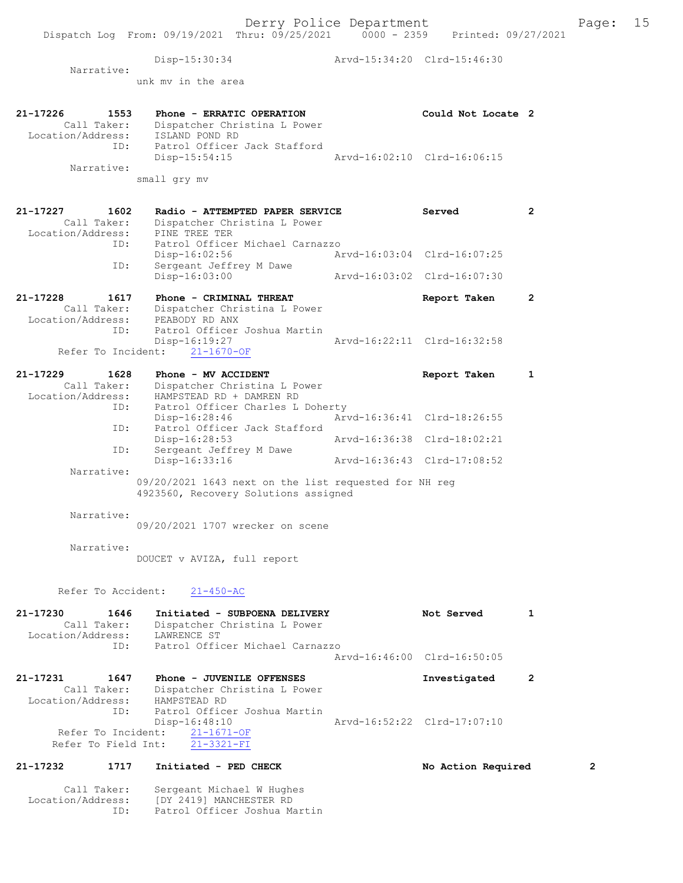Disp-15:30:34 Arvd-15:34:20 Clrd-15:46:30 Narrative: unk mv in the area 21-17226 1553 Phone - ERRATIC OPERATION Could Not Locate 2 Call Taker: Dispatcher Christina L Power Location/Address: ISLAND POND RD ID: Patrol Officer Jack Stafford Disp-15:54:15 Arvd-16:02:10 Clrd-16:06:15 Narrative: small gry mv 21-17227 1602 Radio - ATTEMPTED PAPER SERVICE Served 2 Call Taker: Dispatcher Christina L Power Location/Address: PINE TREE TER ID: Patrol Officer Michael Carnazzo Disp-16:02:56 Arvd-16:03:04 Clrd-16:07:25 ID: Sergeant Jeffrey M Dawe Disp-16:03:00 Arvd-16:03:02 Clrd-16:07:30 21-17228 1617 Phone - CRIMINAL THREAT Report Taken 2 Call Taker: Dispatcher Christina L Power Location/Address: PEABODY RD ANX ID: Patrol Officer Joshua Martin Disp-16:19:27 Arvd-16:22:11 Clrd-16:32:58 Refer To Incident: 21-1670-OF 21-17229 1628 Phone - MV ACCIDENT Report Taken 1 Call Taker: Dispatcher Christina L Power Location/Address: HAMPSTEAD RD + DAMREN RD ID: Patrol Officer Charles L Doherty Disp-16:28:46 Arvd-16:36:41 Clrd-18:26:55 ID: Patrol Officer Jack Stafford Disp-16:28:53 Arvd-16:36:38 Clrd-18:02:21 ID: Sergeant Jeffrey M Dawe Disp-16:33:16 Arvd-16:36:43 Clrd-17:08:52 Narrative: 09/20/2021 1643 next on the list requested for NH reg 4923560, Recovery Solutions assigned Narrative: 09/20/2021 1707 wrecker on scene Narrative: DOUCET v AVIZA, full report Refer To Accident: 21-450-AC 21-17230 1646 Initiated - SUBPOENA DELIVERY Not Served 1 Call Taker: Dispatcher Christina L Power Location/Address: LAWRENCE ST ID: Patrol Officer Michael Carnazzo Arvd-16:46:00 Clrd-16:50:05 21-17231 1647 Phone - JUVENILE OFFENSES INVESTIGATE Research of the control of the control of the 2 Call Taker: Dispatcher Christina L Power Location/Address: HAMPSTEAD RD ID: Patrol Officer Joshua Martin Disp-16:48:10 Arvd-16:52:22 Clrd-17:07:10 Refer To Incident: 21-1671-OF Refer To Field Int: 21-3321-FI 21-17232 1717 Initiated - PED CHECK No Action Required 2

 Call Taker: Sergeant Michael W Hughes Location/Address: [DY 2419] MANCHESTER RD ID: Patrol Officer Joshua Martin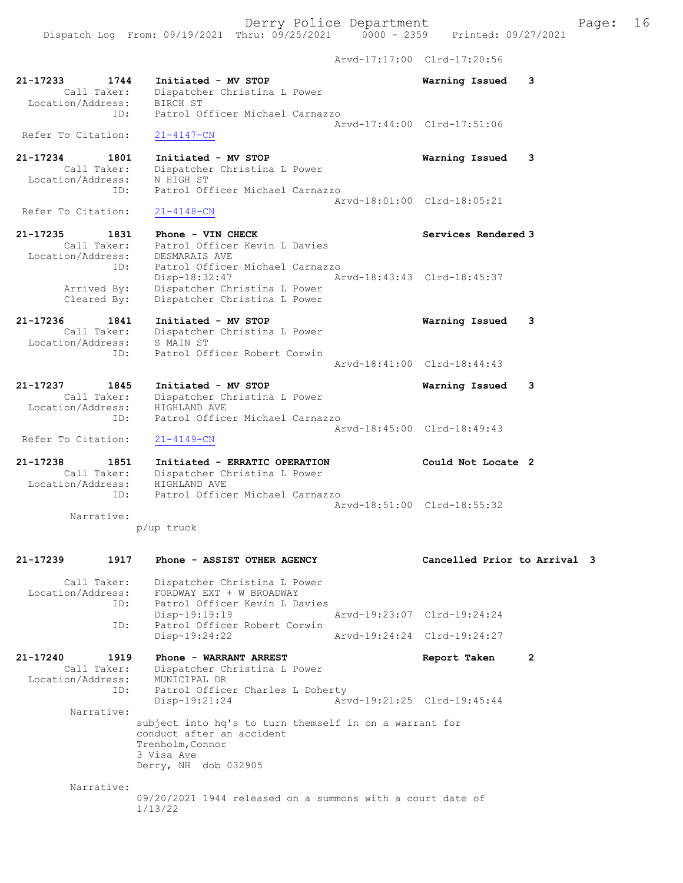Derry Police Department Fage: 16 Dispatch Log From: 09/19/2021 Thru: 09/25/2021 0000 - 2359 Printed: 09/27/2021 Arvd-17:17:00 Clrd-17:20:56 21-17233 1744 Initiated - MV STOP Warning Issued 3 Call Taker: Dispatcher Christina L Power Location/Address: BIRCH ST ID: Patrol Officer Michael Carnazzo Arvd-17:44:00 Clrd-17:51:06 Refer To Citation: 21-4147-CN 21-17234 1801 Initiated - MV STOP Warning Issued 3 Call Taker: Dispatcher Christina L Power Location/Address: N HIGH ST ID: Patrol Officer Michael Carnazzo Arvd-18:01:00 Clrd-18:05:21 Refer To Citation: 21-17235 1831 Phone - VIN CHECK Services Rendered 3 Call Taker: Patrol Officer Kevin L Davies Location/Address: DESMARAIS AVE ID: Patrol Officer Michael Carnazzo<br>Disp-18:32:47 Arvd-18:43:43 Clrd-18:45:37 Disp-18:32:47 Arvd-18:43:43 Clrd-18:45:37 Arrived By: Dispatcher Christina L Power Cleared By: Dispatcher Christina L Power 21-17236 1841 Initiated - MV STOP Warning Issued 3

 Call Taker: Dispatcher Christina L Power Location/Address: S MAIN ST ID: Patrol Officer Robert Corwin

21-17237 1845 Initiated - MV STOP Warning Issued 3 Call Taker: Dispatcher Christina L Power Location/Address: HIGHLAND AVE ID: Patrol Officer Michael Carnazzo Arvd-18:45:00 Clrd-18:49:43 Refer To Citation: 21-4149-CN 21-17238 1851 Initiated - ERRATIC OPERATION Could Not Locate 2

Arvd-18:41:00 Clrd-18:44:43

 Call Taker: Dispatcher Christina L Power Location/Address: HIGHLAND AVE ID: Patrol Officer Michael Carnazzo Arvd-18:51:00 Clrd-18:55:32 Narrative:

p/up truck

21-17239 1917 Phone - ASSIST OTHER AGENCY Cancelled Prior to Arrival 3 Call Taker: Dispatcher Christina L Power Location/Address: FORDWAY EXT + W BROADWAY ID: Patrol Officer Kevin L Davies Disp-19:19:19 Arvd-19:23:07 Clrd-19:24:24<br>ID: Patrol Officer Robert Corwin ID: Patrol Officer Robert Corwin Disp-19:24:22 21-17240 1919 Phone - WARRANT ARREST Report Taken 2 Call Taker: Dispatcher Christina L Power Location/Address: MUNICIPAL DR ID: Patrol Officer Charles L Doherty<br>Disp-19:21:24 Arv Disp-19:21:24 Arvd-19:21:25 Clrd-19:45:44 Narrative: subject into hq's to turn themself in on a warrant for conduct after an accident Trenholm,Connor 3 Visa Ave Derry, NH dob 032905

Narrative:

09/20/2021 1944 released on a summons with a court date of 1/13/22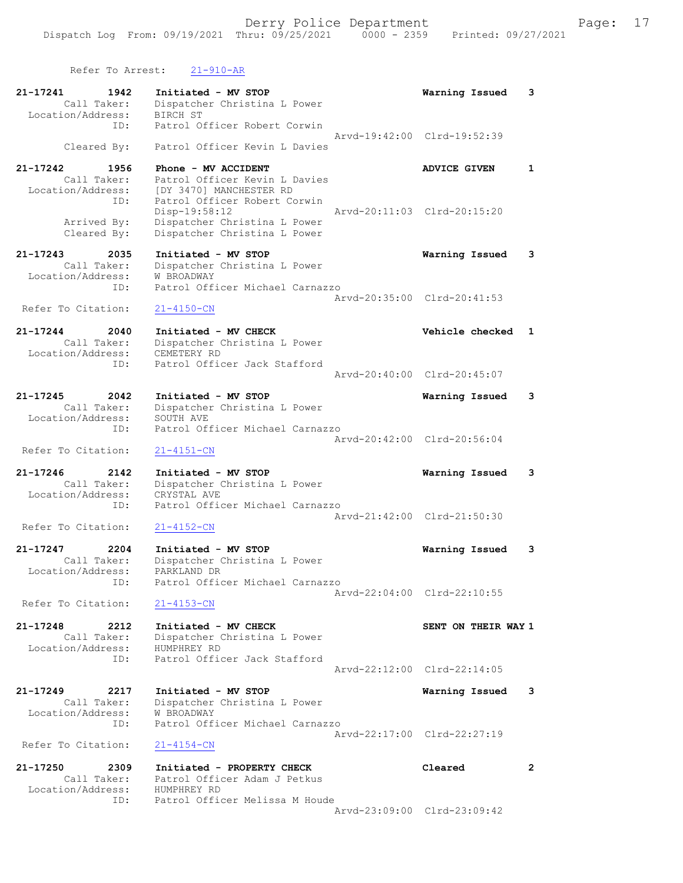| Refer To Arrest:                                     | $21 - 910 - AR$                                                                 |                             |                |
|------------------------------------------------------|---------------------------------------------------------------------------------|-----------------------------|----------------|
| 21-17241<br>1942<br>Call Taker:<br>Location/Address: | Initiated - MV STOP<br>Dispatcher Christina L Power<br><b>BIRCH ST</b>          | Warning Issued              | 3              |
| ID:                                                  | Patrol Officer Robert Corwin                                                    | Arvd-19:42:00 Clrd-19:52:39 |                |
| Cleared By:                                          | Patrol Officer Kevin L Davies                                                   |                             |                |
| 21-17242<br>1956<br>Call Taker:<br>Location/Address: | Phone - MV ACCIDENT<br>Patrol Officer Kevin L Davies<br>[DY 3470] MANCHESTER RD | <b>ADVICE GIVEN</b>         | $\mathbf{1}$   |
| ID:<br>Arrived By:                                   | Patrol Officer Robert Corwin<br>Disp-19:58:12<br>Dispatcher Christina L Power   | Arvd-20:11:03 Clrd-20:15:20 |                |
| Cleared By:                                          | Dispatcher Christina L Power                                                    |                             |                |
| 21-17243<br>2035<br>Call Taker:<br>Location/Address: | Initiated - MV STOP<br>Dispatcher Christina L Power<br>W BROADWAY               | Warning Issued              | 3              |
| ID:                                                  | Patrol Officer Michael Carnazzo                                                 | Arvd-20:35:00 Clrd-20:41:53 |                |
| Refer To Citation:                                   | $21 - 4150 - CN$                                                                |                             |                |
| 21-17244<br>2040<br>Call Taker:<br>Location/Address: | Initiated - MV CHECK<br>Dispatcher Christina L Power<br>CEMETERY RD             | Vehicle checked             | $\mathbf{1}$   |
| ID:                                                  | Patrol Officer Jack Stafford                                                    |                             |                |
|                                                      |                                                                                 | Aryd-20:40:00 Clrd-20:45:07 |                |
| 21-17245<br>2042<br>Call Taker:                      | Initiated - MV STOP<br>Dispatcher Christina L Power                             | Warning Issued              | 3              |
| Location/Address:<br>ID:                             | SOUTH AVE<br>Patrol Officer Michael Carnazzo                                    |                             |                |
|                                                      |                                                                                 | Arvd-20:42:00 Clrd-20:56:04 |                |
| Refer To Citation:                                   | $21 - 4151 - CN$                                                                |                             |                |
| 21-17246<br>2142<br>Call Taker:<br>Location/Address: | Initiated - MV STOP<br>Dispatcher Christina L Power<br>CRYSTAL AVE              | Warning Issued              | 3              |
| ID:                                                  | Patrol Officer Michael Carnazzo                                                 |                             |                |
| Refer To Citation:                                   | $21 - 4152 - CN$                                                                | Arvd-21:42:00 Clrd-21:50:30 |                |
| 21-17247<br>2204<br>Call Taker:                      | Initiated - MV STOP<br>Dispatcher Christina L Power                             | Warning Issued              | 3              |
| Location/Address:<br>ID:                             | PARKLAND DR<br>Patrol Officer Michael Carnazzo                                  |                             |                |
| Refer To Citation:                                   | $21 - 4153 - CN$                                                                | Arvd-22:04:00 Clrd-22:10:55 |                |
|                                                      |                                                                                 |                             |                |
| 21-17248<br>2212<br>Call Taker:<br>Location/Address: | Initiated - MV CHECK<br>Dispatcher Christina L Power<br>HUMPHREY RD             | SENT ON THEIR WAY 1         |                |
| ID:                                                  | Patrol Officer Jack Stafford                                                    | Aryd-22:12:00 Clrd-22:14:05 |                |
| 21-17249<br>2217<br>Call Taker:                      | Initiated - MV STOP<br>Dispatcher Christina L Power                             | Warning Issued              | 3              |
| Location/Address:<br>ID:                             | <b>W BROADWAY</b><br>Patrol Officer Michael Carnazzo                            |                             |                |
| Refer To Citation:                                   | $21 - 4154 - CN$                                                                | Arvd-22:17:00 Clrd-22:27:19 |                |
| 21-17250<br>2309<br>Call Taker:                      | Initiated - PROPERTY CHECK<br>Patrol Officer Adam J Petkus                      | Cleared                     | $\overline{2}$ |
| Location/Address:<br>ID:                             | HUMPHREY RD<br>Patrol Officer Melissa M Houde                                   |                             |                |

Arvd-23:09:00 Clrd-23:09:42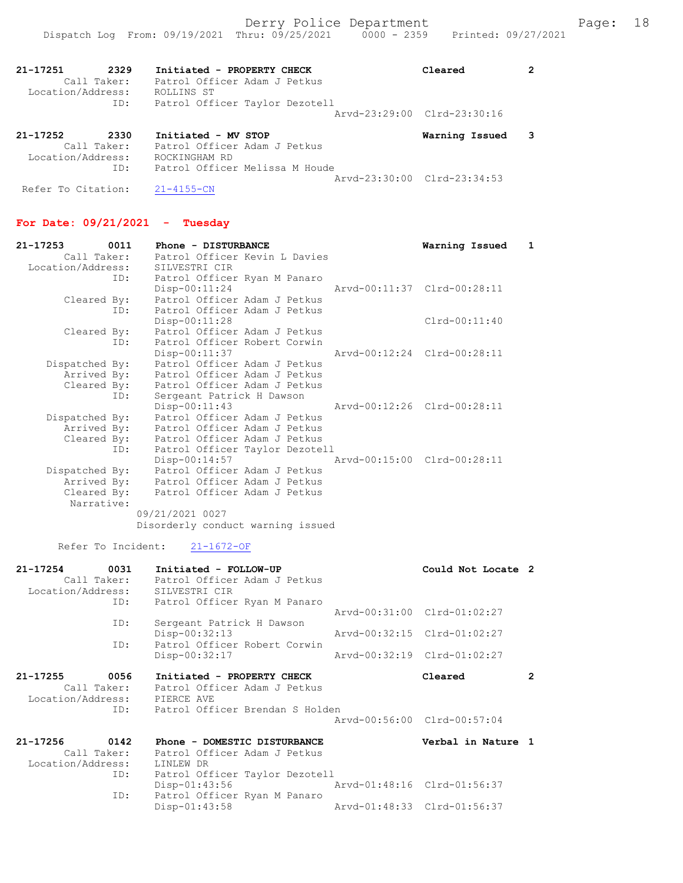Arvd-23:30:00 Clrd-23:34:53

| 21-17251<br>2329<br>Call Taker:<br>Location/Address:<br>ID: | Initiated - PROPERTY CHECK<br>Patrol Officer Adam J Petkus<br>ROLLINS ST<br>Patrol Officer Taylor Dezotell | Cleared                     |  |
|-------------------------------------------------------------|------------------------------------------------------------------------------------------------------------|-----------------------------|--|
|                                                             |                                                                                                            | Arvd-23:29:00 Clrd-23:30:16 |  |
| 21-17252<br>2330<br>Call Taker:<br>Location/Address:        | Initiated - MV STOP<br>Patrol Officer Adam J Petkus<br>ROCKINGHAM RD                                       | Warning Issued              |  |
| ID:                                                         | Patrol Officer Melissa M Houde                                                                             |                             |  |

For Date: 09/21/2021 - Tuesday

Refer To Citation: 21-4155-CN

| 21-17253 0011     | Phone - DISTURBANCE                            | Warning Issued 1            |
|-------------------|------------------------------------------------|-----------------------------|
| Call Taker:       | Patrol Officer Kevin L Davies                  |                             |
| Location/Address: | SILVESTRI CIR                                  |                             |
|                   | ID: Patrol Officer Ryan M Panaro               |                             |
|                   | $Disp-00:11:24$                                | Arvd-00:11:37 Clrd-00:28:11 |
| Cleared By:       | Patrol Officer Adam J Petkus                   |                             |
|                   | Patrol Officer Adam J Petkus<br>ID:            |                             |
|                   | $Disp-00:11:28$                                | Clrd-00:11:40               |
| Cleared By:       | Patrol Officer Adam J Petkus                   |                             |
|                   | Patrol Officer Robert Corwin<br>ID:            |                             |
|                   | $Disp-00:11:37$                                | Arvd-00:12:24 Clrd-00:28:11 |
| Dispatched By:    | Patrol Officer Adam J Petkus                   |                             |
| Arrived By:       | Patrol Officer Adam J Petkus                   |                             |
|                   | Cleared By: Patrol Officer Adam J Petkus       |                             |
|                   | Sergeant Patrick H Dawson<br>ID:               |                             |
|                   | Arvd-00:12:26 Clrd-00:28:11<br>Disp-00:11:43   |                             |
| Dispatched By:    | Patrol Officer Adam J Petkus                   |                             |
| Arrived By:       | Patrol Officer Adam J Petkus                   |                             |
|                   | Cleared By: Patrol Officer Adam J Petkus       |                             |
|                   | Patrol Officer Taylor Dezotell<br>ID:          |                             |
|                   | Arvd-00:15:00 Clrd-00:28:11<br>$Disp-00:14:57$ |                             |
| Dispatched By:    | Patrol Officer Adam J Petkus                   |                             |
| Arrived By:       | Patrol Officer Adam J Petkus                   |                             |
| Cleared By:       | Patrol Officer Adam J Petkus                   |                             |
| Narrative:        |                                                |                             |
|                   | 09/21/2021 0027                                |                             |
|                   | Disorderly conduct warning issued              |                             |

Refer To Incident: 21-1672-OF

| 21-17254          | 0031        | Initiated - FOLLOW-UP           | Could Not Locate 2          |                |
|-------------------|-------------|---------------------------------|-----------------------------|----------------|
|                   | Call Taker: | Patrol Officer Adam J Petkus    |                             |                |
| Location/Address: |             | SILVESTRI CIR                   |                             |                |
|                   | ID:         | Patrol Officer Ryan M Panaro    |                             |                |
|                   |             |                                 | Arvd-00:31:00 Clrd-01:02:27 |                |
|                   | ID:         | Sergeant Patrick H Dawson       |                             |                |
|                   |             | $Disp-00:32:13$                 | Arvd-00:32:15 Clrd-01:02:27 |                |
|                   | ID:         | Patrol Officer Robert Corwin    |                             |                |
|                   |             | Disp-00:32:17                   | Arvd-00:32:19 Clrd-01:02:27 |                |
| 21-17255          | 0056        | Initiated - PROPERTY CHECK      | Cleared                     | $\overline{2}$ |
|                   | Call Taker: | Patrol Officer Adam J Petkus    |                             |                |
|                   |             | Location/Address: PIERCE AVE    |                             |                |
|                   | ID:         | Patrol Officer Brendan S Holden |                             |                |
|                   |             |                                 | Arvd-00:56:00 Clrd-00:57:04 |                |
| 21-17256          | 0142        | Phone - DOMESTIC DISTURBANCE    | Verbal in Nature 1          |                |
|                   | Call Taker: | Patrol Officer Adam J Petkus    |                             |                |
| Location/Address: |             | LINLEW DR                       |                             |                |
|                   | ID:         | Patrol Officer Taylor Dezotell  |                             |                |
|                   |             | $Disp-01:43:56$                 | Arvd-01:48:16 Clrd-01:56:37 |                |
|                   | ID:         | Patrol Officer Ryan M Panaro    |                             |                |
|                   |             | $Disp-01:43:58$                 | Arvd-01:48:33 Clrd-01:56:37 |                |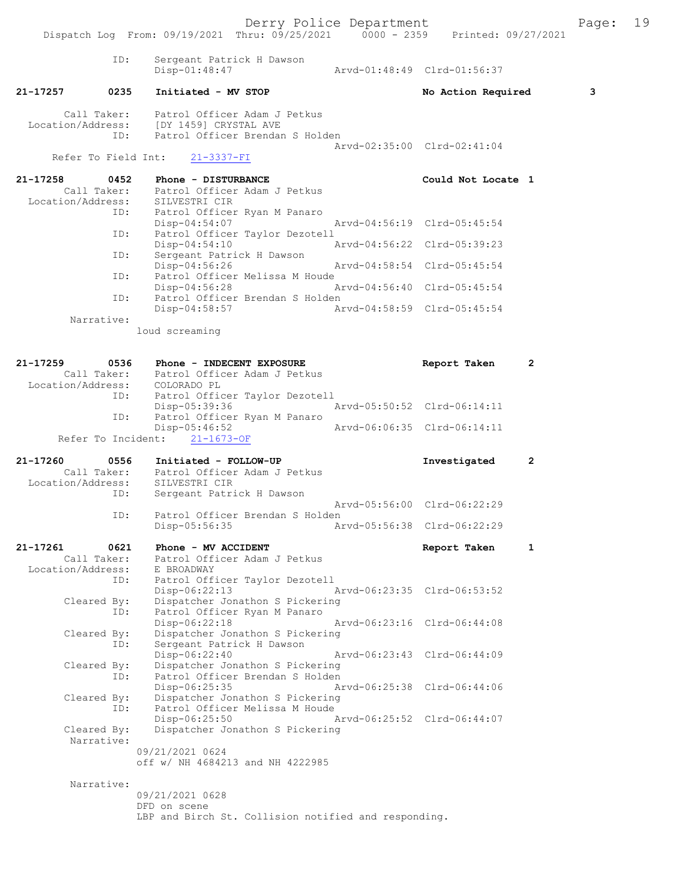Derry Police Department<br>
Page: 19 (19/25/2021 0000 - 2359 Printed: 09/27/2021 Dispatch Log From: 09/19/2021 Thru: 09/25/2021 0000 - 2359 ID: Sergeant Patrick H Dawson Disp-01:48:47 Arvd-01:48:49 Clrd-01:56:37 21-17257 0235 Initiated - MV STOP No Action Required 3 Call Taker: Patrol Officer Adam J Petkus<br>Location/Address: [DY 1459] CRYSTAL AVE ess: [DY 1459] CRYSTAL AVE<br>ID: Patrol Officer Brendar Patrol Officer Brendan S Holden Arvd-02:35:00 Clrd-02:41:04 Refer To Field Int: 21-3337-FI 21-17258 0452 Phone - DISTURBANCE Could Not Locate 1<br>Call Taker: Patrol Officer Adam J Petkus Patrol Officer Adam J Petkus<br>SILVESTRI CIR Location/Address: ID: Patrol Officer Ryan M Panaro Disp-04:54:07 Arvd-04:56:19 Clrd-05:45:54<br>TD: Patrol Officer Taylor Dezotell Patrol Officer Taylor Dezotell<br>Disp-04:54:10 Disp-04:54:10 Arvd-04:56:22 Clrd-05:39:23<br>TD: Sergeant Patrick H Dawson Sergeant Patrick H Dawson Disp-04:56:26 Arvd-04:58:54 Clrd-05:45:54<br>ID: Patrol Officer Melissa M Houde Patrol Officer Melissa M Houde<br>Disp-04:56:28 Disp-04:56:28 Arvd-04:56:40 Clrd-05:45:54<br>ID: Patrol Officer Brendan S Holden Patrol Officer Brendan S Holden<br>Disp-04:58:57 Ar Arvd-04:58:59 Clrd-05:45:54 Narrative: loud screaming 21-17259 0536 Phone - INDECENT EXPOSURE Report Taken 2<br>Call Taker: Patrol Officer Adam J Petkus Patrol Officer Adam J Petkus<br>COLORADO PL Location/Address: ID: Patrol Officer Taylor Dezotell Disp-05:39:36 Arvd-05:50:52 Clrd-06:14:11<br>TD: Patrol Officer Ryan M Panaro Patrol Officer Ryan M Panaro<br>Disp-05:46:52 Disp-05:46:52 Arvd-06:06:35 Clrd-06:14:11 Refer To Incident: 21-1673-OF 21-17260 0556 Initiated - FOLLOW-UP 117260 111260 2<br>Call Taker: Patrol Officer Adam J Petkus Patrol Officer Adam J Petkus<br>SILVESTRI CIR Location/Address: ID: Sergeant Patrick H Dawson Arvd-05:56:00 Clrd-06:22:29<br>TD: Patrol Officer Brendan S Holden Patrol Officer Brendan S Holden<br>Disp-05:56:35 Ar Disp-05:56:35 Arvd-05:56:38 Clrd-06:22:29 21-17261 0621 Phone - MV ACCIDENT Call Taken 1 Call Taker: Patrol Officer Adam J Petkus Patrol Officer Adam J Petkus<br>E BROADWAY Location/Address: ID: Patrol Officer Taylor Dezotell Disp-06:22:13 Arvd-06:23:35 Clrd-06:53:52<br>Cleared By: Dispatcher Jonathon S Pickering By: Dispatcher Jonathon S Pickering<br>ID: Patrol Officer Ryan M Panaro Patrol Officer Ryan M Panaro Disp-06:22:18 Arvd-06:23:16 Cleared By: Dispatcher Jonathon S Pickering By: Dispatcher Jonathon S Pickering<br>ID: Sergeant Patrick H Dawson Sergeant Patrick H Dawson<br>Disp-06:22:40 Disp-06:22:40 Arvd-06:23:43 Clrd-06:44:09<br>Cleared By: Dispatcher Jonathon S Pickering Dispatcher Jonathon S Pickering ID: Patrol Officer Brendan S Holden<br>Disp-06:25:35 A Disp-06:25:35 Arvd-06:25:38 Clrd-06:44:06<br>Cleared By: Dispatcher Jonathon S Pickering Dispatcher Jonathon S Pickering ID: Patrol Officer Melissa M Houde<br>Disp-06:25:50 1 Disp-06:25:50 Arvd-06:25:52 Clrd-06:44:07<br>Cleared By: Dispatcher Jonathon S Pickering Dispatcher Jonathon S Pickering Narrative: 09/21/2021 0624 off w/ NH 4684213 and NH 4222985 Narrative: 09/21/2021 0628 DFD on scene

LBP and Birch St. Collision notified and responding.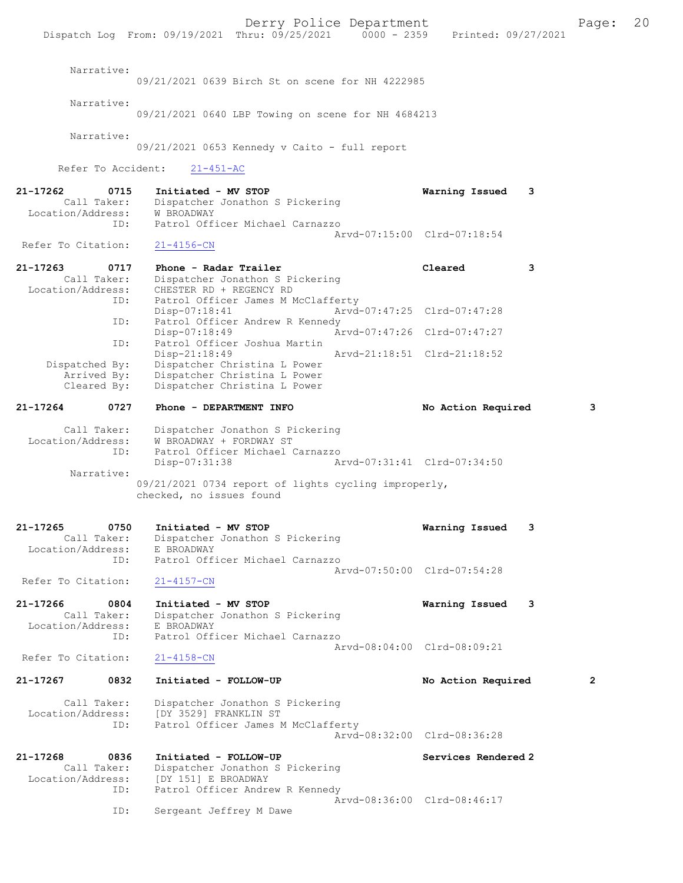Derry Police Department The Page: 20 Dispatch Log From: 09/19/2021 Thru: 09/25/2021 0000 - 2359 Printed: 09/27/2021 Narrative: 09/21/2021 0639 Birch St on scene for NH 4222985 Narrative: 09/21/2021 0640 LBP Towing on scene for NH 4684213 Narrative: 09/21/2021 0653 Kennedy v Caito - full report Refer To Accident: 21-451-AC 21-17262 0715 Initiated - MV STOP Warning Issued 3 Call Taker: Dispatcher Jonathon S Pickering<br>ion/Address: W BROADWAY Location/Address:<br>ID: Patrol Officer Michael Carnazzo Arvd-07:15:00 Clrd-07:18:54<br>21-4156-CN Refer To Citation: 21-17263 0717 Phone - Radar Trailer Cleared 3 Call Taker: Dispatcher Jonathon S Pickering<br>Location/Address: CHESTER RD + REGENCY RD Location/Address: CHESTER RD + REGENCY RD ID: Patrol Officer James M McClafferty Disp-07:18:41 Arvd-07:47:25 Clrd-07:47:28 ID: Patrol Officer Andrew R Kennedy<br>Disp-07:18:49 Ar Disp-07:18:49 Arvd-07:47:26 Clrd-07:47:27 ID: Patrol Officer Joshua Martin Disp-21:18:49<br>Dispatched By: Dispatcher Christina L Power<br>Dispatched By: Dispatcher Christina L Power patched By: Dispatcher Christina L Power<br>Arrived Bv: Dispatcher Christina L Power Arrived By: Dispatcher Christina L Power<br>Cleared By: Dispatcher Christina L Power Dispatcher Christina L Power 21-17264 0727 Phone - DEPARTMENT INFO No Action Required 3 Call Taker: Dispatcher Jonathon S Pickering Location/Address: W BROADWAY + FORDWAY ST ID: Patrol Officer Michael Carnazzo Disp-07:31:38 Arvd-07:31:41 Clrd-07:34:50 Narrative: 09/21/2021 0734 report of lights cycling improperly, checked, no issues found 21-17265 0750 Initiated - MV STOP Warning Issued 3 Call Taker: Dispatcher Jonathon S Pickering<br>ion/Address: E BROADWAY Location/Address:<br>TD: Patrol Officer Michael Carnazzo Arvd-07:50:00 Clrd-07:54:28 Refer To Citation: 21-4157-CN 21-17266 0804 Initiated - MV STOP Warning Issued 3 Call Taker: Dispatcher Jonathon S Pickering<br>ion/Address: E BROADWAY Location/Address:<br>ID: Patrol Officer Michael Carnazzo Arvd-08:04:00 Clrd-08:09:21 Refer To Citation: 21-4158-CN 21-17267 0832 Initiated - FOLLOW-UP No Action Required 2 Call Taker: Dispatcher Jonathon S Pickering<br>Location/Address: [DY 3529] FRANKLIN ST ess: [DY 3529] FRANKLIN ST<br>ID: Patrol Officer James N Patrol Officer James M McClafferty Arvd-08:32:00 Clrd-08:36:28 21-17268 0836 Initiated - FOLLOW-UP Services Rendered 2 Call Taker: Dispatcher Jonathon S Pickering<br>Location/Address: [DY 151] E BROADWAY ess: [DY 151] E BROADWAY<br>ID: Patrol Officer Andre Patrol Officer Andrew R Kennedy Arvd-08:36:00 Clrd-08:46:17<br>TD: Sergeant Jeffrey M Dawe

Sergeant Jeffrey M Dawe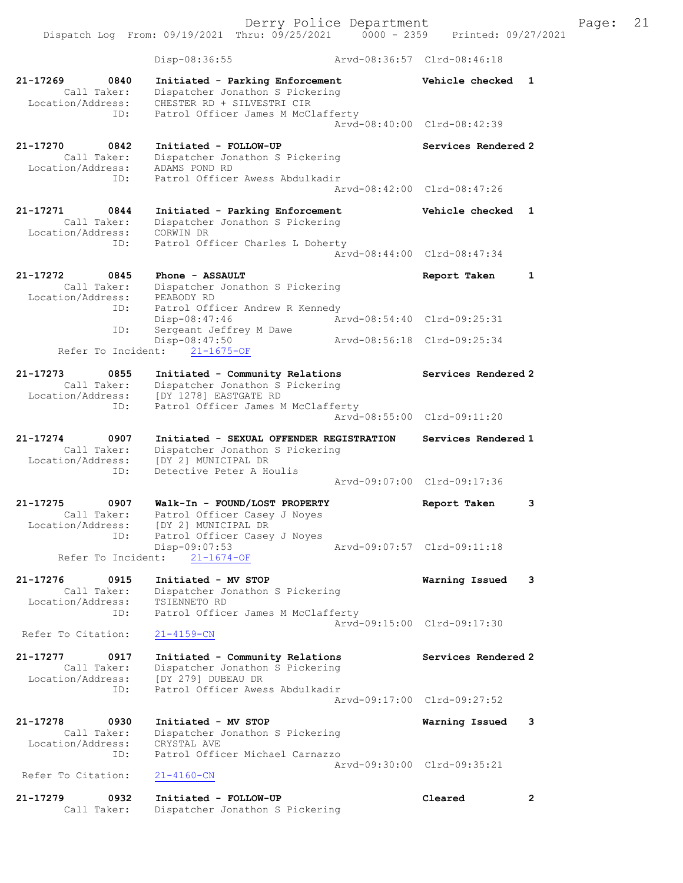Dispatch Log From: 09/19/2021 Thru: 09/25/2021 0000 - 2359 Printed: 09/27/2021

 Disp-08:36:55 Arvd-08:36:57 Clrd-08:46:18 21-17269 0840 Initiated - Parking Enforcement Vehicle checked 1 Call Taker: Dispatcher Jonathon S Pickering Location/Address: CHESTER RD + SILVESTRI CIR ID: Patrol Officer James M McClafferty Arvd-08:40:00 Clrd-08:42:39 21-17270 0842 Initiated - FOLLOW-UP Services Rendered 2 Call Taker: Dispatcher Jonathon S Pickering Location/Address: ADAMS POND RD ID: Patrol Officer Awess Abdulkadir Arvd-08:42:00 Clrd-08:47:26 21-17271 0844 Initiated - Parking Enforcement Vehicle checked 1 Call Taker: Dispatcher Jonathon S Pickering Location/Address: CORWIN DR ID: Patrol Officer Charles L Doherty Arvd-08:44:00 Clrd-08:47:34 21-17272 0845 Phone - ASSAULT Report Taken 1 Call Taker: Dispatcher Jonathon S Pickering Location/Address: PEABODY RD ID: Patrol Officer Andrew R Kennedy Disp-08:47:46 Arvd-08:54:40 Clrd-09:25:31 ID: Sergeant Jeffrey M Dawe Disp-08:47:50 Arvd-08:56:18 Clrd-09:25:34 Refer To Incident: 21-1675-OF 21-17273 0855 Initiated - Community Relations Services Rendered 2 Call Taker: Dispatcher Jonathon S Pickering Location/Address: [DY 1278] EASTGATE RD ID: Patrol Officer James M McClafferty Arvd-08:55:00 Clrd-09:11:20 21-17274 0907 Initiated - SEXUAL OFFENDER REGISTRATION Services Rendered 1 Call Taker: Dispatcher Jonathon S Pickering Location/Address: [DY 2] MUNICIPAL DR ID: Detective Peter A Houlis Arvd-09:07:00 Clrd-09:17:36 21-17275 0907 Walk-In - FOUND/LOST PROPERTY Report Taken 3 Call Taker: Patrol Officer Casey J Noyes Location/Address: [DY 2] MUNICIPAL DR ID: Patrol Officer Casey J Noyes Disp-09:07:53 Arvd-09:07:57 Clrd-09:11:18 Refer To Incident: 21-1674-OF 21-17276 0915 Initiated - MV STOP Warning Issued 3 Call Taker: Dispatcher Jonathon S Pickering Location/Address: TSIENNETO RD ID: Patrol Officer James M McClafferty Arvd-09:15:00 Clrd-09:17:30<br>21-4159-CN Refer To Citation: 21-17277 0917 Initiated - Community Relations Services Rendered 2 Call Taker: Dispatcher Jonathon S Pickering Location/Address: [DY 279] DUBEAU DR ID: Patrol Officer Awess Abdulkadir Arvd-09:17:00 Clrd-09:27:52 21-17278 0930 Initiated - MV STOP Warning Issued 3 Call Taker: Dispatcher Jonathon S Pickering Location/Address: CRYSTAL AVE ID: Patrol Officer Michael Carnazzo Arvd-09:30:00 Clrd-09:35:21<br>21-4160-CN Refer To Citation: 21-17279 0932 Initiated - FOLLOW-UP Cleared 2 Call Taker: Dispatcher Jonathon S Pickering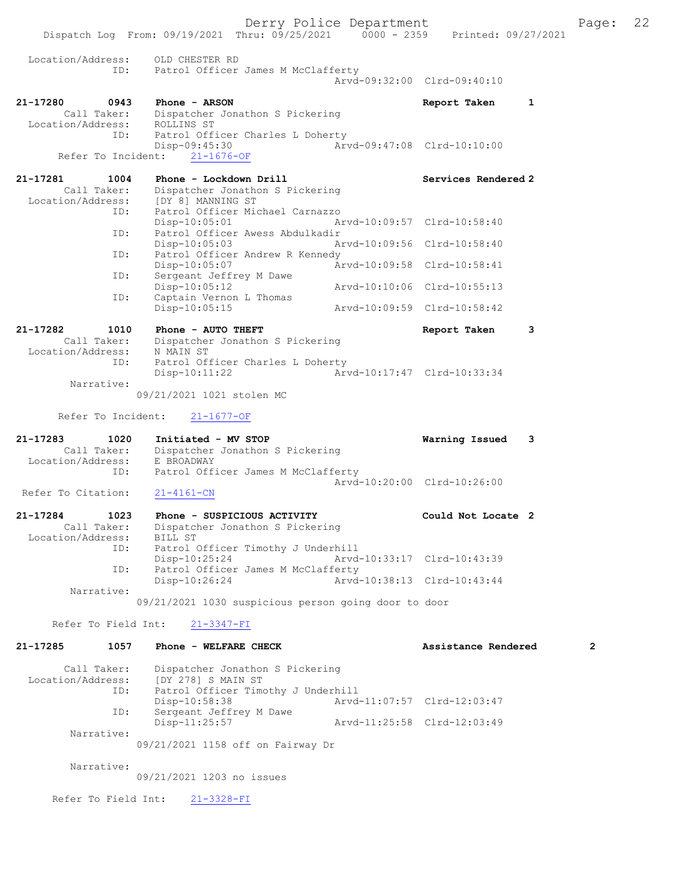Derry Police Department The Page: 22 Dispatch Log From: 09/19/2021 Thru: 09/25/2021 0000 - 2359 Printed: 09/27/2021 Location/Address: OLD CHESTER RD ID: Patrol Officer James M McClafferty Arvd-09:32:00 Clrd-09:40:10 21-17280 0943 Phone - ARSON Report Taken 1 Call Taker: Dispatcher Jonathon S Pickering Location/Address: ROLLINS ST ID: Patrol Officer Charles L Doherty<br>Disp-09:45:30 Arv Disp-09:45:30 Arvd-09:47:08 Clrd-10:10:00 Refer To Incident: 21-1676-OF 21-17281 1004 Phone - Lockdown Drill Services Rendered 2 Call Taker: Dispatcher Jonathon S Pickering Location/Address: [DY 8] MANNING ST<br>ID: Patrol Officer Mio ID: Patrol Officer Michael Carnazzo Disp-10:05:01 Arvd-10:09:57 Clrd-10:58:40 ID: Patrol Officer Awess Abdulkadir<br>Disp-10:05:03 Am Disp-10:05:03 Arvd-10:09:56 Clrd-10:58:40 ID: Patrol Officer Andrew R Kennedy<br>Disp-10:05:07 An Disp-10:05:07 Arvd-10:09:58 Clrd-10:58:41 ID: Sergeant Jeffrey M Dawe Disp-10:05:12 Arvd-10:10:06 Clrd-10:55:13<br>ID: Captain Vernon L Thomas Captain Vernon L Thomas<br>Captain Vernon L Thomas<br>Disp-10:05:15 Arvd-10:09:59 Clrd-10:58:42 21-17282 1010 Phone - AUTO THEFT Report Taken 3 Call Taker: Dispatcher Jonathon S Pickering Location/Address: N MAIN ST ID: Patrol Officer Charles L Doherty Disp-10:11:22 Arvd-10:17:47 Clrd-10:33:34 Narrative: 09/21/2021 1021 stolen MC Refer To Incident: 21-1677-OF 21-17283 1020 Initiated - MV STOP Warning Issued 3 Call Taker: Dispatcher Jonathon S Pickering Location/Address: E BROADWAY ID: Patrol Officer James M McClafferty Arvd-10:20:00 Clrd-10:26:00<br>
21-4161-CN Refer To Citation: 21-17284 1023 Phone - SUSPICIOUS ACTIVITY Could Not Locate 2 Call Taker: Dispatcher Jonathon S Pickering Location/Address: BILL ST ID: Patrol Officer Timothy J Underhill Disp-10:25:24 Arvd-10:33:17 Clrd-10:43:39<br>TD: Patrol Officer James M McClafferty Patrol Officer James M McClafferty<br>Disp-10:26:24 Arvd- Disp-10:26:24 Arvd-10:38:13 Clrd-10:43:44 Narrative: 09/21/2021 1030 suspicious person going door to door Refer To Field Int: 21-3347-FI 21-17285 1057 Phone - WELFARE CHECK 2 Assistance Rendered 2 Call Taker: Dispatcher Jonathon S Pickering Location/Address: [DY 278] S MAIN ST<br>ID: Patrol Officer Timo Patrol Officer Timothy J Underhill<br>Disp-10:58:38 Arvd Disp-10:58:38 <br>
D: Sergeant Jeffrey M Dawe <br>  $\frac{10!}{2!}$  Arvd-11:07:57 Clrd-12:03:47 ---.<br>Sergeant Jeffrey M Dawe<br>Disp-11:25:57 Arvd-11:25:58 Clrd-12:03:49 Narrative: 09/21/2021 1158 off on Fairway Dr Narrative: 09/21/2021 1203 no issues

Refer To Field Int: 21-3328-FI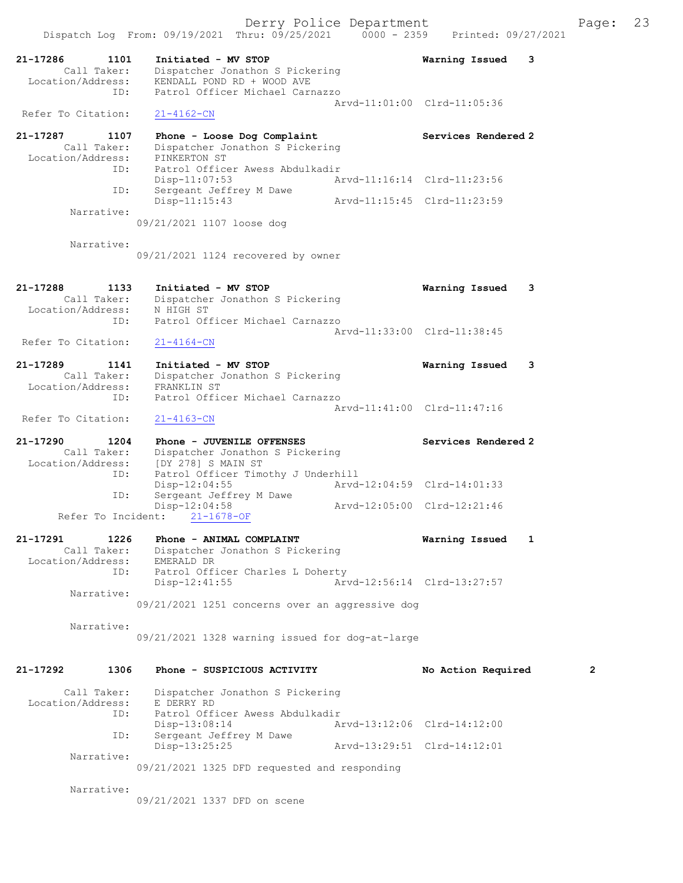Derry Police Department Fage: 23 Dispatch Log From: 09/19/2021 Thru: 09/25/2021 0000 - 2359 Printed: 09/27/2021 21-17286 1101 Initiated - MV STOP Warning Issued 3 Call Taker: Dispatcher Jonathon S Pickering Location/Address: KENDALL POND RD + WOOD AVE ID: Patrol Officer Michael Carnazzo Arvd-11:01:00 Clrd-11:05:36 Refer To Citation: 21-4162-CN 21-17287 1107 Phone - Loose Dog Complaint Services Rendered 2 Call Taker: Dispatcher Jonathon S Pickering Location/Address: PINKERTON ST ID: Patrol Officer Awess Abdulkadir Disp-11:07:53 Arvd-11:16:14 Clrd-11:23:56 ID: Sergeant Jeffrey M Dawe Disp-11:15:43 Arvd-11:15:45 Clrd-11:23:59 Narrative: 09/21/2021 1107 loose dog Narrative: 09/21/2021 1124 recovered by owner 21-17288 1133 Initiated - MV STOP Warning Issued 3 Call Taker: Dispatcher Jonathon S Pickering Location/Address: N HIGH ST ID: Patrol Officer Michael Carnazzo Arvd-11:33:00 Clrd-11:38:45<br>21-4164-CN Refer To Citation: 21-17289 1141 Initiated - MV STOP Warning Issued 3 Call Taker: Dispatcher Jonathon S Pickering Location/Address: FRANKLIN ST

 ID: Patrol Officer Michael Carnazzo Arvd-11:41:00 Clrd-11:47:16 Refer To Citation: 21-4163-CN

21-17290 1204 Phone - JUVENILE OFFENSES Services Rendered 2 Call Taker: Dispatcher Jonathon S Pickering Location/Address: [DY 278] S MAIN ST ID: Patrol Officer Timothy J Underhill Disp-12:04:55 <br>ID: Sergeant Jeffrey M Dawe <br>Arvd-12:04:59 Clrd-14:01:33 ID: Sergeant Jeffrey M Dawe Disp-12:04:58 Arvd-12:05:00 Clrd-12:21:46 Refer To Incident: 21-1678-OF

#### 21-17291 1226 Phone - ANIMAL COMPLAINT Naming Issued 1 Call Taker: Dispatcher Jonathon S Pickering Location/Address: EMERALD DR ID: Patrol Officer Charles L Doherty Disp-12:41:55 Arvd-12:56:14 Clrd-13:27:57 Narrative: 09/21/2021 1251 concerns over an aggressive dog

Narrative:

09/21/2021 1328 warning issued for dog-at-large

# 21-17292 1306 Phone - SUSPICIOUS ACTIVITY No Action Required 2

| Call Taker:       |                                              | Dispatcher Jonathon S Pickering |                             |  |  |  |
|-------------------|----------------------------------------------|---------------------------------|-----------------------------|--|--|--|
| Location/Address: | E DERRY RD                                   |                                 |                             |  |  |  |
| ID:               |                                              | Patrol Officer Awess Abdulkadir |                             |  |  |  |
|                   | Disp-13:08:14                                |                                 | Arvd-13:12:06 Clrd-14:12:00 |  |  |  |
| ID:               | Sergeant Jeffrey M Dawe                      |                                 |                             |  |  |  |
|                   | $Disp-13:25:25$                              |                                 | Arvd-13:29:51 Clrd-14:12:01 |  |  |  |
| Narrative:        |                                              |                                 |                             |  |  |  |
|                   | 09/21/2021 1325 DFD requested and responding |                                 |                             |  |  |  |

Narrative:

09/21/2021 1337 DFD on scene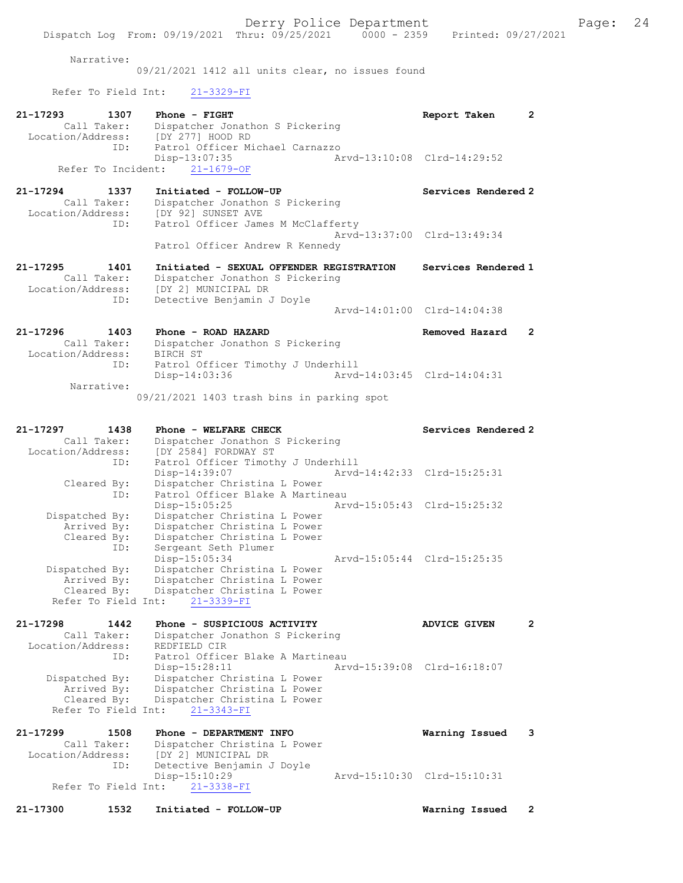Narrative:

09/21/2021 1412 all units clear, no issues found

Refer To Field Int: 21-3329-FI

| $21 - 17293$<br>1307<br>Call Taker:<br>Location/Address:<br>ID: | Phone - FIGHT<br>Dispatcher Jonathon S Pickering<br>[DY 277] HOOD RD<br>Patrol Officer Michael Carnazzo              | Report Taken                | $\mathbf{2}$   |
|-----------------------------------------------------------------|----------------------------------------------------------------------------------------------------------------------|-----------------------------|----------------|
| Refer To Incident:                                              | Disp-13:07:35<br>$21 - 1679 - OF$                                                                                    | Arvd-13:10:08 Clrd-14:29:52 |                |
| 21-17294<br>1337<br>Call Taker:<br>Location/Address:<br>ID:     | Initiated - FOLLOW-UP<br>Dispatcher Jonathon S Pickering<br>[DY 92] SUNSET AVE<br>Patrol Officer James M McClafferty | Services Rendered 2         |                |
|                                                                 | Patrol Officer Andrew R Kennedy                                                                                      | Arvd-13:37:00 Clrd-13:49:34 |                |
| 21-17295<br>1401                                                | Initiated - SEXUAL OFFENDER REGISTRATION                                                                             | Services Rendered 1         |                |
| Call Taker:<br>Location/Address:                                | Dispatcher Jonathon S Pickering<br>[DY 2] MUNICIPAL DR                                                               |                             |                |
| ID:                                                             | Detective Benjamin J Doyle                                                                                           | Arvd-14:01:00 Clrd-14:04:38 |                |
| $21 - 17296$<br>1403                                            | Phone - ROAD HAZARD                                                                                                  | Removed Hazard              | $\overline{2}$ |
| Call Taker:                                                     | Dispatcher Jonathon S Pickering                                                                                      |                             |                |
| Location/Address:<br>ID:                                        | BIRCH ST<br>Patrol Officer Timothy J Underhill                                                                       |                             |                |
|                                                                 | Disp-14:03:36                                                                                                        | Arvd-14:03:45 Clrd-14:04:31 |                |
| Narrative:                                                      |                                                                                                                      |                             |                |
|                                                                 | 09/21/2021 1403 trash bins in parking spot                                                                           |                             |                |
| 1438                                                            |                                                                                                                      |                             |                |
| 21-17297<br>Call Taker:                                         | Phone - WELFARE CHECK<br>Dispatcher Jonathon S Pickering                                                             | Services Rendered 2         |                |
| Location/Address:                                               | [DY 2584] FORDWAY ST                                                                                                 |                             |                |
| ID:                                                             | Patrol Officer Timothy J Underhill                                                                                   |                             |                |
| Cleared By:                                                     | Disp-14:39:07<br>Dispatcher Christina L Power                                                                        | Arvd-14:42:33 Clrd-15:25:31 |                |
| ID:                                                             | Patrol Officer Blake A Martineau                                                                                     |                             |                |
|                                                                 | $Disp-15:05:25$                                                                                                      | Arvd-15:05:43 Clrd-15:25:32 |                |
| Dispatched By:                                                  | Dispatcher Christina L Power                                                                                         |                             |                |
| Arrived By:<br>Cleared By:                                      | Dispatcher Christina L Power<br>Dispatcher Christina L Power                                                         |                             |                |
| ID:                                                             | Sergeant Seth Plumer                                                                                                 |                             |                |
|                                                                 | Disp-15:05:34                                                                                                        | Arvd-15:05:44 Clrd-15:25:35 |                |
| Dispatched By:<br>Arrived By:                                   | Dispatcher Christina L Power<br>Dispatcher Christina L Power                                                         |                             |                |
| Cleared By:                                                     | Dispatcher Christina L Power                                                                                         |                             |                |
|                                                                 | Refer To Field Int: 21-3339-FI                                                                                       |                             |                |
| 21-17298<br>1442                                                | Phone - SUSPICIOUS ACTIVITY                                                                                          | <b>ADVICE GIVEN</b>         | 2              |
| Call Taker:                                                     | Dispatcher Jonathon S Pickering                                                                                      |                             |                |
| Location/Address:                                               | REDFIELD CIR                                                                                                         |                             |                |
| ID:                                                             | Patrol Officer Blake A Martineau<br>Disp-15:28:11                                                                    | Arvd-15:39:08 Clrd-16:18:07 |                |
| Dispatched By:                                                  | Dispatcher Christina L Power                                                                                         |                             |                |
| Arrived By:                                                     | Dispatcher Christina L Power                                                                                         |                             |                |
| Cleared By:                                                     | Dispatcher Christina L Power                                                                                         |                             |                |
| Refer To Field Int:                                             | $21 - 3343 - FI$                                                                                                     |                             |                |
| 21-17299<br>1508                                                | Phone - DEPARTMENT INFO                                                                                              | Warning Issued              | 3              |
| Call Taker:                                                     | Dispatcher Christina L Power                                                                                         |                             |                |
| Location/Address:                                               | [DY 2] MUNICIPAL DR                                                                                                  |                             |                |
| ID:                                                             | Detective Benjamin J Doyle<br>Disp-15:10:29                                                                          | Arvd-15:10:30 Clrd-15:10:31 |                |
| Refer To Field Int:                                             | $21 - 3338 - FI$                                                                                                     |                             |                |
| 21-17300<br>1532                                                | Initiated - FOLLOW-UP                                                                                                | Warning Issued              | 2              |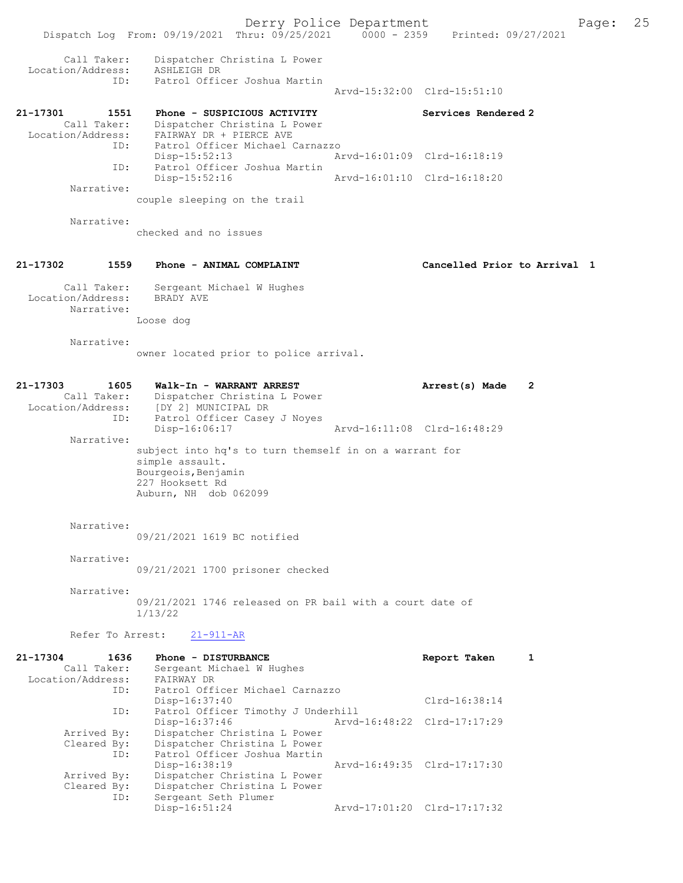Derry Police Department Form Page: 25 Dispatch Log From: 09/19/2021 Thru: 09/25/2021 0000 - 2359 Printed: 09/27/2021 Call Taker: Dispatcher Christina L Power Location/Address: ASHLEIGH DR<br>ID: Patrol Office Patrol Officer Joshua Martin Arvd-15:32:00 Clrd-15:51:10 21-17301 1551 Phone - SUSPICIOUS ACTIVITY Services Rendered 2 Call Taker: Dispatcher Christina L Power Location/Address: FAIRWAY DR + PIERCE AVE ID: Patrol Officer Michael Carnazzo<br>Disp-15:52:13 Ar Disp-15:52:13 Arvd-16:01:09 Clrd-16:18:19 ID: Patrol Officer Joshua Martin Disp-15:52:16 Arvd-16:01:10 Clrd-16:18:20 Narrative: couple sleeping on the trail Narrative: checked and no issues 21-17302 1559 Phone - ANIMAL COMPLAINT Cancelled Prior to Arrival 1 Call Taker: Sergeant Michael W Hughes<br>.on/Address: BRADY AVE Location/Address: Narrative: Loose dog Narrative: owner located prior to police arrival. 21-17303 1605 Walk-In - WARRANT ARREST Arrest(s) Made 2 Call Taker: Dispatcher Christina L Power Location/Address: [DY 2] MUNICIPAL DR ID: Patrol Officer Casey J Noyes<br>Disp-16:06:17 Disp-16:06:17 Arvd-16:11:08 Clrd-16:48:29 Narrative: subject into hq's to turn themself in on a warrant for simple assault. Bourgeois, Benjamin 227 Hooksett Rd Auburn, NH dob 062099 Narrative: 09/21/2021 1619 BC notified Narrative: 09/21/2021 1700 prisoner checked Narrative: 09/21/2021 1746 released on PR bail with a court date of 1/13/22 Refer To Arrest: 21-911-AR 21-17304 1636 Phone - DISTURBANCE Report Taken 1 Call Taker: Sergeant Michael W Hughes<br>ion/Address: FAIRWAY DR Location/Address:<br>ID: Patrol Officer Michael Carnazzo<br>Disp-16:37:40 Disp-16:37:40 Clrd-16:38:14 ID: Patrol Officer Timothy J Underhill Disp-16:37:46 Arvd-16:48:22 Clrd-17:17:29 Arrived By: Dispatcher Christina L Power Cleared By: Dispatcher Christina L Power<br>ID: Patrol Officer Joshua Martin

Patrol Officer Joshua Martin<br>Disp-16:38:19

Arrived By: Dispatcher Christina L Power<br>Cleared By: Dispatcher Christina L Power

By: Dispatcher Christina L Power<br>ID: Sergeant Seth Plumer Sergeant Seth Plumer<br>Disp-16:51:24

Disp-16:38:19 Arvd-16:49:35 Clrd-17:17:30<br>Arrived By: Dispatcher Christina L Power

Disp-16:51:24 Arvd-17:01:20 Clrd-17:17:32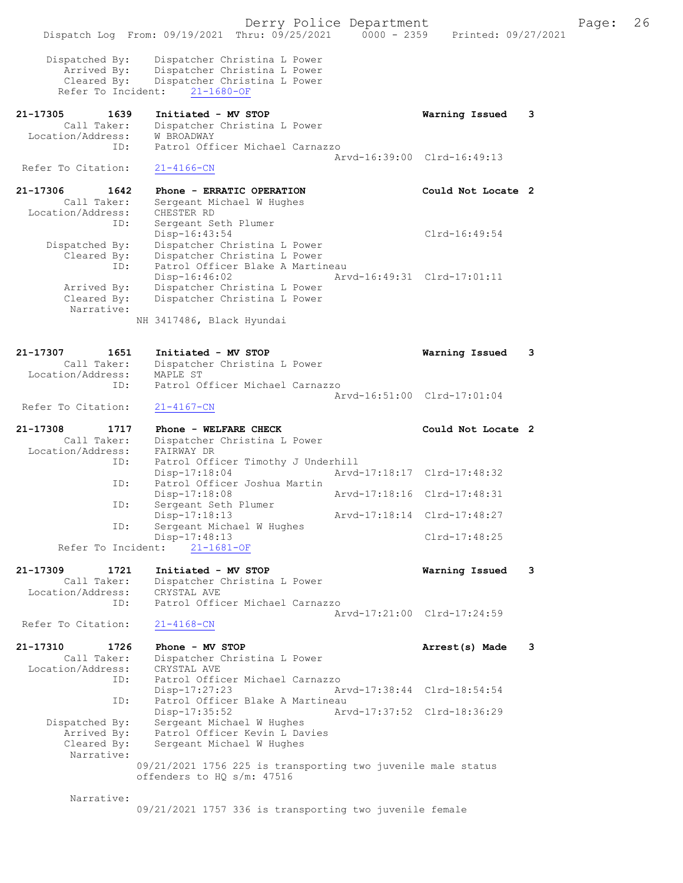Derry Police Department The Page: 26 Dispatch Log From: 09/19/2021 Thru: 09/25/2021 0000 - 2359 Printed: 09/27/2021 Dispatched By: Dispatcher Christina L Power Arrived By: Dispatcher Christina L Power Cleared By: Dispatcher Christina L Power Refer To Incident: 21-1680-OF 21-17305 1639 Initiated - MV STOP Warning Issued 3 Call Taker: Dispatcher Christina L Power Location/Address: W BROADWAY ID: Patrol Officer Michael Carnazzo Arvd-16:39:00 Clrd-16:49:13 Refer To Citation: 21-4166-CN 21-17306 1642 Phone - ERRATIC OPERATION Could Not Locate 2 Call Taker: Sergeant Michael W Hughes Location/Address: CHESTER RD ID: Sergeant Seth Plumer Disp-16:43:54 Clrd-16:49:54 Dispatched By: Dispatcher Christina L Power Cleared By: Dispatcher Christina L Power ID: Patrol Officer Blake A Martineau Disp-16:46:02 Arvd-16:49:31 Clrd-17:01:11 Arrived By: Dispatcher Christina L Power Cleared By: Dispatcher Christina L Power Narrative: NH 3417486, Black Hyundai 21-17307 1651 Initiated - MV STOP Warning Issued 3 Call Taker: Dispatcher Christina L Power Call Taker: Dispatche<br>Location/Address: MAPLE ST ID: Patrol Officer Michael Carnazzo Arvd-16:51:00 Clrd-17:01:04 Refer To Citation: 21-4167-CN 21-17308 1717 Phone - WELFARE CHECK COUL Could Not Locate 2 Call Taker: Dispatcher Christina L Power Location/Address: FAIRWAY DR ID: Patrol Officer Timothy J Underhill<br>Disp-17:18:04 Arvd Disp-17:18:04 Arvd-17:18:17 Clrd-17:48:32 ID: Patrol Officer Joshua Martin Disp-17:18:08 Arvd-17:18:16 Clrd-17:48:31 ID: Sergeant Seth Plumer Disp-17:18:13 Arvd-17:18:14 Clrd-17:48:27 ID: Sergeant Michael W Hughes Disp-17:48:13 Clrd-17:48:25 Refer To Incident: 21-1681-OF 21-17309 1721 Initiated - MV STOP Warning Issued 3 Call Taker: Dispatcher Christina L Power Location/Address: CRYSTAL AVE ID: Patrol Officer Michael Carnazzo Arvd-17:21:00 Clrd-17:24:59<br>21-4168-CN Refer To Citation: 21-17310 1726 Phone - MV STOP Arrest(s) Made 3 Call Taker: Dispatcher Christina L Power Location/Address: CRYSTAL AVE ID: Patrol Officer Michael Carnazzo Disp-17:27:23 Arvd-17:38:44 Clrd-18:54:54 ID: Patrol Officer Blake A Martineau<br>Disp-17:35:52 Arw Disp-17:35:52 Arvd-17:37:52 Clrd-18:36:29 Dispatched By: Sergeant Michael W Hughes Arrived By: Patrol Officer Kevin L Davies Cleared By: Sergeant Michael W Hughes Narrative: 09/21/2021 1756 225 is transporting two juvenile male status offenders to HQ s/m: 47516 Narrative:

09/21/2021 1757 336 is transporting two juvenile female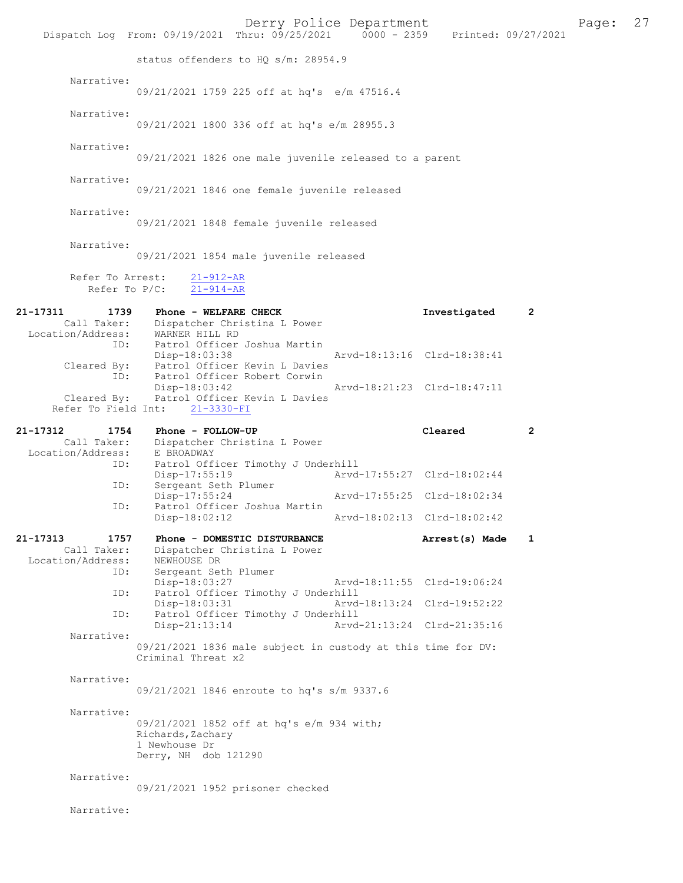|                                                                     | Dispatch Log From: 09/19/2021 Thru: 09/25/2021 0000 - 2359                                         | Derry Police Department                                    |                | Printed: 09/27/2021 | Page: | 27 |
|---------------------------------------------------------------------|----------------------------------------------------------------------------------------------------|------------------------------------------------------------|----------------|---------------------|-------|----|
|                                                                     | status offenders to HQ s/m: 28954.9                                                                |                                                            |                |                     |       |    |
| Narrative:                                                          | 09/21/2021 1759 225 off at hq's e/m 47516.4                                                        |                                                            |                |                     |       |    |
| Narrative:                                                          | 09/21/2021 1800 336 off at hq's e/m 28955.3                                                        |                                                            |                |                     |       |    |
| Narrative:                                                          | 09/21/2021 1826 one male juvenile released to a parent                                             |                                                            |                |                     |       |    |
| Narrative:                                                          | 09/21/2021 1846 one female juvenile released                                                       |                                                            |                |                     |       |    |
| Narrative:                                                          | 09/21/2021 1848 female juvenile released                                                           |                                                            |                |                     |       |    |
| Narrative:                                                          | 09/21/2021 1854 male juvenile released                                                             |                                                            |                |                     |       |    |
| Refer To Arrest:<br>Refer To $P/C$ :                                | $21 - 912 - AR$<br>$21 - 914 - AR$                                                                 |                                                            |                |                     |       |    |
| 21-17311<br>1739<br>Call Taker:<br>Location/Address: WARNER HILL RD | Phone - WELFARE CHECK<br>Dispatcher Christina L Power                                              |                                                            | Investigated   | 2                   |       |    |
|                                                                     | ID: Patrol Officer Joshua Martin<br>Disp-18:03:38<br>Cleared By: Patrol Officer Kevin L Davies     | Arvd-18:13:16 Clrd-18:38:41                                |                |                     |       |    |
| ID:<br>Cleared By:<br>Refer To Field Int:                           | Patrol Officer Robert Corwin<br>Disp-18:03:42<br>Patrol Officer Kevin L Davies<br>$21 - 3330 - FI$ | Arvd-18:21:23 Clrd-18:47:11                                |                |                     |       |    |
| 21-17312<br>1754                                                    | Phone - FOLLOW-UP                                                                                  |                                                            | Cleared        | $\mathbf{2}$        |       |    |
|                                                                     |                                                                                                    |                                                            |                |                     |       |    |
| Call Taker:<br>Location/Address:                                    | Dispatcher Christina L Power<br>E BROADWAY                                                         |                                                            |                |                     |       |    |
| ID:                                                                 | Patrol Officer Timothy J Underhill<br>Disp-17:55:19                                                | Arvd-17:55:27 Clrd-18:02:44                                |                |                     |       |    |
| ID:                                                                 | Sergeant Seth Plumer<br>$Disp-17:55:24$                                                            | Arvd-17:55:25 Clrd-18:02:34                                |                |                     |       |    |
| ID:                                                                 | Patrol Officer Joshua Martin<br>$Disp-18:02:12$                                                    | Arvd-18:02:13 Clrd-18:02:42                                |                |                     |       |    |
| 21-17313<br>1757<br>Call Taker:                                     | Phone - DOMESTIC DISTURBANCE<br>Dispatcher Christina L Power                                       |                                                            | Arrest(s) Made | $\mathbf{1}$        |       |    |
| Location/Address:<br>ID:                                            | NEWHOUSE DR<br>Sergeant Seth Plumer                                                                |                                                            |                |                     |       |    |
| ID:                                                                 | Disp-18:03:27<br>Patrol Officer Timothy J Underhill                                                | Arvd-18:11:55 Clrd-19:06:24                                |                |                     |       |    |
| ID:                                                                 | Disp-18:03:31<br>Patrol Officer Timothy J Underhill<br>$Disp-21:13:14$                             | Arvd-18:13:24 Clrd-19:52:22<br>Arvd-21:13:24 Clrd-21:35:16 |                |                     |       |    |
| Narrative:                                                          | 09/21/2021 1836 male subject in custody at this time for DV:<br>Criminal Threat x2                 |                                                            |                |                     |       |    |
| Narrative:                                                          | 09/21/2021 1846 enroute to hq's s/m 9337.6                                                         |                                                            |                |                     |       |    |
| Narrative:                                                          |                                                                                                    |                                                            |                |                     |       |    |
|                                                                     | 09/21/2021 1852 off at hq's e/m 934 with;<br>Richards, Zachary<br>1 Newhouse Dr                    |                                                            |                |                     |       |    |
|                                                                     | Derry, NH dob 121290                                                                               |                                                            |                |                     |       |    |
| Narrative:                                                          | 09/21/2021 1952 prisoner checked                                                                   |                                                            |                |                     |       |    |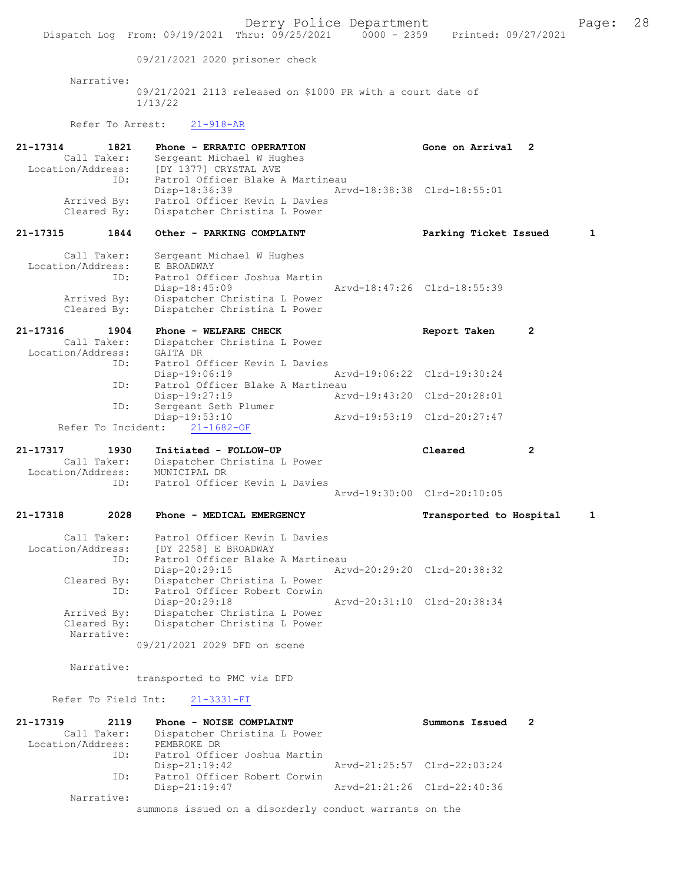Derry Police Department The Page: 28 Dispatch Log From: 09/19/2021 Thru: 09/25/2021 0000 - 2359 Printed: 09/27/2021 09/21/2021 2020 prisoner check Narrative: 09/21/2021 2113 released on \$1000 PR with a court date of 1/13/22 Refer To Arrest: 21-918-AR 21-17314 1821 Phone - ERRATIC OPERATION Gone on Arrival 2<br>Call Taker: Sergeant Michael W Hughes Call Taker: Sergeant Michael W Hughes Location/Address: [DY 1377] CRYSTAL AVE ID: Patrol Officer Blake A Martineau<br>Disp-18:36:39 Ar Disp-18:36:39 Arvd-18:38:38 Clrd-18:55:01<br>Arrived By: Patrol Officer Kevin L Davies Arrived By: Patrol Officer Kevin L Davies<br>Cleared By: Dispatcher Christina L Power Dispatcher Christina L Power 21-17315 1844 Other - PARKING COMPLAINT Parking Ticket Issued 1 Call Taker: Sergeant Michael W Hughes Location/Address: E BROADWAY<br>ID: Patrol Off: Patrol Officer Joshua Martin<br>Disp-18:45:09 Disp-18:45:09 Arvd-18:47:26 Clrd-18:55:39 Arrived By: Dispatcher Christina L Power Cleared By: Dispatcher Christina L Power 21-17316 1904 Phone - WELFARE CHECK 1988 Report Taken 2 Call Taker: Dispatcher Christina L Power Location/Address: GAITA DR ID: Patrol Officer Kevin L Davies<br>Disp-19:06:19 Disp-19:06:19 Arvd-19:06:22 Clrd-19:30:24<br>TD: Patrol Officer Blake A Martineau Patrol Officer Blake A Martineau<br>Disp-19:27:19 Ary Disp-19:27:19 Arvd-19:43:20 Clrd-20:28:01 ID: Sergeant Seth Plumer<br>Disp-19:53:10 Disp-19:53:10 Arvd-19:53:19 Clrd-20:27:47 Refer To Incident: 21-1682-OF 21-17317 1930 Initiated - FOLLOW-UP Cleared 2 Call Taker: Dispatcher Christina L Power<br>ion/Address: MUNICIPAL DR Location/Address:<br>TD: Patrol Officer Kevin L Davies Arvd-19:30:00 Clrd-20:10:05 21-17318 2028 Phone - MEDICAL EMERGENCY Transported to Hospital 1 Call Taker: Patrol Officer Kevin L Davies Location/Address: [DY 2258] E BROADWAY<br>ID: Patrol Officer Blake Patrol Officer Blake A Martineau<br>Disp-20:29:15 Art Disp-20:29:15 Arvd-20:29:20 Cleared By: Dispatcher Christina L Power Dispatcher Christina L Power ID: Patrol Officer Robert Corwin<br>Disp-20:29:18 Disp-20:29:18 Arvd-20:31:10 Clrd-20:38:34<br>Arrived By: Dispatcher Christina L Power Arrived By: Dispatcher Christina L Power<br>Cleared By: Dispatcher Christina L Power Dispatcher Christina L Power Narrative: 09/21/2021 2029 DFD on scene Narrative: transported to PMC via DFD Refer To Field Int: 21-3331-FI 21-17319 2119 Phone - NOISE COMPLAINT Summons Issued 2 Call Taker: Dispatcher Christina L Power<br>ion/Address: PEMBROKE DR Location/Address: ID: Patrol Officer Joshua Martin Disp-21:19:42 Arvd-21:25:57 Clrd-22:03:24 ID: Patrol Officer Robert Corwin<br>Disp-21:19:47 Arvd-21:21:26 Clrd-22:40:36 Narrative: summons issued on a disorderly conduct warrants on the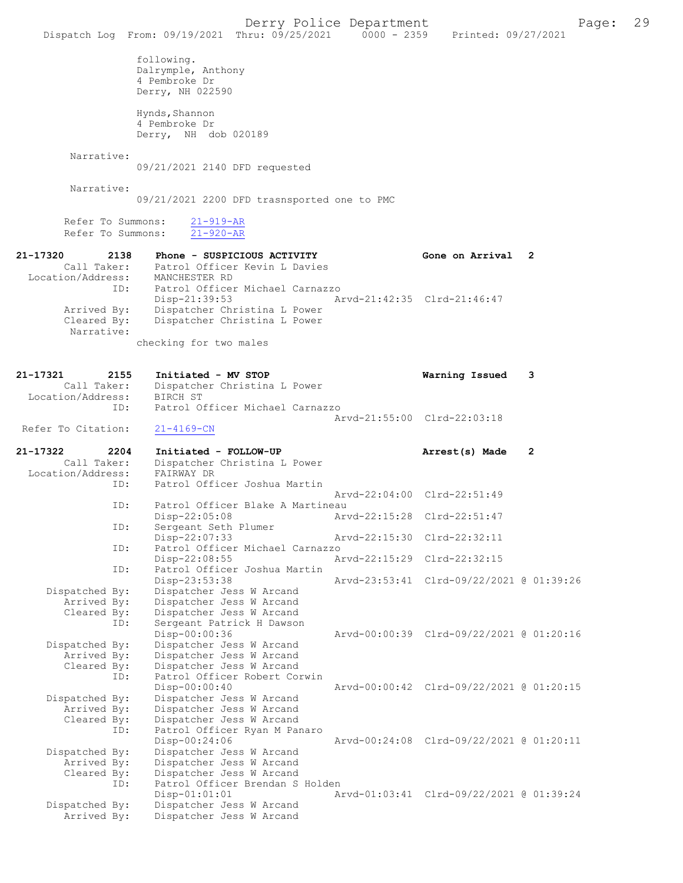|                                                             | Dispatch Log From: 09/19/2021 Thru: 09/25/2021 0000 - 2359 Printed: 09/27/2021                                                         | Derry Police Department     |                                          | Page: | 29 |
|-------------------------------------------------------------|----------------------------------------------------------------------------------------------------------------------------------------|-----------------------------|------------------------------------------|-------|----|
|                                                             | following.<br>Dalrymple, Anthony<br>4 Pembroke Dr<br>Derry, NH 022590                                                                  |                             |                                          |       |    |
|                                                             | Hynds, Shannon<br>4 Pembroke Dr<br>Derry, NH dob 020189                                                                                |                             |                                          |       |    |
| Narrative:                                                  | 09/21/2021 2140 DFD requested                                                                                                          |                             |                                          |       |    |
| Narrative:                                                  |                                                                                                                                        |                             |                                          |       |    |
|                                                             | 09/21/2021 2200 DFD trasnsported one to PMC                                                                                            |                             |                                          |       |    |
| Refer To Summons:<br>Refer To Summons:                      | $21 - 919 - AR$<br>$21 - 920 - AR$                                                                                                     |                             |                                          |       |    |
| 21-17320<br>2138<br>Location/Address:<br>ID:                | Phone - SUSPICIOUS ACTIVITY<br>Call Taker: Patrol Officer Kevin L Davies<br>MANCHESTER RD<br>Patrol Officer Michael Carnazzo           |                             | Gone on Arrival 2                        |       |    |
| Arrived By:<br>Cleared By:<br>Narrative:                    | $Disp-21:39:53$<br>Dispatcher Christina L Power<br>Dispatcher Christina L Power                                                        | Arvd-21:42:35 Clrd-21:46:47 |                                          |       |    |
|                                                             | checking for two males                                                                                                                 |                             |                                          |       |    |
| 21-17321<br>2155<br>Call Taker:<br>Location/Address:<br>ID: | Initiated - MV STOP<br>Dispatcher Christina L Power<br>BIRCH ST<br>Patrol Officer Michael Carnazzo                                     |                             | Warning Issued                           | 3     |    |
| Refer To Citation:                                          | $21 - 4169 - CN$                                                                                                                       |                             | Arvd-21:55:00 Clrd-22:03:18              |       |    |
| 21-17322<br>2204<br>Call Taker:                             | Initiated - FOLLOW-UP<br>Dispatcher Christina L Power                                                                                  |                             | Arrest(s) Made                           | 2     |    |
| Location/Address:                                           | FAIRWAY DR                                                                                                                             |                             |                                          |       |    |
| ID:                                                         | Patrol Officer Joshua Martin                                                                                                           |                             | Arvd-22:04:00 Clrd-22:51:49              |       |    |
| ID:                                                         | Patrol Officer Blake A Martineau<br>Disp-22:05:08                                                                                      |                             | Arvd-22:15:28 Clrd-22:51:47              |       |    |
| ID:                                                         | Sergeant Seth Plumer<br>Disp-22:07:33                                                                                                  |                             | Arvd-22:15:30 Clrd-22:32:11              |       |    |
| ID:                                                         | Patrol Officer Michael Carnazzo<br>Disp-22:08:55                                                                                       |                             | Arvd-22:15:29 Clrd-22:32:15              |       |    |
| ID:                                                         | Patrol Officer Joshua Martin<br>Disp-23:53:38                                                                                          |                             | Arvd-23:53:41 Clrd-09/22/2021 @ 01:39:26 |       |    |
| Dispatched By:<br>Arrived By:<br>Cleared By:<br>ID:         | Dispatcher Jess W Arcand<br>Dispatcher Jess W Arcand<br>Dispatcher Jess W Arcand<br>Sergeant Patrick H Dawson                          |                             |                                          |       |    |
| Dispatched By:                                              | Disp-00:00:36<br>Dispatcher Jess W Arcand                                                                                              |                             | Arvd-00:00:39 Clrd-09/22/2021 @ 01:20:16 |       |    |
| Arrived By:<br>Cleared By:<br>ID:                           | Dispatcher Jess W Arcand<br>Dispatcher Jess W Arcand<br>Patrol Officer Robert Corwin<br>$Disp-00:00:40$                                |                             | Arvd-00:00:42 Clrd-09/22/2021 @ 01:20:15 |       |    |
| Dispatched By:<br>Arrived By:<br>Cleared By:<br>ID:         | Dispatcher Jess W Arcand<br>Dispatcher Jess W Arcand<br>Dispatcher Jess W Arcand<br>Patrol Officer Ryan M Panaro                       |                             |                                          |       |    |
| Dispatched By:<br>Arrived By:<br>Cleared By:<br>ID:         | $Disp-00:24:06$<br>Dispatcher Jess W Arcand<br>Dispatcher Jess W Arcand<br>Dispatcher Jess W Arcand<br>Patrol Officer Brendan S Holden |                             | Arvd-00:24:08 Clrd-09/22/2021 @ 01:20:11 |       |    |
| Dispatched By:<br>Arrived By:                               | $Disp-01:01:01$<br>Dispatcher Jess W Arcand<br>Dispatcher Jess W Arcand                                                                |                             | Arvd-01:03:41 Clrd-09/22/2021 @ 01:39:24 |       |    |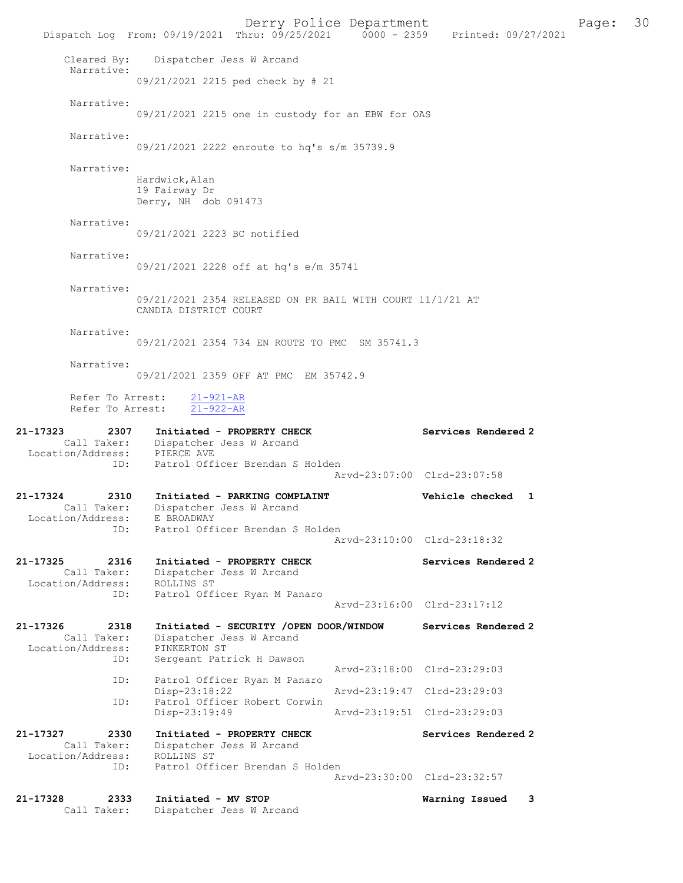Derry Police Department The Page: 30 Dispatch Log From: 09/19/2021 Thru: 09/25/2021 0000 - 2359 Printed: 09/27/2021 Cleared By: Dispatcher Jess W Arcand Narrative: 09/21/2021 2215 ped check by # 21 Narrative: 09/21/2021 2215 one in custody for an EBW for OAS Narrative: 09/21/2021 2222 enroute to hq's s/m 35739.9 Narrative: Hardwick,Alan 19 Fairway Dr Derry, NH dob 091473 Narrative: 09/21/2021 2223 BC notified Narrative: 09/21/2021 2228 off at hq's e/m 35741 Narrative: 09/21/2021 2354 RELEASED ON PR BAIL WITH COURT 11/1/21 AT CANDIA DISTRICT COURT Narrative: 09/21/2021 2354 734 EN ROUTE TO PMC SM 35741.3 Narrative: 09/21/2021 2359 OFF AT PMC EM 35742.9 Refer To Arrest: 21-921-AR Refer To Arrest: 21-922-AR 21-17323 2307 Initiated - PROPERTY CHECK Services Rendered 2 Call Taker: Dispatcher Jess W Arcand Location/Address: PIERCE AVE ID: Patrol Officer Brendan S Holden Arvd-23:07:00 Clrd-23:07:58 21-17324 2310 Initiated - PARKING COMPLAINT Vehicle checked 1 Call Taker: Dispatcher Jess W Arcand Location/Address: E BROADWAY ID: Patrol Officer Brendan S Holden Arvd-23:10:00 Clrd-23:18:32 21-17325 2316 Initiated - PROPERTY CHECK Services Rendered 2 Call Taker: Dispatcher Jess W Arcand Location/Address: ROLLINS ST ID: Patrol Officer Ryan M Panaro Arvd-23:16:00 Clrd-23:17:12 21-17326 2318 Initiated - SECURITY /OPEN DOOR/WINDOW Services Rendered 2 Call Taker: Dispatcher Jess W Arcand Location/Address: PINKERTON ST<br>ID: Sergeant Pati Sergeant Patrick H Dawson Arvd-23:18:00 Clrd-23:29:03<br>TD: Patrol Officer Ryan M Panaro Patrol Officer Ryan M Panaro<br>Disp-23:18:22 Disp-23:18:22 Arvd-23:19:47 Clrd-23:29:03<br>ID: Patrol Officer Robert Corwin Patrol Officer Robert Corwin<br>Disp-23:19:49 Disp-23:19:49 Arvd-23:19:51 Clrd-23:29:03 21-17327 2330 Initiated - PROPERTY CHECK Services Rendered 2 Call Taker: Dispatcher Jess W Arcand Location/Address: ROLLINS ST ID: Patrol Officer Brendan S Holden Arvd-23:30:00 Clrd-23:32:57 21-17328 2333 Initiated - MV STOP Warning Issued 3

Call Taker: Dispatcher Jess W Arcand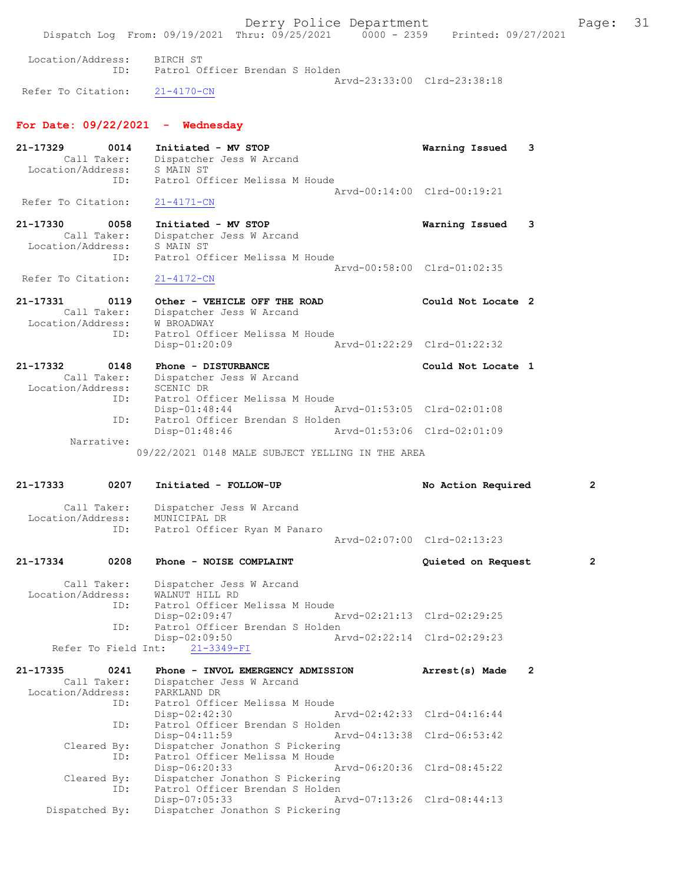Derry Police Department The Page: 31 Dispatch Log From: 09/19/2021 Thru: 09/25/2021 0000 - 2359 Printed: 09/27/2021 Location/Address: BIRCH ST ID: Patrol Officer Brendan S Holden Arvd-23:33:00 Clrd-23:38:18<br>21-4170-CN Refer To Citation: For Date:  $09/22/2021$  - Wednesday 21-17329 0014 Initiated - MV STOP Warning Issued 3 Call Taker: Dispatcher Jess W Arcand Location/Address: S MAIN ST ID: Patrol Officer Melissa M Houde Arvd-00:14:00 Clrd-00:19:21 Refer To Citation: 21-4171-CN 21-17330 0058 Initiated - MV STOP Warning Issued 3 Call Taker: Dispatcher Jess W Arcand Location/Address: S MAIN ST ID: Patrol Officer Melissa M Houde Arvd-00:58:00 Clrd-01:02:35 Refer To Citation: 21-4172-CN 21-17331 0119 Other - VEHICLE OFF THE ROAD Could Not Locate 2 Call Taker: Dispatcher Jess W Arcand Location/Address: W BROADWAY ID: Patrol Officer Melissa M Houde Disp-01:20:09 Arvd-01:22:29 Clrd-01:22:32 21-17332 0148 Phone - DISTURBANCE Could Not Locate 1 Call Taker: Dispatcher Jess W Arcand<br>Cion/Address: SCENIC DR Location/Address:<br>ID: Patrol Officer Melissa M Houde Disp-01:48:44 Arvd-01:53:05 Clrd-02:01:08 ID: Patrol Officer Brendan S Holden Disp-01:48:46 Arvd-01:53:06 Clrd-02:01:09 Narrative: 09/22/2021 0148 MALE SUBJECT YELLING IN THE AREA 21-17333 0207 Initiated - FOLLOW-UP No Action Required 2 Call Taker: Dispatcher Jess W Arcand Location/Address: MUNICIPAL DR ID: Patrol Officer Ryan M Panaro Arvd-02:07:00 Clrd-02:13:23 21-17334 0208 Phone - NOISE COMPLAINT Quieted on Request 2 Call Taker: Dispatcher Jess W Arcand<br>ion/Address: WALNUT HILL RD Location/Address:<br>ID: Patrol Officer Melissa M Houde Disp-02:09:47 Arvd-02:21:13 Clrd-02:29:25<br>ID: Patrol Officer Brendan S Holden Patrol Officer Brendan S Holden<br>Disp-02:09:50 Ar Disp-02:09:50 Arvd-02:22:14 Clrd-02:29:23 Refer To Field Int: 21-3349-FI 21-17335 0241 Phone - INVOL EMERGENCY ADMISSION Arrest(s) Made 2<br>Call Taker: Dispatcher Jess W Arcand Phone - Involtant ...<br>Dispatcher Jess W Arcand Location/Address: PARKLAND DR<br>Location/Address: PARKLAND DR<br>TD: Patrol Offic Patrol Officer Melissa M Houde Disp-02:42:30 Arvd-02:42:33 Clrd-04:16:44 ID: Patrol Officer Brendan S Holden<br>Disp-04:11:59 Ar Disp-04:11:59 Arvd-04:13:38 Clrd-06:53:42 Cleared By: Dispatcher Jonathon S Pickering ID: Patrol Officer Melissa M Houde Disp-06:20:33 Arvd-06:20:36 Cleared Bv: Dispatcher Jonathon S Pickering By: Dispatcher Jonathon S Pickering<br>ID: Patrol Officer Brendan S Holden Patrol Officer Brendan S Holden Disp-07:05:33 Arvd-07:13:26 Clrd-08:44:13<br>Dispatched By: Dispatcher Jonathon S Pickering Dispatcher Jonathon S Pickering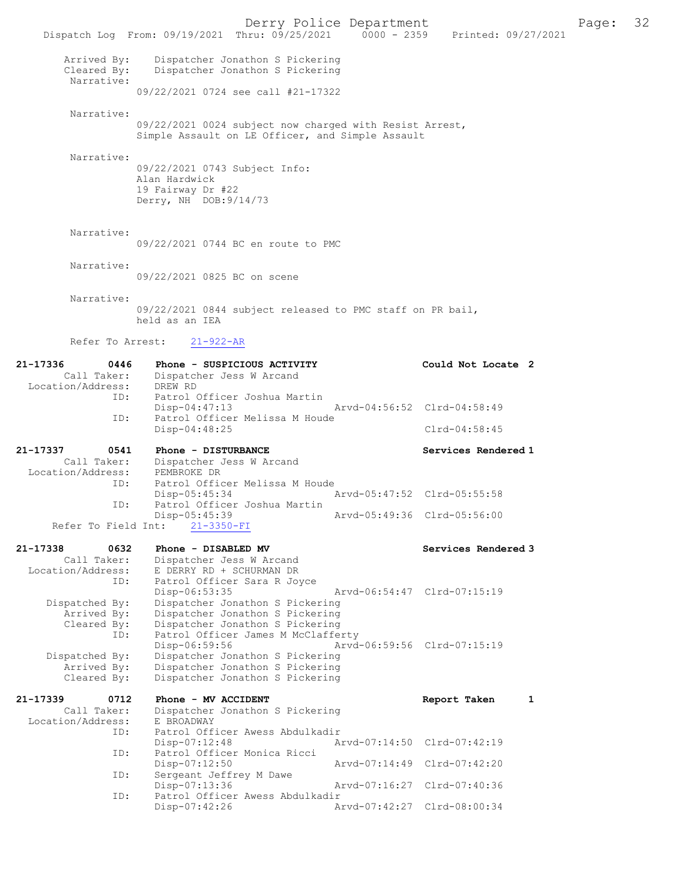|                                                      | Dispatch Log From: 09/19/2021 Thru: 09/25/2021 0000 - 2359 Printed: 09/27/2021                                                                               | Derry Police Department     |                     | Page: | 32 |
|------------------------------------------------------|--------------------------------------------------------------------------------------------------------------------------------------------------------------|-----------------------------|---------------------|-------|----|
| Arrived By:<br>Cleared By:<br>Narrative:             | Dispatcher Jonathon S Pickering<br>Dispatcher Jonathon S Pickering                                                                                           |                             |                     |       |    |
|                                                      | 09/22/2021 0724 see call #21-17322                                                                                                                           |                             |                     |       |    |
| Narrative:                                           | 09/22/2021 0024 subject now charged with Resist Arrest,<br>Simple Assault on LE Officer, and Simple Assault                                                  |                             |                     |       |    |
| Narrative:                                           | 09/22/2021 0743 Subject Info:<br>Alan Hardwick<br>19 Fairway Dr #22<br>Derry, NH DOB: 9/14/73                                                                |                             |                     |       |    |
| Narrative:                                           | 09/22/2021 0744 BC en route to PMC                                                                                                                           |                             |                     |       |    |
| Narrative:                                           | 09/22/2021 0825 BC on scene                                                                                                                                  |                             |                     |       |    |
| Narrative:                                           | 09/22/2021 0844 subject released to PMC staff on PR bail,<br>held as an IEA                                                                                  |                             |                     |       |    |
| Refer To Arrest:                                     | $21 - 922 - AR$                                                                                                                                              |                             |                     |       |    |
| 21-17336<br>0446<br>Call Taker:<br>Location/Address: | Phone - SUSPICIOUS ACTIVITY<br>Dispatcher Jess W Arcand<br>DREW RD                                                                                           |                             | Could Not Locate 2  |       |    |
| ID:                                                  | Patrol Officer Joshua Martin<br>$Disp-04:47:13$                                                                                                              | Arvd-04:56:52 Clrd-04:58:49 |                     |       |    |
| ID:                                                  | Patrol Officer Melissa M Houde<br>Disp-04:48:25                                                                                                              |                             | $Clrd-04:58:45$     |       |    |
| 21-17337<br>0541<br>Call Taker:<br>Location/Address: | Phone - DISTURBANCE<br>Dispatcher Jess W Arcand<br>PEMBROKE DR                                                                                               |                             | Services Rendered 1 |       |    |
| ID:                                                  | Patrol Officer Melissa M Houde<br>Disp-05:45:34                                                                                                              | Arvd-05:47:52 Clrd-05:55:58 |                     |       |    |
| ID:<br>Refer To Field Int:                           | Patrol Officer Joshua Martin<br>$Disp-05:45:39$<br>$21 - 3350 - FI$                                                                                          | Arvd-05:49:36 Clrd-05:56:00 |                     |       |    |
| 21-17338<br>0632                                     | Phone - DISABLED MV                                                                                                                                          |                             | Services Rendered 3 |       |    |
| Call Taker:<br>Location/Address:<br>ID:              | Dispatcher Jess W Arcand<br>E DERRY RD + SCHURMAN DR<br>Patrol Officer Sara R Joyce                                                                          |                             |                     |       |    |
| Dispatched By:<br>Arrived By:<br>Cleared By:         | Disp-06:53:35<br>Dispatcher Jonathon S Pickering<br>Dispatcher Jonathon S Pickering<br>Dispatcher Jonathon S Pickering                                       | Arvd-06:54:47 Clrd-07:15:19 |                     |       |    |
| ID:<br>Dispatched By:<br>Arrived By:<br>Cleared By:  | Patrol Officer James M McClafferty<br>Disp-06:59:56<br>Dispatcher Jonathon S Pickering<br>Dispatcher Jonathon S Pickering<br>Dispatcher Jonathon S Pickering | Arvd-06:59:56 Clrd-07:15:19 |                     |       |    |
| 21-17339<br>0712<br>Call Taker:<br>Location/Address: | Phone - MV ACCIDENT<br>Dispatcher Jonathon S Pickering<br>E BROADWAY                                                                                         |                             | Report Taken<br>1   |       |    |
| ID:                                                  | Patrol Officer Awess Abdulkadir<br>Disp-07:12:48                                                                                                             | Arvd-07:14:50 Clrd-07:42:19 |                     |       |    |
| ID:                                                  | Patrol Officer Monica Ricci<br>Disp-07:12:50                                                                                                                 | Arvd-07:14:49 Clrd-07:42:20 |                     |       |    |
| ID:<br>ID:                                           | Sergeant Jeffrey M Dawe<br>Disp-07:13:36<br>Patrol Officer Awess Abdulkadir                                                                                  | Arvd-07:16:27 Clrd-07:40:36 |                     |       |    |
|                                                      | Disp-07:42:26                                                                                                                                                | Arvd-07:42:27 Clrd-08:00:34 |                     |       |    |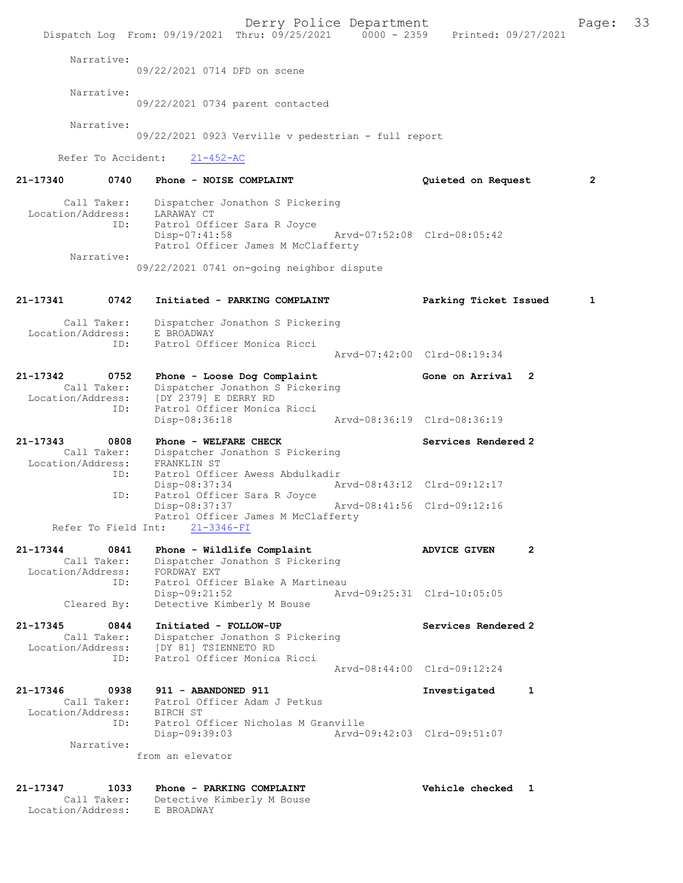Derry Police Department Fage: 33 Dispatch Log From: 09/19/2021 Thru: 09/25/2021 0000 - 2359 Printed: 09/27/2021 Narrative: 09/22/2021 0714 DFD on scene Narrative: 09/22/2021 0734 parent contacted Narrative: 09/22/2021 0923 Verville v pedestrian - full report Refer To Accident: 21-452-AC 21-17340 0740 Phone - NOISE COMPLAINT Quieted on Request 2 Call Taker: Dispatcher Jonathon S Pickering Location/Address: LARAWAY CT ID: Patrol Officer Sara R Joyce Disp-07:41:58 Arvd-07:52:08 Clrd-08:05:42 Patrol Officer James M McClafferty Narrative: 09/22/2021 0741 on-going neighbor dispute 21-17341 0742 Initiated - PARKING COMPLAINT Parking Ticket Issued 1 Call Taker: Dispatcher Jonathon S Pickering Location/Address: E BROADWAY ID: Patrol Officer Monica Ricci Arvd-07:42:00 Clrd-08:19:34 21-17342 0752 Phone - Loose Dog Complaint Gone on Arrival 2 Call Taker: Dispatcher Jonathon S Pickering Location/Address: [DY 2379] E DERRY RD ID: Patrol Officer Monica Ricci Disp-08:36:18 Arvd-08:36:19 Clrd-08:36:19 21-17343 0808 Phone - WELFARE CHECK Services Rendered 2 Call Taker: Dispatcher Jonathon S Pickering Location/Address: FRANKLIN ST ID: Patrol Officer Awess Abdulkadir Disp-08:37:34 Arvd-08:43:12 Clrd-09:12:17 ID: Patrol Officer Sara R Joyce Disp-08:37:37 Arvd-08:41:56 Clrd-09:12:16 Patrol Officer James M McClafferty Refer To Field Int: 21-3346-FI 21-17344 0841 Phone - Wildlife Complaint ADVICE GIVEN 2 Call Taker: Dispatcher Jonathon S Pickering Location/Address: FORDWAY EXT ID: Patrol Officer Blake A Martineau Disp-09:21:52 Arvd-09:25:31 Clrd-10:05:05 Cleared By: Detective Kimberly M Bouse 21-17345 0844 Initiated - FOLLOW-UP Services Rendered 2 Call Taker: Dispatcher Jonathon S Pickering Location/Address: [DY 81] TSIENNETO RD ID: Patrol Officer Monica Ricci Arvd-08:44:00 Clrd-09:12:24 21-17346 0938 911 - ABANDONED 911 Investigated 1 Call Taker: Patrol Officer Adam J Petkus Location/Address: BIRCH ST ID: Patrol Officer Nicholas M Granville Disp-09:39:03 Arvd-09:42:03 Clrd-09:51:07 Narrative: from an elevator 21-17347 1033 Phone - PARKING COMPLAINT Vehicle checked 1 Call Taker: Detective Kimberly M Bouse Location/Address: E BROADWAY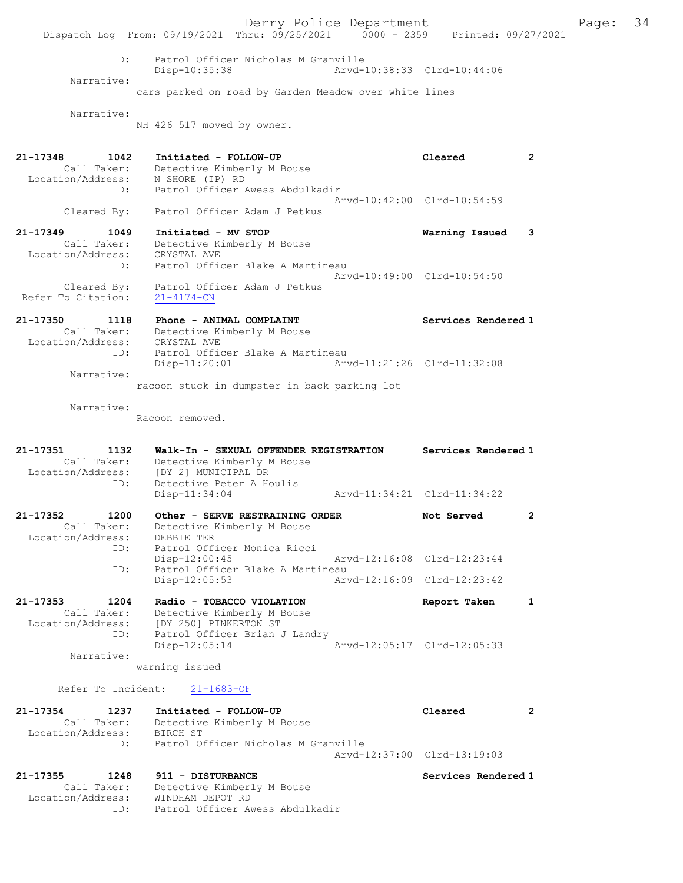Derry Police Department Fage: 34 Dispatch Log From: 09/19/2021 Thru: 09/25/2021 0000 - 2359 Printed: 09/27/2021 ID: Patrol Officer Nicholas M Granville<br>Disp-10:35:38 Mrvd-10:38:33 Clrd-10:44:06 Disp-10:35:38 Narrative: cars parked on road by Garden Meadow over white lines Narrative: NH 426 517 moved by owner. 21-17348 1042 Initiated - FOLLOW-UP Cleared 2 Call Taker: Detective Kimberly M Bouse Location/Address: N SHORE (IP) RD ID: Patrol Officer Awess Abdulkadir Arvd-10:42:00 Clrd-10:54:59 Cleared By: Patrol Officer Adam J Petkus 21-17349 1049 Initiated - MV STOP Warning Issued 3 Call Taker: Detective Kimberly M Bouse Location/Address: CRYSTAL AVE ID: Patrol Officer Blake A Martineau Arvd-10:49:00 Clrd-10:54:50 Cleared By: Patrol Officer Adam J Petkus Refer To Citation: 21-4174-CN 21-17350 1118 Phone - ANIMAL COMPLAINT Services Rendered 1 Call Taker: Detective Kimberly M Bouse Location/Address: CRYSTAL AVE ID: Patrol Officer Blake A Martineau Disp-11:20:01 Arvd-11:21:26 Clrd-11:32:08 Narrative: racoon stuck in dumpster in back parking lot Narrative: Racoon removed. 21-17351 1132 Walk-In - SEXUAL OFFENDER REGISTRATION Services Rendered 1 Call Taker: Detective Kimberly M Bouse Location/Address: [DY 2] MUNICIPAL DR ID: Detective Peter A Houlis [DY 2] MUNICIFAL D.<br>Detective Peter A Houlis<br>Arvd-11:34:21 Clrd-11:34:22 21-17352 1200 Other - SERVE RESTRAINING ORDER Not Served 2 Call Taker: Detective Kimberly M Bouse Location/Address: DEBBIE TER ID: Patrol Officer Monica Ricci Disp-12:00:45 Arvd-12:16:08 Clrd-12:23:44 ID: Patrol Officer Blake A Martineau<br>Disp-12:05:53 Arv Disp-12:05:53 Arvd-12:16:09 Clrd-12:23:42 21-17353 1204 Radio - TOBACCO VIOLATION Report Taken 1 Call Taker: Detective Kimberly M Bouse Location/Address: [DY 250] PINKERTON ST ID: Patrol Officer Brian J Landry Disp-12:05:14 Arvd-12:05:17 Clrd-12:05:33 Narrative: warning issued Refer To Incident: 21-1683-OF 21-17354 1237 Initiated - FOLLOW-UP Cleared 2 Call Taker: Detective Kimberly M Bouse Location/Address: BIRCH ST ID: Patrol Officer Nicholas M Granville Arvd-12:37:00 Clrd-13:19:03 21-17355 1248 911 - DISTURBANCE Services Rendered 1 Call Taker: Detective Kimberly M Bouse Location/Address: WINDHAM DEPOT RD ID: Patrol Officer Awess Abdulkadir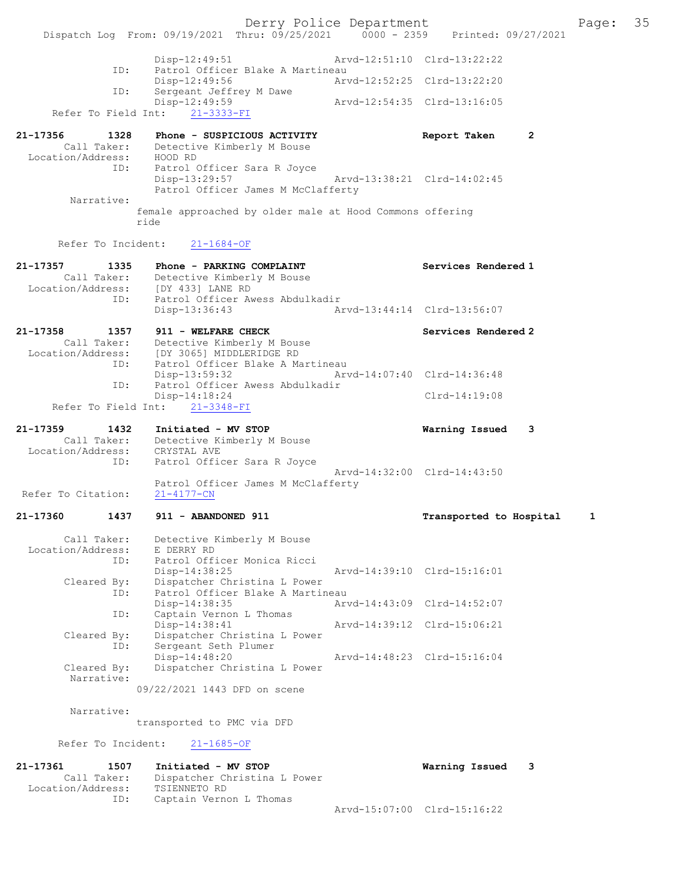Derry Police Department<br>Page: 35 Printed: 09/27/2021 0000 - 2359 Printed: 09/27/2021 Dispatch Log From: 09/19/2021 Thru: 09/25/2021 0000 - 2359 Disp-12:49:51 Arvd-12:51:10 Clrd-13:22:22 ID: Patrol Officer Blake A Martineau<br>Disp-12:49:56 Art Disp-12:49:56 Arvd-12:52:25 Clrd-13:22:20<br>ID: Sergeant Jeffrey M Dawe Sergeant Jeffrey M Dawe<br>Disp-12:49:59 Disp-12:49:59 Arvd-12:54:35 Clrd-13:16:05 Refer To Field Int: 21-3333-FI 21-17356 1328 Phone - SUSPICIOUS ACTIVITY Report Taken 2<br>Call Taker: Detective Kimberly M Bouse Call Taker: Detective Kimberly M Bouse Location/Address: HOOD RD ID: Patrol Officer Sara R Joyce Disp-13:29:57 Arvd-13:38:21 Clrd-14:02:45 Patrol Officer James M McClafferty Narrative: female approached by older male at Hood Commons offering ride Refer To Incident: 21-1684-OF 21-17357 1335 Phone - PARKING COMPLAINT Services Rendered 1 Call Taker: Detective Kimberly M Bouse Location/Address: [DY 433] LANE RD ess: الله عليه عليه عليه الله التي الله .<br>ID: Patrol Officer Awess Abdulkadir<br>Disp-13:36:43 Disp-13:36:43 Arvd-13:44:14 Clrd-13:56:07 21-17358 1357 911 - WELFARE CHECK Services Rendered 2 Call Taker: Detective Kimberly M Bouse Location/Address: [DY 3065] MIDDLERIDGE RD ID: Patrol Officer Blake A Martineau Disp-13:59:32 Arvd-14:07:40 Clrd-14:36:48 Patrol Officer Awess Abdulkadir Disp-14:18:24 Clrd-14:19:08 Refer To Field Int: 21-3348-FI 21-17359 1432 Initiated - MV STOP Warning Issued 3 Call Taker: Detective Kimberly M Bouse Location/Address: CRYSTAL AVE ID: Patrol Officer Sara R Joyce Arvd-14:32:00 Clrd-14:43:50 Patrol Officer James M McClafferty Refer To Citation: 21-4177-CN 21-17360 1437 911 - ABANDONED 911 Transported to Hospital 1 Call Taker: Detective Kimberly M Bouse Location/Address: E DERRY RD ID: Patrol Officer Monica Ricci Disp-14:38:25 Arvd-14:39:10 Clrd-15:16:01<br>Cleared By: Dispatcher Christina L Power Cleared By: Dispatcher Christina L Power ID: Patrol Officer Blake A Martineau Disp-14:38:35 Arvd-14:43:09 Clrd-14:52:07 ID: Captain Vernon L Thomas Disp-14:38:41 Arvd-14:39:12 Clrd-15:06:21<br>Cleared By: Dispatcher Christina L Power Cleared By: Dispatcher Christina L Power ID: Sergeant Seth Plumer Disp-14:48:20 Arvd-14:48:23 Clrd-15:16:04 Cleared By: Dispatcher Christina L Power Narrative: 09/22/2021 1443 DFD on scene Narrative: transported to PMC via DFD Refer To Incident: 21-1685-OF 21-17361 1507 Initiated - MV STOP Warning Issued 3 Call Taker: Dispatcher Christina L Power Location/Address: TSIENNETO RD<br>ID: Captain Verne Captain Vernon L Thomas Arvd-15:07:00 Clrd-15:16:22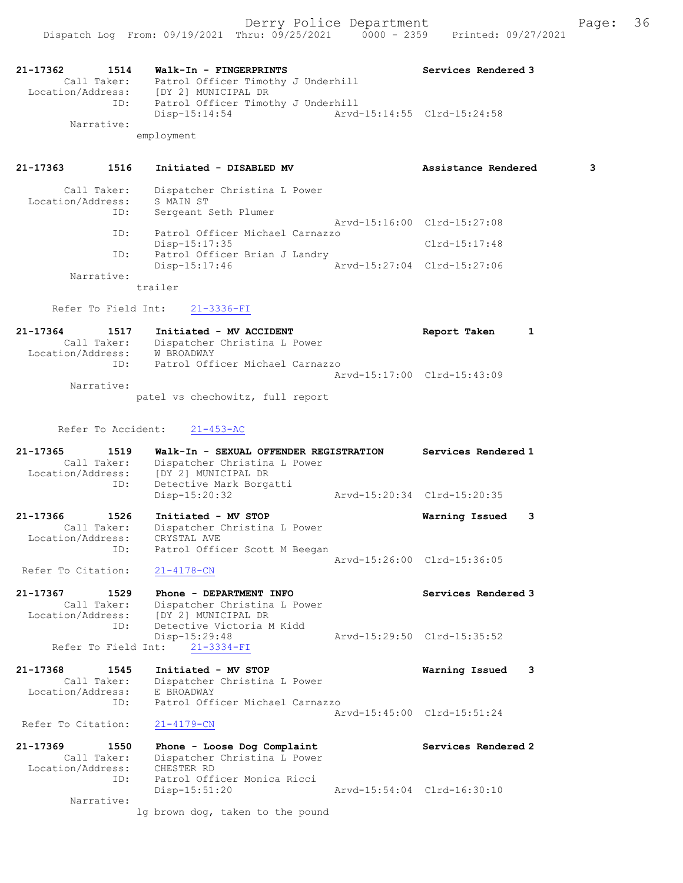| 21-17362<br>1514<br>Call Taker:                             | Walk-In - FINGERPRINTS<br>Patrol Officer Timothy J Underhill<br>Location/Address: [DY 2] MUNICIPAL DR                    | Services Rendered 3         |
|-------------------------------------------------------------|--------------------------------------------------------------------------------------------------------------------------|-----------------------------|
| ID:<br>Narrative:                                           | Patrol Officer Timothy J Underhill<br>$Disp-15:14:54$                                                                    | Arvd-15:14:55 Clrd-15:24:58 |
|                                                             | employment                                                                                                               |                             |
| 21-17363<br>1516                                            | Initiated - DISABLED MV                                                                                                  | Assistance Rendered<br>3    |
| Call Taker:<br>Location/Address:<br>ID:                     | Dispatcher Christina L Power<br>S MAIN ST<br>Sergeant Seth Plumer                                                        |                             |
| ID:                                                         | Patrol Officer Michael Carnazzo                                                                                          | Arvd-15:16:00 Clrd-15:27:08 |
| ID:                                                         | Disp-15:17:35<br>Patrol Officer Brian J Landry                                                                           | $Clrd-15:17:48$             |
| Narrative:                                                  | $Disp-15:17:46$                                                                                                          | Arvd-15:27:04 Clrd-15:27:06 |
|                                                             | trailer                                                                                                                  |                             |
| Refer To Field Int:                                         | $21 - 3336 - FI$                                                                                                         |                             |
| $21 - 17364$<br>1517                                        | Initiated - MV ACCIDENT<br>Call Taker: Dispatcher Christina L Power<br>Location/Address: W BROADWAY                      | Report Taken<br>1           |
| ID:                                                         | Patrol Officer Michael Carnazzo                                                                                          | Arvd-15:17:00 Clrd-15:43:09 |
| Narrative:                                                  | patel vs chechowitz, full report                                                                                         |                             |
|                                                             |                                                                                                                          |                             |
| Refer To Accident:                                          | $21 - 453 - AC$                                                                                                          |                             |
| 21-17365<br>1519<br>Call Taker:<br>Location/Address:<br>ID: | Walk-In - SEXUAL OFFENDER REGISTRATION<br>Dispatcher Christina L Power<br>[DY 2] MUNICIPAL DR<br>Detective Mark Borgatti | Services Rendered 1         |
|                                                             | Disp-15:20:32                                                                                                            | Arvd-15:20:34 Clrd-15:20:35 |
| 21-17366<br>1526<br>Call Taker:<br>Location/Address:        | Initiated - MV STOP<br>Dispatcher Christina L Power<br>CRYSTAL AVE                                                       | 3<br>Warning Issued         |
| ID:<br>Refer To Citation:                                   | Patrol Officer Scott M Beegan<br>$21 - 4178 - CN$                                                                        | Arvd-15:26:00 Clrd-15:36:05 |
| 21-17367<br>1529<br>Call Taker:<br>Location/Address:        | Phone - DEPARTMENT INFO<br>Dispatcher Christina L Power<br>[DY 2] MUNICIPAL DR                                           | Services Rendered 3         |
| ID:<br>Refer To Field Int:                                  | Detective Victoria M Kidd<br>Disp-15:29:48<br>$21 - 3334 - FI$                                                           | Arvd-15:29:50 Clrd-15:35:52 |
| 21-17368<br>1545<br>Call Taker:<br>Location/Address:        | Initiated - MV STOP<br>Dispatcher Christina L Power<br>E BROADWAY                                                        | Warning Issued<br>3         |
| ID:<br>Refer To Citation:                                   | Patrol Officer Michael Carnazzo<br>$21 - 4179 - CN$                                                                      | Arvd-15:45:00 Clrd-15:51:24 |
| 21-17369<br>1550                                            | Phone - Loose Dog Complaint                                                                                              | Services Rendered 2         |
| Call Taker:<br>Location/Address:<br>ID:                     | Dispatcher Christina L Power<br>CHESTER RD<br>Patrol Officer Monica Ricci<br>Disp-15:51:20                               | Arvd-15:54:04 Clrd-16:30:10 |
| Narrative:                                                  | lg brown dog, taken to the pound                                                                                         |                             |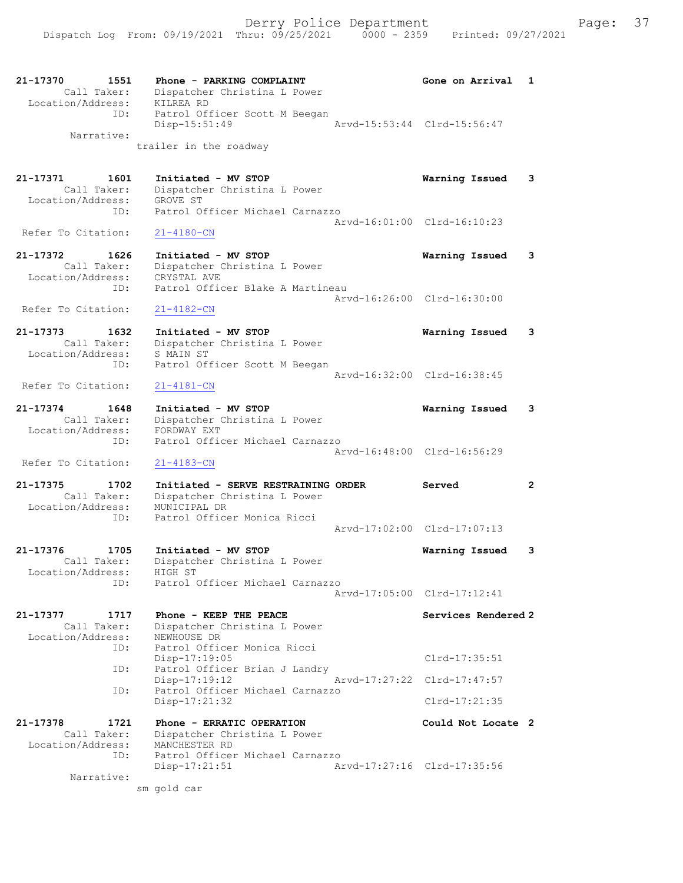| 21-17370<br>1551<br>Call Taker:<br>Location/Address:<br>ID: | Phone - PARKING COMPLAINT<br>Dispatcher Christina L Power<br>KILREA RD<br>Patrol Officer Scott M Beegan | Gone on Arrival             | 1                     |
|-------------------------------------------------------------|---------------------------------------------------------------------------------------------------------|-----------------------------|-----------------------|
| Narrative:                                                  | $Disp-15:51:49$<br>trailer in the roadway                                                               | Arvd-15:53:44 Clrd-15:56:47 |                       |
|                                                             |                                                                                                         |                             |                       |
| 21–17371<br>1601<br>Call Taker:<br>Location/Address:<br>ID: | Initiated - MV STOP<br>Dispatcher Christina L Power<br>GROVE ST<br>Patrol Officer Michael Carnazzo      | Warning Issued              | 3                     |
|                                                             |                                                                                                         | Arvd-16:01:00 Clrd-16:10:23 |                       |
| Refer To Citation:                                          | $21 - 4180 - CN$                                                                                        |                             |                       |
| 21-17372<br>1626<br>Call Taker:<br>Location/Address:<br>ID: | Initiated - MV STOP<br>Dispatcher Christina L Power<br>CRYSTAL AVE<br>Patrol Officer Blake A Martineau  | Warning Issued              | 3                     |
| Refer To Citation:                                          | $21 - 4182 - CN$                                                                                        | Arvd-16:26:00 Clrd-16:30:00 |                       |
| 21-17373<br>1632<br>Call Taker:<br>Location/Address:        | Initiated - MV STOP<br>Dispatcher Christina L Power<br>S MAIN ST                                        | Warning Issued              | 3                     |
| ID:                                                         | Patrol Officer Scott M Beegan                                                                           |                             |                       |
| Refer To Citation:                                          | $21 - 4181 - CN$                                                                                        | Arvd-16:32:00 Clrd-16:38:45 |                       |
| 21-17374<br>1648<br>Call Taker:<br>Location/Address:        | Initiated - MV STOP<br>Dispatcher Christina L Power<br>FORDWAY EXT                                      | Warning Issued              | 3                     |
| ID:                                                         | Patrol Officer Michael Carnazzo                                                                         | Arvd-16:48:00 Clrd-16:56:29 |                       |
| Refer To Citation:                                          | $21 - 4183 - CN$                                                                                        |                             |                       |
| 21-17375<br>1702<br>Call Taker:                             | Initiated - SERVE RESTRAINING ORDER<br>Dispatcher Christina L Power                                     | Served                      | $\mathbf{2}^{\prime}$ |
| Location/Address:<br>ID:                                    | MUNICIPAL DR<br>Patrol Officer Monica Ricci                                                             |                             |                       |
|                                                             |                                                                                                         | Arvd-17:02:00 Clrd-17:07:13 |                       |
| 21-17376<br>1705<br>Call Taker:<br>Location/Address:        | Initiated - MV STOP<br>Dispatcher Christina L Power<br>HIGH ST                                          | Warning Issued              | 3                     |
| ID:                                                         | Patrol Officer Michael Carnazzo                                                                         | Arvd-17:05:00 Clrd-17:12:41 |                       |
| 21-17377<br>1717<br>Call Taker:<br>Location/Address:        | Phone - KEEP THE PEACE<br>Dispatcher Christina L Power<br>NEWHOUSE DR                                   | Services Rendered 2         |                       |
| ID:                                                         | Patrol Officer Monica Ricci<br>Disp-17:19:05                                                            | $Clrd-17:35:51$             |                       |
| ID:                                                         | Patrol Officer Brian J Landry<br>Disp-17:19:12                                                          | Arvd-17:27:22 Clrd-17:47:57 |                       |
| ID:                                                         | Patrol Officer Michael Carnazzo<br>Disp-17:21:32                                                        | $Clrd-17:21:35$             |                       |
| 21-17378<br>1721                                            | Phone - ERRATIC OPERATION                                                                               | Could Not Locate 2          |                       |
| Call Taker:<br>Location/Address:<br>ID:                     | Dispatcher Christina L Power<br>MANCHESTER RD<br>Patrol Officer Michael Carnazzo                        |                             |                       |
| Narrative:                                                  | $Disp-17:21:51$<br>sm gold car                                                                          | Arvd-17:27:16 Clrd-17:35:56 |                       |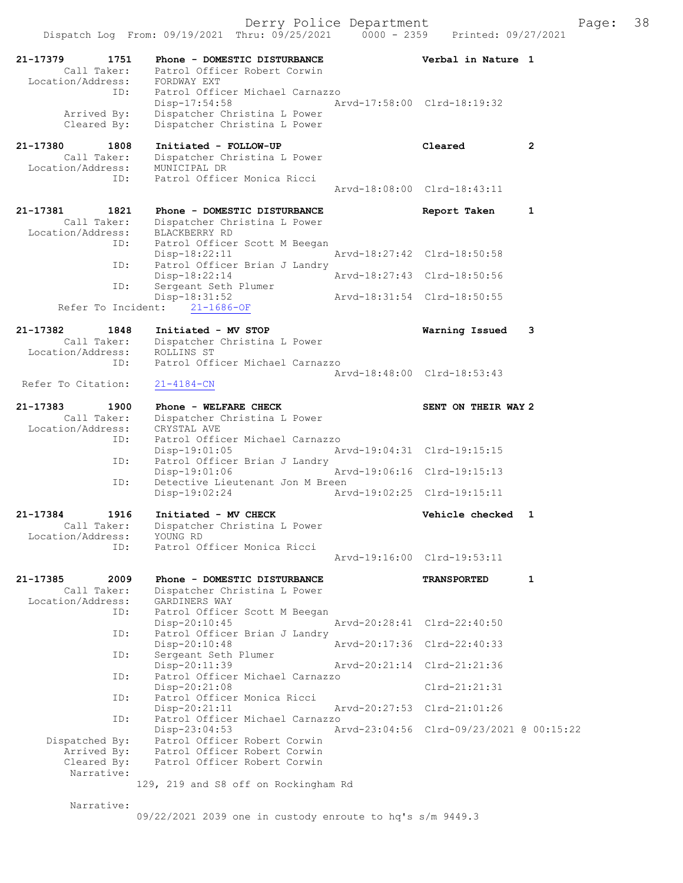| 21-17379<br>1751                 | Phone - DOMESTIC DISTURBANCE                                 | Verbal in Nature 1                       |              |
|----------------------------------|--------------------------------------------------------------|------------------------------------------|--------------|
| Call Taker:<br>Location/Address: | Patrol Officer Robert Corwin<br>FORDWAY EXT                  |                                          |              |
| ID:                              | Patrol Officer Michael Carnazzo                              |                                          |              |
| Arrived By:                      | Disp-17:54:58<br>Dispatcher Christina L Power                | Arvd-17:58:00 Clrd-18:19:32              |              |
| Cleared By:                      | Dispatcher Christina L Power                                 |                                          |              |
| 21-17380<br>1808                 | Initiated - FOLLOW-UP                                        | Cleared                                  | $\mathbf{2}$ |
| Call Taker:<br>Location/Address: | Dispatcher Christina L Power<br>MUNICIPAL DR                 |                                          |              |
| ID:                              | Patrol Officer Monica Ricci                                  | Arvd-18:08:00 Clrd-18:43:11              |              |
|                                  |                                                              |                                          |              |
| 21-17381<br>1821<br>Call Taker:  | Phone - DOMESTIC DISTURBANCE<br>Dispatcher Christina L Power | Report Taken                             | 1            |
| Location/Address:                | BLACKBERRY RD                                                |                                          |              |
| ID:                              | Patrol Officer Scott M Beegan<br>$Disp-18:22:11$             | Arvd-18:27:42 Clrd-18:50:58              |              |
| ID:                              | Patrol Officer Brian J Landry<br>Disp-18:22:14               | Arvd-18:27:43 Clrd-18:50:56              |              |
| ID:                              | Sergeant Seth Plumer                                         |                                          |              |
| Refer To Incident:               | $Disp-18:31:52$<br>$21 - 1686 - OF$                          | Aryd-18:31:54 Clrd-18:50:55              |              |
| 21-17382<br>1848                 | Initiated - MV STOP                                          | Warning Issued                           | 3            |
| Call Taker:                      | Dispatcher Christina L Power                                 |                                          |              |
| Location/Address:<br>ID:         | ROLLINS ST<br>Patrol Officer Michael Carnazzo                |                                          |              |
|                                  |                                                              | Arvd-18:48:00 Clrd-18:53:43              |              |
| Refer To Citation:               | $21 - 4184 - CN$                                             |                                          |              |
| 21-17383<br>1900<br>Call Taker:  | Phone - WELFARE CHECK                                        | SENT ON THEIR WAY 2                      |              |
| Location/Address:                | Dispatcher Christina L Power<br>CRYSTAL AVE                  |                                          |              |
| ID:                              | Patrol Officer Michael Carnazzo<br>$Disp-19:01:05$           | Arvd-19:04:31 Clrd-19:15:15              |              |
| ID:                              | Patrol Officer Brian J Landry                                |                                          |              |
| ID:                              | $Disp-19:01:06$<br>Detective Lieutenant Jon M Breen          | Arvd-19:06:16 Clrd-19:15:13              |              |
|                                  | Disp-19:02:24                                                | Arvd-19:02:25 Clrd-19:15:11              |              |
| 21-17384<br>1916                 | Initiated - MV CHECK                                         | Vehicle checked                          | 1            |
| Call Taker:<br>Location/Address: | Dispatcher Christina L Power<br>YOUNG RD                     |                                          |              |
| TD:                              | Patrol Officer Monica Ricci                                  |                                          |              |
|                                  |                                                              | Arvd-19:16:00 Clrd-19:53:11              |              |
| 21-17385<br>2009<br>Call Taker:  | Phone - DOMESTIC DISTURBANCE<br>Dispatcher Christina L Power | <b>TRANSPORTED</b>                       | $\mathbf{1}$ |
| Location/Address:                | GARDINERS WAY                                                |                                          |              |
| ID:                              | Patrol Officer Scott M Beegan<br>Disp-20:10:45               | Arvd-20:28:41 Clrd-22:40:50              |              |
| ID:                              | Patrol Officer Brian J Landry                                |                                          |              |
| ID:                              | Disp-20:10:48<br>Sergeant Seth Plumer                        | Arvd-20:17:36 Clrd-22:40:33              |              |
| ID:                              | Disp-20:11:39<br>Patrol Officer Michael Carnazzo             | Arvd-20:21:14 Clrd-21:21:36              |              |
|                                  | Disp-20:21:08                                                | $Clrd-21:21:31$                          |              |
| ID:                              | Patrol Officer Monica Ricci<br>Disp-20:21:11                 | Arvd-20:27:53 Clrd-21:01:26              |              |
| ID:                              | Patrol Officer Michael Carnazzo<br>Disp-23:04:53             | Arvd-23:04:56 Clrd-09/23/2021 @ 00:15:22 |              |
| Dispatched By:                   | Patrol Officer Robert Corwin                                 |                                          |              |
| Arrived By:<br>Cleared By:       | Patrol Officer Robert Corwin<br>Patrol Officer Robert Corwin |                                          |              |
| Narrative:                       |                                                              |                                          |              |
|                                  | 129, 219 and S8 off on Rockingham Rd                         |                                          |              |
| Narrative:                       |                                                              |                                          |              |

09/22/2021 2039 one in custody enroute to hq's s/m 9449.3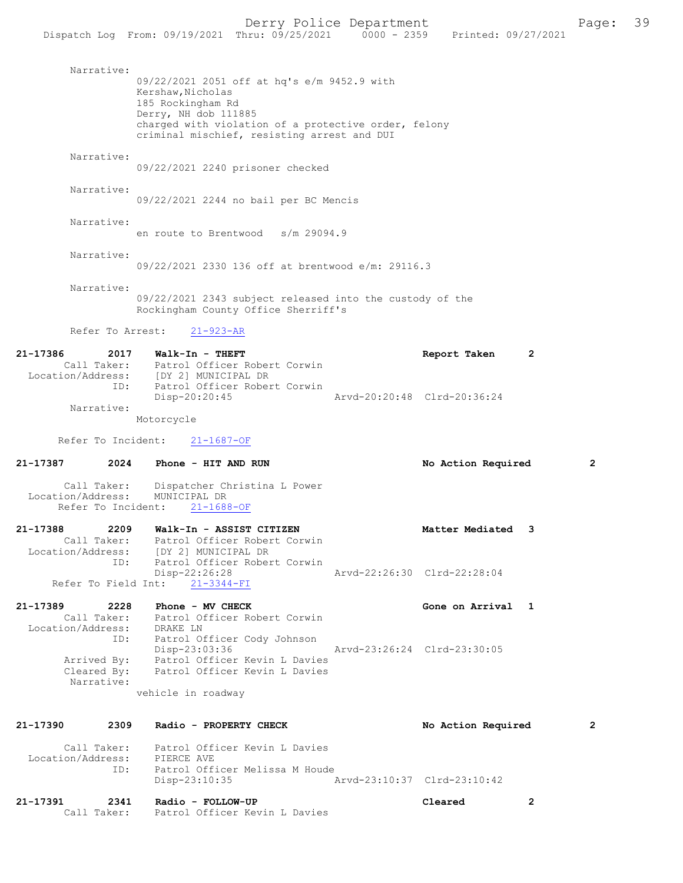|                     |             | Dispatch Log From: 09/19/2021 Thru: 09/25/2021 0000 - 2359 Printed: 09/27/2021    |                                |                                                          |                             |              |
|---------------------|-------------|-----------------------------------------------------------------------------------|--------------------------------|----------------------------------------------------------|-----------------------------|--------------|
|                     |             |                                                                                   |                                |                                                          |                             |              |
|                     | Narrative:  | 09/22/2021 2051 off at hq's e/m 9452.9 with                                       |                                |                                                          |                             |              |
|                     |             | Kershaw, Nicholas                                                                 |                                |                                                          |                             |              |
|                     |             | 185 Rockingham Rd                                                                 |                                |                                                          |                             |              |
|                     |             | Derry, NH dob 111885                                                              |                                |                                                          |                             |              |
|                     |             |                                                                                   |                                | charged with violation of a protective order, felony     |                             |              |
|                     |             | criminal mischief, resisting arrest and DUI                                       |                                |                                                          |                             |              |
|                     | Narrative:  |                                                                                   |                                |                                                          |                             |              |
|                     |             | 09/22/2021 2240 prisoner checked                                                  |                                |                                                          |                             |              |
|                     |             |                                                                                   |                                |                                                          |                             |              |
|                     | Narrative:  | 09/22/2021 2244 no bail per BC Mencis                                             |                                |                                                          |                             |              |
|                     |             |                                                                                   |                                |                                                          |                             |              |
|                     | Narrative:  |                                                                                   |                                |                                                          |                             |              |
|                     |             | en route to Brentwood s/m 29094.9                                                 |                                |                                                          |                             |              |
|                     |             |                                                                                   |                                |                                                          |                             |              |
|                     | Narrative:  |                                                                                   |                                | 09/22/2021 2330 136 off at brentwood e/m: 29116.3        |                             |              |
|                     |             |                                                                                   |                                |                                                          |                             |              |
|                     | Narrative:  |                                                                                   |                                |                                                          |                             |              |
|                     |             |                                                                                   |                                | 09/22/2021 2343 subject released into the custody of the |                             |              |
|                     |             | Rockingham County Office Sherriff's                                               |                                |                                                          |                             |              |
|                     |             | Refer To Arrest:<br>$21 - 923 - AR$                                               |                                |                                                          |                             |              |
|                     |             |                                                                                   |                                |                                                          |                             |              |
| 21-17386            |             | 2017 Walk-In - THEFT                                                              |                                |                                                          | Report Taken                | 2            |
|                     |             | Call Taker: Patrol Officer Robert Corwin<br>Location/Address: [DY 2] MUNICIPAL DR |                                |                                                          |                             |              |
|                     | ID:         |                                                                                   | Patrol Officer Robert Corwin   |                                                          |                             |              |
|                     |             | Disp-20:20:45                                                                     |                                |                                                          | Arvd-20:20:48 Clrd-20:36:24 |              |
|                     | Narrative:  |                                                                                   |                                |                                                          |                             |              |
|                     |             | Motorcycle                                                                        |                                |                                                          |                             |              |
| Refer To Incident:  |             | $21 - 1687 - OF$                                                                  |                                |                                                          |                             |              |
| 21-17387            | 2024        | Phone - HIT AND RUN                                                               |                                |                                                          | No Action Required          | $\mathbf{2}$ |
|                     |             |                                                                                   |                                |                                                          |                             |              |
|                     | Call Taker: |                                                                                   | Dispatcher Christina L Power   |                                                          |                             |              |
| Location/Address:   |             | MUNICIPAL DR<br>Refer To Incident:<br>$21 - 1688 - OF$                            |                                |                                                          |                             |              |
|                     |             |                                                                                   |                                |                                                          |                             |              |
| 21-17388            |             | 2209 Walk-In - ASSIST CITIZEN                                                     |                                |                                                          | Matter Mediated             |              |
|                     |             | Call Taker: Patrol Officer Robert Corwin                                          |                                |                                                          |                             |              |
|                     |             | Location/Address: [DY 2] MUNICIPAL DR                                             |                                |                                                          |                             |              |
|                     | ID:         |                                                                                   | Patrol Officer Robert Corwin   |                                                          |                             |              |
| Refer To Field Int: |             | Disp-22:26:28<br>$21 - 3344 - FI$                                                 |                                |                                                          | Arvd-22:26:30 Clrd-22:28:04 |              |
|                     |             |                                                                                   |                                |                                                          |                             |              |
| 21-17389            | 2228        | Phone - MV CHECK                                                                  |                                |                                                          | Gone on Arrival 1           |              |
|                     | Call Taker: |                                                                                   | Patrol Officer Robert Corwin   |                                                          |                             |              |
|                     |             | Location/Address: DRAKE LN                                                        |                                |                                                          |                             |              |
|                     |             | ID: Patrol Officer Cody Johnson<br>Disp-23:03:36                                  |                                |                                                          | Arvd-23:26:24 Clrd-23:30:05 |              |
|                     |             | Arrived By: Patrol Officer Kevin L Davies                                         |                                |                                                          |                             |              |
|                     |             | Cleared By: Patrol Officer Kevin L Davies                                         |                                |                                                          |                             |              |
|                     | Narrative:  |                                                                                   |                                |                                                          |                             |              |
|                     |             | vehicle in roadway                                                                |                                |                                                          |                             |              |
|                     |             |                                                                                   |                                |                                                          |                             |              |
| 21-17390            | 2309        | Radio - PROPERTY CHECK                                                            |                                |                                                          | No Action Required          | $\mathbf{2}$ |
|                     |             | Call Taker: Patrol Officer Kevin L Davies                                         |                                |                                                          |                             |              |
|                     |             | Location/Address: PIERCE AVE                                                      |                                |                                                          |                             |              |
|                     | ID:         |                                                                                   | Patrol Officer Melissa M Houde |                                                          |                             |              |

21-17391 2341 Radio - FOLLOW-UP Cleared 2 Call Taker: Patrol Officer Kevin L Davies

Disp-23:10:35 Arvd-23:10:37 Clrd-23:10:42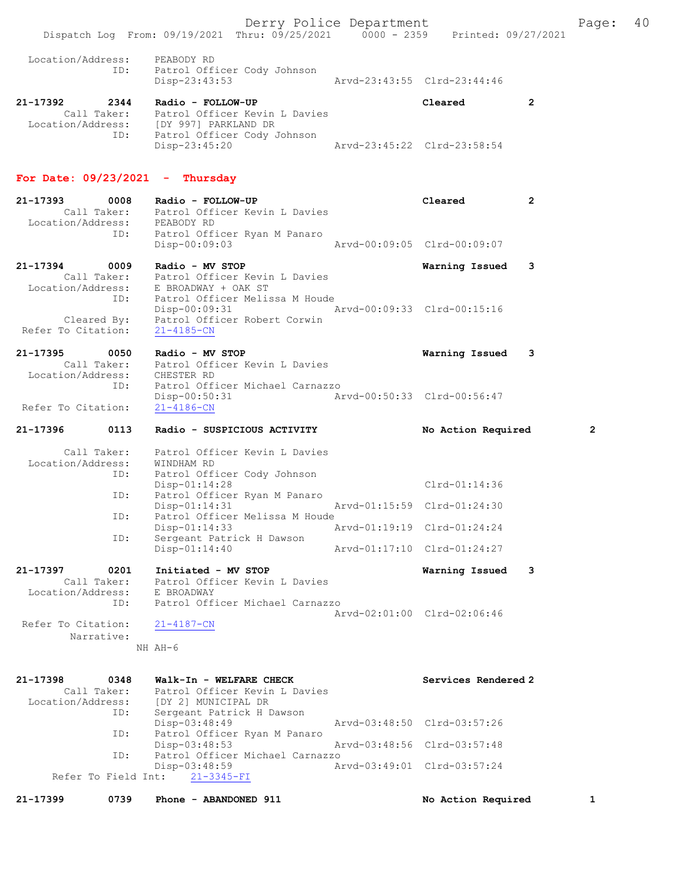Derry Police Department Fage: 40 Dispatch Log From: 09/19/2021 Thru: 09/25/2021 0000 - 2359 Printed: 09/27/2021 Location/Address: PEABODY RD<br>ID: Patrol Officer<br>Disp-23:43:53 Patrol Officer Cody Johnson Disp-23:43:53 Arvd-23:43:55 Clrd-23:44:46 21-17392 2344 Radio - FOLLOW-UP Cleared 2 Call Taker: Patrol Officer Kevin L Davies Location/Address: [DY 997] PARKLAND DR ID: Patrol Officer Cody Johnson Disp-23:45:20 Arvd-23:45:22 Clrd-23:58:54 For Date:  $09/23/2021$  - Thursday 21-17393 0008 Radio - FOLLOW-UP Cleared 2 Call Taker: Patrol Officer Kevin L Davies 17393<br>Call Taker: Patrol Ull<br>Location/Address: PEABODY RD ID: Patrol Officer Ryan M Panaro<br>Disp-00:09:03 Disp-00:09:03 Arvd-00:09:05 Clrd-00:09:07 21-17394 0009 Radio - MV STOP Warning Issued 3 Call Taker: Patrol Officer Kevin L Davies Location/Address: E BROADWAY + OAK ST ID: Patrol Officer Melissa M Houde Disp-00:09:31 Arvd-00:09:33 Clrd-00:15:16 Cleared By: Patrol Officer Robert Corwin Refer To Citation: 21-4185-CN 21-17395 0050 Radio - MV STOP Warning Issued 3 Call Taker: Patrol Officer Kevin L Davies Location/Address: CHESTER RD ID: Patrol Officer Michael Carnazzo Disp-00:50:31 Arvd-00:50:33 Clrd-00:56:47 Refer To Citation: 21-4186-CN 21-17396 0113 Radio - SUSPICIOUS ACTIVITY No Action Required 2 Call Taker: Patrol Officer Kevin L Davies Location/Address: WINDHAM RD ID: Patrol Officer Cody Johnson Disp-01:14:28 Clrd-01:14:36 ID: Patrol Officer Ryan M Panaro Disp-01:14:31 Arvd-01:15:59 Clrd-01:24:30 ID: Patrol Officer Melissa M Houde Disp-01:14:33 Arvd-01:19:19 Clrd-01:24:24 ID: Sergeant Patrick H Dawson Disp-01:14:40 Arvd-01:17:10 Clrd-01:24:27 21-17397 0201 Initiated - MV STOP Warning Issued 3 Call Taker: Patrol Officer Kevin L Davies Location/Address: E BROADWAY ID: Patrol Officer Michael Carnazzo Arvd-02:01:00 Clrd-02:06:46 Refer To Citation: 21-4187-CN Narrative: NH AH-6 21-17398 0348 Walk-In - WELFARE CHECK Services Rendered 2 Call Taker: Patrol Officer Kevin L Davies Location/Address: [DY 2] MUNICIPAL DR<br>ID: Sergeant Patrick H Da Sergeant Patrick H Dawson<br>Disp-03:48:49 Disp-03:48:49 Arvd-03:48:50 Clrd-03:57:26<br>ID: Patrol Officer Ryan M Panaro Patrol Officer Ryan M Panaro<br>Diso-03:48:53 Disp-03:48:53 Arvd-03:48:56 Clrd-03:57:48 ID: Patrol Officer Michael Carnazzo Disp-03:48:59 Arvd-03:49:01 Clrd-03:57:24 Refer To Field Int: 21-3345-FI

21-17399 0739 Phone - ABANDONED 911 1 No Action Required 1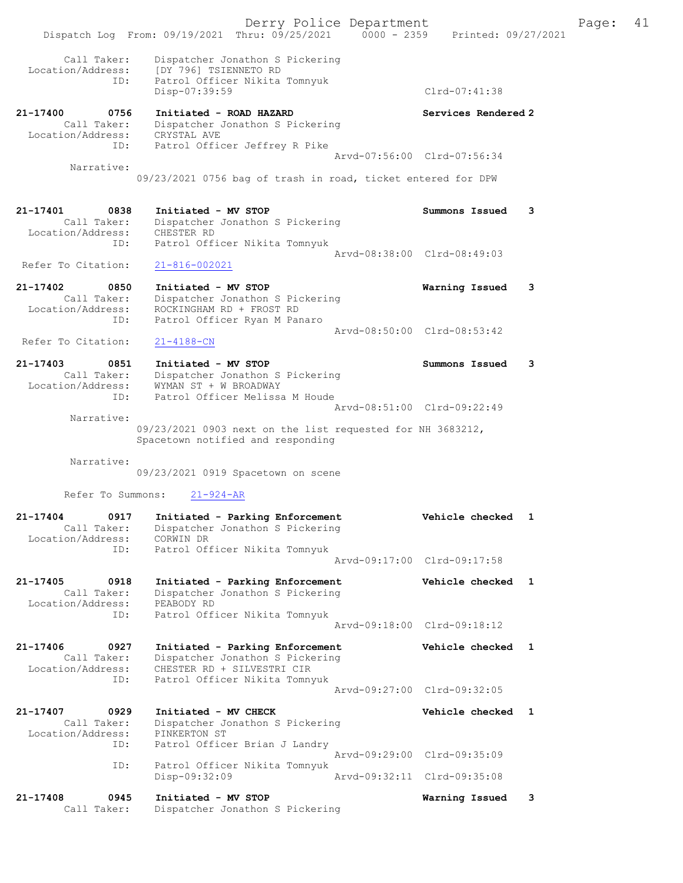Derry Police Department Fage: 41 Dispatch Log From: 09/19/2021 Thru: 09/25/2021 0000 - 2359 Printed: 09/27/2021 Call Taker: Dispatcher Jonathon S Pickering Location/Address: [DY 796] TSIENNETO RD ID: Patrol Officer Nikita Tomnyuk Disp-07:39:59 Clrd-07:41:38 21-17400 0756 Initiated - ROAD HAZARD Services Rendered 2 Call Taker: Dispatcher Jonathon S Pickering Location/Address: CRYSTAL AVE ID: Patrol Officer Jeffrey R Pike Arvd-07:56:00 Clrd-07:56:34 Narrative: 09/23/2021 0756 bag of trash in road, ticket entered for DPW 21-17401 0838 Initiated - MV STOP Summons Issued 3 Call Taker: Dispatcher Jonathon S Pickering Location/Address: CHESTER RD ID: Patrol Officer Nikita Tomnyuk Arvd-08:38:00 Clrd-08:49:03 Refer To Citation: 21-816-002021 21-17402 0850 Initiated - MV STOP Warning Issued 3 Call Taker: Dispatcher Jonathon S Pickering Location/Address: ROCKINGHAM RD + FROST RD ID: Patrol Officer Ryan M Panaro Arvd-08:50:00 Clrd-08:53:42<br>21-4188-CN Refer To Citation: 21-17403 0851 Initiated - MV STOP Summons Issued 3 Call Taker: Dispatcher Jonathon S Pickering Location/Address: WYMAN ST + W BROADWAY ID: Patrol Officer Melissa M Houde Arvd-08:51:00 Clrd-09:22:49 Narrative: 09/23/2021 0903 next on the list requested for NH 3683212, Spacetown notified and responding Narrative: 09/23/2021 0919 Spacetown on scene Refer To Summons: 21-924-AR 21-17404 0917 Initiated - Parking Enforcement Vehicle checked 1 Call Taker: Dispatcher Jonathon S Pickering Location/Address: CORWIN DR ID: Patrol Officer Nikita Tomnyuk Arvd-09:17:00 Clrd-09:17:58 21-17405 0918 Initiated - Parking Enforcement Vehicle checked 1 Call Taker: Dispatcher Jonathon S Pickering Location/Address: PEABODY RD ID: Patrol Officer Nikita Tomnyuk Arvd-09:18:00 Clrd-09:18:12 21-17406 0927 Initiated - Parking Enforcement Vehicle checked 1 Call Taker: Dispatcher Jonathon S Pickering Location/Address: CHESTER RD + SILVESTRI CIR ID: Patrol Officer Nikita Tomnyuk Arvd-09:27:00 Clrd-09:32:05 21-17407 0929 Initiated - MV CHECK Vehicle checked 1 Call Taker: Dispatcher Jonathon S Pickering Location/Address: PINKERTON ST ID: Patrol Officer Brian J Landry Arvd-09:29:00 Clrd-09:35:09<br>ID: Patrol Officer Nikita Tomnyuk ID: Patrol Officer Nikita Tomnyuk Disp-09:32:09 21-17408 0945 Initiated - MV STOP Warning Issued 3 Call Taker: Dispatcher Jonathon S Pickering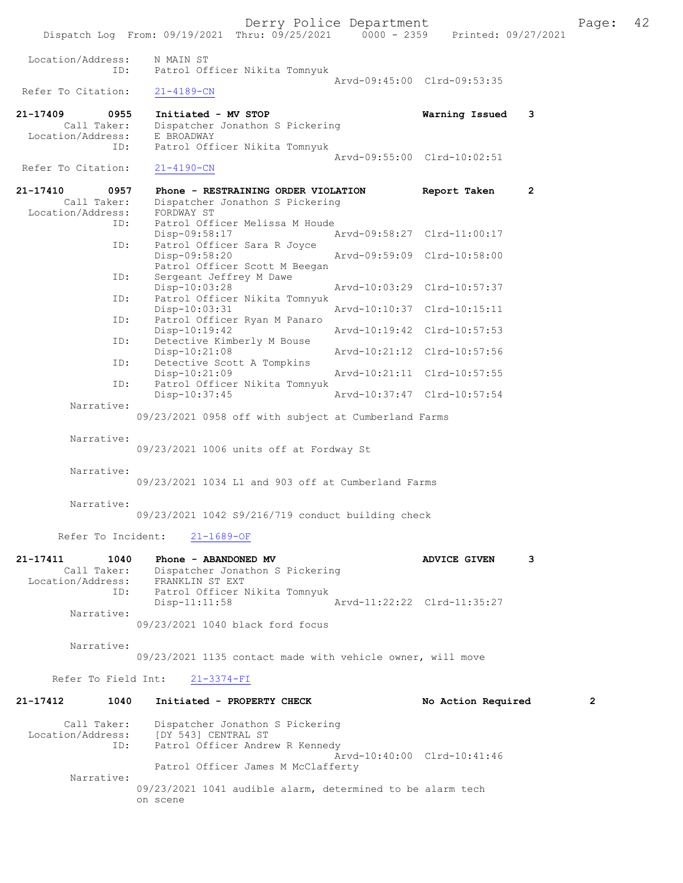Derry Police Department The Page: 42 Dispatch Log From: 09/19/2021 Thru: 09/25/2021 0000 - 2359 Printed: 09/27/2021 Location/Address: N MAIN ST ID: Patrol Officer Nikita Tomnyuk Arvd-09:45:00 Clrd-09:53:35<br>21-4189-CN Refer To Citation: 21-17409 0955 Initiated - MV STOP Warning Issued 3 Call Taker: Dispatcher Jonathon S Pickering Location/Address:<br>ID: -------<br>E BROADWAY<br>Patrol Officer Nikita Tomnyuk Arvd-09:55:00 Clrd-10:02:51<br>21-4190-CN Refer To Citation: 21-17410 0957 Phone - RESTRAINING ORDER VIOLATION Report Taken 2 Call Taker: Dispatcher Jonathon S Pickering<br>ion/Address: FORDWAY ST Location/Address:<br>ID: Patrol Officer Melissa M Houde<br>Disp-09:58:17 Disp-09:58:17 Arvd-09:58:27 Clrd-11:00:17<br>TD: Patrol Officer Sara R Joyce Patrol Officer Sara R Joyce<br>Disp-09:58:20 Disp-09:58:20 Arvd-09:59:09 Clrd-10:58:00 Patrol Officer Scott M Beegan<br>ID: Sergeant Jeffrey M Dawe Sergeant Jeffrey M Dawe<br>Disp-10:03:28 Disp-10:03:28 Arvd-10:03:29 Clrd-10:57:37<br>ID: Patrol Officer Nikita Tomnyuk Patrol Officer Nikita Tomnyuk<br>Disp-10:03:31 Disp-10:03:31 Arvd-10:10:37 Clrd-10:15:11 ID: Patrol Officer Ryan M Panaro Disp-10:19:42 <br>
Detective Kimberly M Bouse <br>
Detective Kimberly M Bouse Detective Kimberly M Bouse Disp-10:21:08 Arvd-10:21:12 Clrd-10:57:56<br>ID: Detective Scott A Tompkins Detective Scott A Tompkins<br>Disp-10:21:09 Disp-10:21:09 Arvd-10:21:11 Clrd-10:57:55<br>TD: Patrol Officer Nikita Tomnvuk Patrol Officer Nikita Tomnyuk<br>Disp-10:37:45 Disp-10:37:45 Arvd-10:37:47 Clrd-10:57:54 Narrative: 09/23/2021 0958 off with subject at Cumberland Farms Narrative: 09/23/2021 1006 units off at Fordway St Narrative: 09/23/2021 1034 L1 and 903 off at Cumberland Farms Narrative: 09/23/2021 1042 S9/216/719 conduct building check Refer To Incident: 21-1689-OF 21-17411 1040 Phone - ABANDONED MV ADVICE GIVEN 3 Dispatcher Jonathon S Pickering Location/Address: FRANKLIN ST EXT ID: Patrol Officer Nikita Tomnyuk Disp-11:11:58 Arvd-11:22:22 Clrd-11:35:27 Narrative: 09/23/2021 1040 black ford focus Narrative: 09/23/2021 1135 contact made with vehicle owner, will move Refer To Field Int: 21-3374-FI 21-17412 1040 Initiated - PROPERTY CHECK No Action Required 2 Call Taker: Dispatcher Jonathon S Pickering Location/Address: [DY 543] CENTRAL ST ID: Patrol Officer Andrew R Kennedy Arvd-10:40:00 Clrd-10:41:46 Patrol Officer James M McClafferty Narrative:

> 09/23/2021 1041 audible alarm, determined to be alarm tech on scene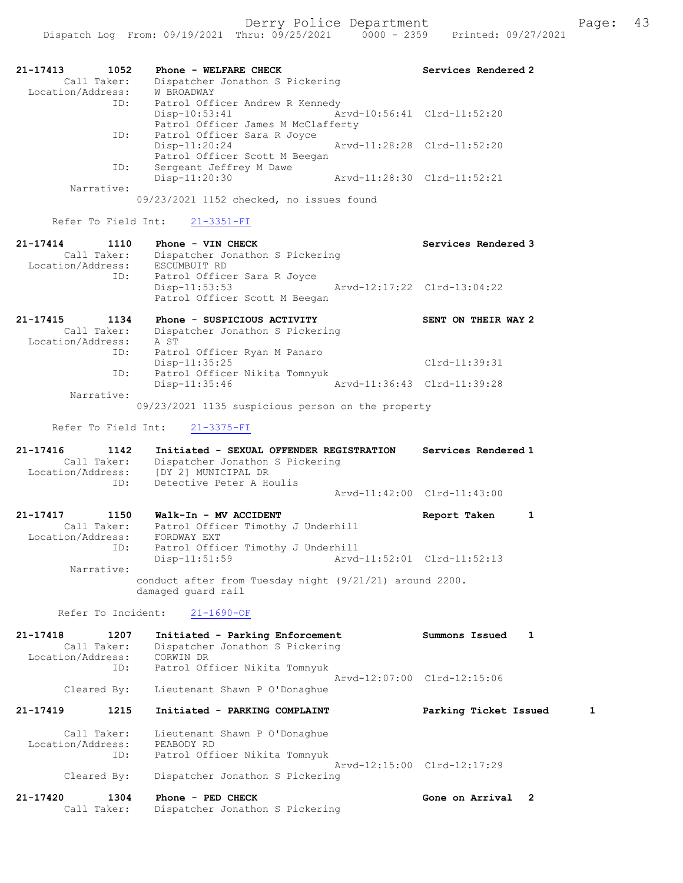| 1052<br>21-17413<br>Call Taker:<br>Location/Address:<br>ID:<br>ID: | Phone - WELFARE CHECK<br>Dispatcher Jonathon S Pickering<br>W BROADWAY<br>Patrol Officer Andrew R Kennedy<br>Disp-10:53:41<br>Patrol Officer James M McClafferty<br>Patrol Officer Sara R Joyce | Services Rendered 2<br>Arvd-10:56:41 Clrd-11:52:20         |
|--------------------------------------------------------------------|-------------------------------------------------------------------------------------------------------------------------------------------------------------------------------------------------|------------------------------------------------------------|
| ID:<br>Narrative:                                                  | $Disp-11:20:24$<br>Patrol Officer Scott M Beegan<br>Sergeant Jeffrey M Dawe<br>Disp-11:20:30<br>09/23/2021 1152 checked, no issues found                                                        | Arvd-11:28:28 Clrd-11:52:20<br>Arvd-11:28:30 Clrd-11:52:21 |
| Refer To Field Int:                                                | $21 - 3351 - FI$                                                                                                                                                                                |                                                            |
| $21 - 17414$<br>1110<br>Call Taker:<br>Location/Address:<br>ID:    | Phone - VIN CHECK<br>Dispatcher Jonathon S Pickering<br>ESCUMBUIT RD<br>Patrol Officer Sara R Joyce<br>$Disp-11:53:53$<br>Patrol Officer Scott M Beegan                                         | Services Rendered 3<br>Arvd-12:17:22 Clrd-13:04:22         |
| 21-17415<br>1134<br>Call Taker:<br>Location/Address:<br>ID:        | Phone - SUSPICIOUS ACTIVITY<br>Dispatcher Jonathon S Pickering<br>A ST<br>Patrol Officer Ryan M Panaro                                                                                          | SENT ON THEIR WAY 2                                        |
| ID:                                                                | Disp-11:35:25<br>Patrol Officer Nikita Tomnyuk<br>$Disp-11:35:46$                                                                                                                               | $Clrd-11:39:31$<br>Arvd-11:36:43 Clrd-11:39:28             |
| Narrative:                                                         | 09/23/2021 1135 suspicious person on the property                                                                                                                                               |                                                            |
| Refer To Field Int:                                                | $21 - 3375 - FI$                                                                                                                                                                                |                                                            |
| 21-17416<br>1142                                                   |                                                                                                                                                                                                 |                                                            |
| Call Taker:<br>Location/Address:                                   | Initiated - SEXUAL OFFENDER REGISTRATION<br>Dispatcher Jonathon S Pickering<br>[DY 2] MUNICIPAL DR                                                                                              | Services Rendered 1                                        |
| ID:                                                                | Detective Peter A Houlis                                                                                                                                                                        | Aryd-11:42:00 Clrd-11:43:00                                |
| 1150<br>$21 - 17417$<br>Call Taker:<br>Location/Address:<br>ID:    | Walk-In - MV ACCIDENT<br>Patrol Officer Timothy J Underhill<br>FORDWAY EXT<br>Patrol Officer Timothy J Underhill<br>Disp-11:51:59                                                               | Report Taken<br>1<br>Arvd-11:52:01 Clrd-11:52:13           |
| Narrative:                                                         | conduct after from Tuesday night (9/21/21) around 2200.                                                                                                                                         |                                                            |
| Refer To Incident:                                                 | damaged guard rail<br>$21 - 1690 - OF$                                                                                                                                                          |                                                            |
| 21-17418<br>1207<br>Call Taker:<br>Location/Address:<br>ID:        | Initiated - Parking Enforcement<br>Dispatcher Jonathon S Pickering<br>CORWIN DR<br>Patrol Officer Nikita Tomnyuk                                                                                | Summons Issued<br>1                                        |
| Cleared By:                                                        | Lieutenant Shawn P O'Donaghue                                                                                                                                                                   | Arvd-12:07:00 Clrd-12:15:06                                |
| $21 - 17419$<br>1215                                               | Initiated - PARKING COMPLAINT                                                                                                                                                                   | Parking Ticket Issued<br>1                                 |
| Call Taker:<br>Location/Address:<br>ID:<br>Cleared By:             | Lieutenant Shawn P O'Donaghue<br>PEABODY RD<br>Patrol Officer Nikita Tomnyuk<br>Dispatcher Jonathon S Pickering                                                                                 | Arvd-12:15:00 Clrd-12:17:29                                |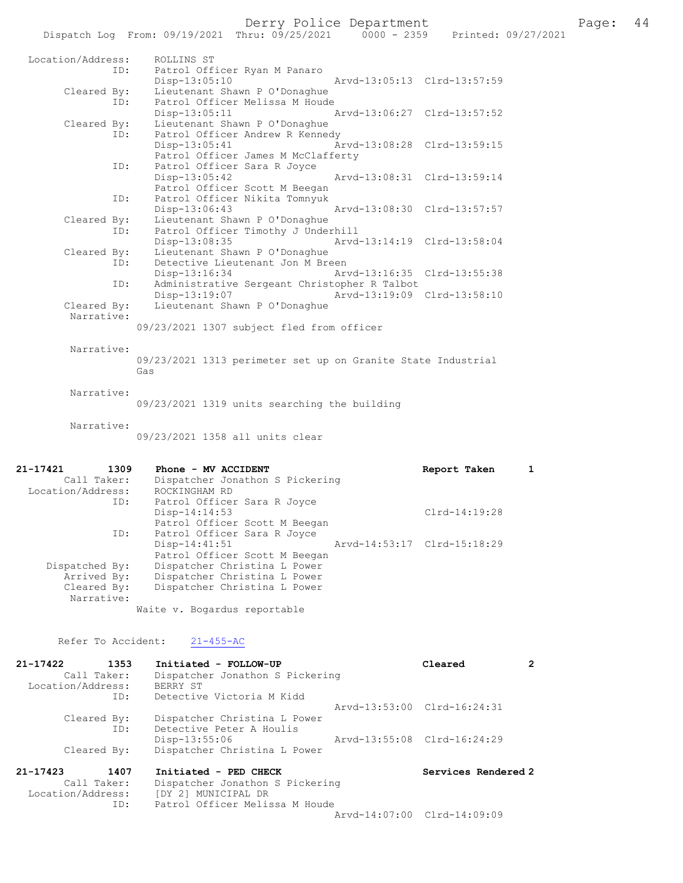## Derry Police Department Page: 44

|                    | Dispatch Log From: 09/19/2021 Thru: 09/25/2021                   | $0000 - 2359$ |                             | Printed: 09/27/2021 |
|--------------------|------------------------------------------------------------------|---------------|-----------------------------|---------------------|
| Location/Address:  | ROLLINS ST                                                       |               |                             |                     |
| ID:                | Patrol Officer Ryan M Panaro<br>Disp-13:05:10                    |               | Arvd-13:05:13 Clrd-13:57:59 |                     |
| Cleared By:        | Lieutenant Shawn P O'Donaghue                                    |               |                             |                     |
| ID:                | Patrol Officer Melissa M Houde                                   |               |                             |                     |
|                    | $Disp-13:05:11$                                                  |               | Arvd-13:06:27 Clrd-13:57:52 |                     |
| Cleared By:<br>ID: | Lieutenant Shawn P O'Donaghue<br>Patrol Officer Andrew R Kennedy |               |                             |                     |
|                    | $Disp-13:05:41$                                                  |               | Arvd-13:08:28 Clrd-13:59:15 |                     |
|                    | Patrol Officer James M McClafferty                               |               |                             |                     |
| ID:                | Patrol Officer Sara R Joyce                                      |               |                             |                     |
|                    | Disp-13:05:42                                                    |               | Arvd-13:08:31 Clrd-13:59:14 |                     |
|                    | Patrol Officer Scott M Beegan                                    |               |                             |                     |
| ID:                | Patrol Officer Nikita Tomnyuk                                    |               |                             |                     |
| Cleared By:        | Disp-13:06:43<br>Lieutenant Shawn P O'Donaghue                   |               | Arvd-13:08:30 Clrd-13:57:57 |                     |
| ID:                | Patrol Officer Timothy J Underhill                               |               |                             |                     |
|                    | $Disp-13:08:35$                                                  |               | Arvd-13:14:19 Clrd-13:58:04 |                     |
| Cleared By:        | Lieutenant Shawn P O'Donaghue                                    |               |                             |                     |
| ID:                | Detective Lieutenant Jon M Breen                                 |               |                             |                     |
|                    | Disp-13:16:34                                                    |               | Arvd-13:16:35 Clrd-13:55:38 |                     |
| ID:                | Administrative Sergeant Christopher R Talbot                     |               |                             |                     |
| Cleared By:        | Disp-13:19:07<br>Lieutenant Shawn P O'Donaghue                   |               | Arvd-13:19:09 Clrd-13:58:10 |                     |
| Narrative:         |                                                                  |               |                             |                     |
|                    | 09/23/2021 1307 subject fled from officer                        |               |                             |                     |
|                    |                                                                  |               |                             |                     |
| Narrative:         |                                                                  |               |                             |                     |
|                    | 09/23/2021 1313 perimeter set up on Granite State Industrial     |               |                             |                     |
|                    | Gas                                                              |               |                             |                     |
| Narrative:         |                                                                  |               |                             |                     |
|                    | 09/23/2021 1319 units searching the building                     |               |                             |                     |
|                    |                                                                  |               |                             |                     |
| Narrative:         |                                                                  |               |                             |                     |
|                    | 09/23/2021 1358 all units clear                                  |               |                             |                     |
|                    |                                                                  |               |                             |                     |
| 21-17421<br>1309   | Phone - MV ACCIDENT                                              |               | Report Taken                | $\mathbf{1}$        |
| Call Taker:        | Dispatcher Jonathon S Pickering                                  |               |                             |                     |
| Location/Address:  | ROCKINGHAM RD                                                    |               |                             |                     |
| ID:                | Patrol Officer Sara R Joyce                                      |               |                             |                     |
|                    | $Disp-14:14:53$                                                  |               | Clrd-14:19:28               |                     |
|                    | Patrol Officer Scott M Beegan                                    |               |                             |                     |
| ID:                | Patrol Officer Sara R Joyce<br>Disp-14:41:51                     |               | Arvd-14:53:17 Clrd-15:18:29 |                     |
|                    | Patrol Officer Scott M Beegan                                    |               |                             |                     |
| Dispatched By:     | Dispatcher Christina L Power                                     |               |                             |                     |
| Arrived By:        | Dispatcher Christina L Power                                     |               |                             |                     |
| Cleared By:        | Dispatcher Christina L Power                                     |               |                             |                     |
| Narrative:         |                                                                  |               |                             |                     |
|                    | Waite v. Bogardus reportable                                     |               |                             |                     |

Refer To Accident:  $21-455-AC$ 

| 21-17422          | 1353        | Initiated - FOLLOW-UP           | Cleared                     |  |
|-------------------|-------------|---------------------------------|-----------------------------|--|
|                   | Call Taker: | Dispatcher Jonathon S Pickering |                             |  |
| Location/Address: |             | BERRY ST                        |                             |  |
|                   | ID:         | Detective Victoria M Kidd       |                             |  |
|                   |             |                                 | Arvd-13:53:00 Clrd-16:24:31 |  |
|                   | Cleared By: | Dispatcher Christina L Power    |                             |  |
|                   | ID:         | Detective Peter A Houlis        |                             |  |
|                   |             | Disp-13:55:06                   | Arvd-13:55:08 Clrd-16:24:29 |  |
|                   | Cleared By: | Dispatcher Christina L Power    |                             |  |
| $21 - 17423$      | 1407        | Initiated - PED CHECK           | Services Rendered 2         |  |
|                   | Call Taker: | Dispatcher Jonathon S Pickering |                             |  |
| Location/Address: |             | [DY 2] MUNICIPAL DR             |                             |  |
|                   | ID:         | Patrol Officer Melissa M Houde  |                             |  |
|                   |             |                                 | Arvd-14:07:00 Clrd-14:09:09 |  |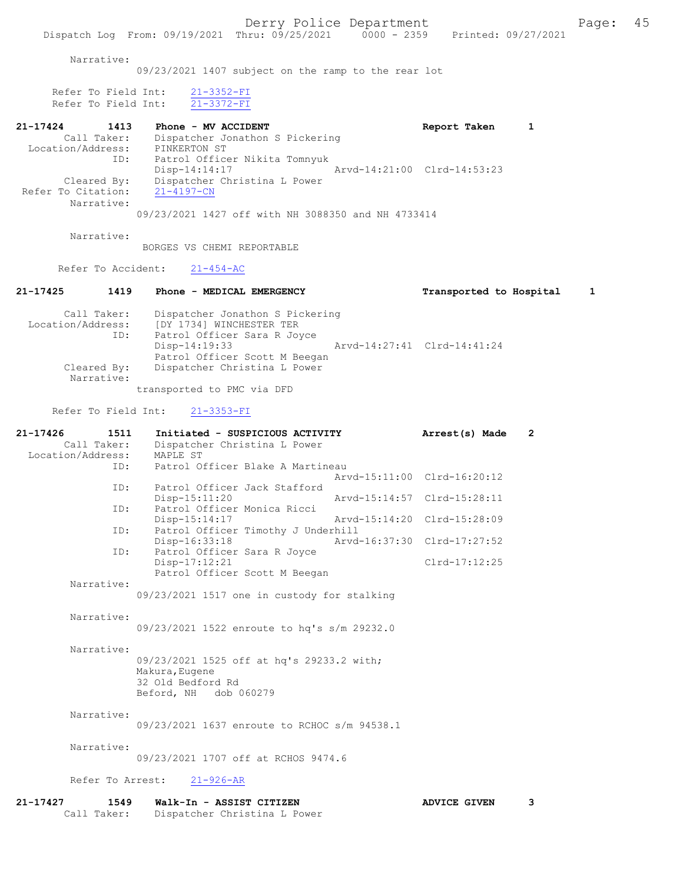Dispatch Log From: 09/19/2021 Thru: 09/25/2021 0000 - 2359 Printed: 09/27/2021 Narrative: 09/23/2021 1407 subject on the ramp to the rear lot Refer To Field Int:  $\frac{21-3352-FI}{21-3372-FI}$ Refer To Field Int: 21-17424 1413 Phone - MV ACCIDENT 1 21-17424 Report Taken 1 Call Taker: Dispatcher Jonathon S Pickering Location/Address: PINKERTON ST ID: Patrol Officer Nikita Tomnyuk Disp-14:14:17 Arvd-14:21:00 Clrd-14:53:23 Cleared By: Dispatcher Christina L Power Refer To Citation: 21-4197-CN Narrative: 09/23/2021 1427 off with NH 3088350 and NH 4733414 Narrative: BORGES VS CHEMI REPORTABLE Refer To Accident: 21-454-AC 21-17425 1419 Phone - MEDICAL EMERGENCY Transported to Hospital 1 Call Taker: Dispatcher Jonathon S Pickering Location/Address: [DY 1734] WINCHESTER TER ID: Patrol Officer Sara R Joyce Disp-14:19:33 Arvd-14:27:41 Clrd-14:41:24 Patrol Officer Scott M Beegan<br>Cleared By: Dispatcher Christina L Power Dispatcher Christina L Power Narrative: transported to PMC via DFD Refer To Field Int: 21-3353-FI 21-17426 1511 Initiated - SUSPICIOUS ACTIVITY Arrest(s) Made 2 Call Taker: Dispatcher Christina L Power Location/Address: MAPLE ST ID: Patrol Officer Blake A Martineau Arvd-15:11:00 Clrd-16:20:12 ID: Patrol Officer Jack Stafford Disp-15:11:20 Arvd-15:14:57 Clrd-15:28:11 ID: Patrol Officer Monica Ricci Disp-15:14:17 Arvd-15:14:20 Clrd-15:28:09<br>ID: Patrol Officer Timothy J Underhill Patrol Officer Timothy J Underhill<br>Disp-16:33:18 Arvd Disp-16:33:18 Arvd-16:37:30 Clrd-17:27:52<br>ID: Patrol Officer Sara R Joyce Patrol Officer Sara R Joyce Disp-17:12:21 Clrd-17:12:25 Patrol Officer Scott M Beegan Narrative: 09/23/2021 1517 one in custody for stalking Narrative: 09/23/2021 1522 enroute to hq's s/m 29232.0 Narrative: 09/23/2021 1525 off at hq's 29233.2 with; Makura,Eugene 32 Old Bedford Rd Beford, NH dob 060279 Narrative: 09/23/2021 1637 enroute to RCHOC s/m 94538.1 Narrative: 09/23/2021 1707 off at RCHOS 9474.6 Refer To Arrest: 21-926-AR 21-17427 1549 Walk-In - ASSIST CITIZEN ADVICE GIVEN 3 Call Taker: Dispatcher Christina L Power

Derry Police Department The Page: 45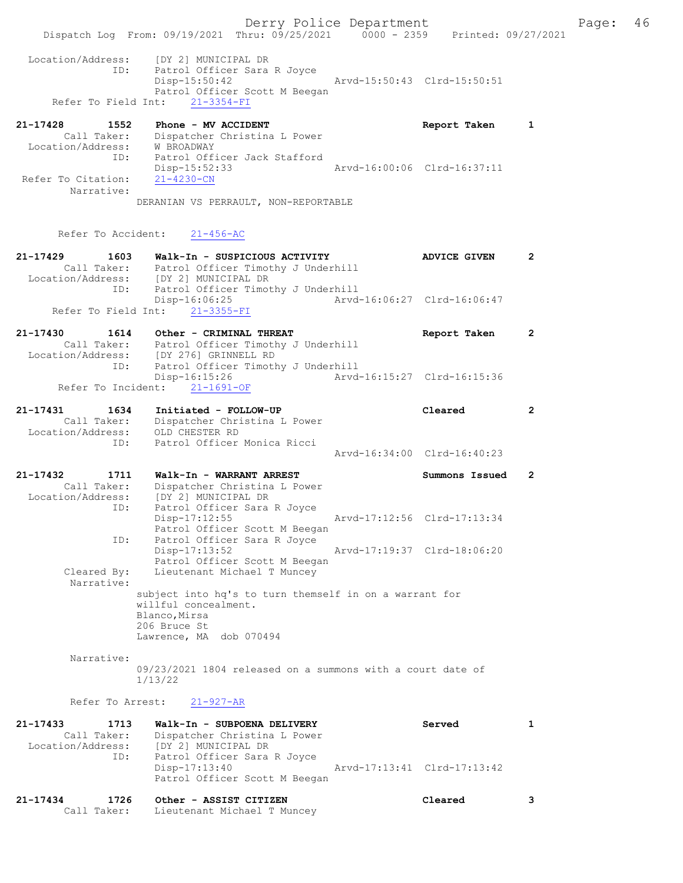Derry Police Department Fage: 46 Dispatch Log From: 09/19/2021 Thru: 09/25/2021 0000 - 2359 Printed: 09/27/2021 Location/Address: [DY 2] MUNICIPAL DR ID: Patrol Officer Sara R Joyce<br>Disp-15:50:42 Disp-15:50:42 Arvd-15:50:43 Clrd-15:50:51 Patrol Officer Scott M Beegan Refer To Field Int: 21-3354-FI 21-17428 1552 Phone - MV ACCIDENT Report Taken 1 Call Taker: Dispatcher Christina L Power Location/Address: W BROADWAY ID: Patrol Officer Jack Stafford Disp-15:52:33 Arvd-16:00:06 Clrd-16:37:11<br>21-4230-CN Refer To Citation: Narrative: DERANIAN VS PERRAULT, NON-REPORTABLE Refer To Accident: 21-456-AC

21-17429 1603 Walk-In - SUSPICIOUS ACTIVITY ADVICE GIVEN 2 Call Taker: Patrol Officer Timothy J Underhill Location/Address: [DY 2] MUNICIPAL DR ID: Patrol Officer Timothy J Underhill ID: Patrol Officer Timothy J Underhill<br>Disp-16:06:25 Arvd-16:06:27 Clrd-16:06:47 Refer To Field Int: 21-3355-FI 21-17430 1614 Other - CRIMINAL THREAT Report Taken 2 Call Taker: Patrol Officer Timothy J Underhill Location/Address: [DY 276] GRINNELL RD ID: Patrol Officer Timothy J Underhill Disp-16:15:26 Arvd-16:15:27 Clrd-16:15:36 Disp-16:15:26<br>Refer To Incident:  $\frac{21-1691-OF}{21-1691-OF}$ 21-17431 1634 Initiated - FOLLOW-UP Cleared 2 Call Taker: Dispatcher Christina L Power Location/Address: OLD CHESTER RD ID: Patrol Officer Monica Ricci Arvd-16:34:00 Clrd-16:40:23 21-17432 1711 Walk-In - WARRANT ARREST Summons Issued 2 Call Taker: Dispatcher Christina L Power Location/Address: [DY 2] MUNICIPAL DR ID: Patrol Officer Sara R Joyce Disp-17:12:55 Arvd-17:12:56 Clrd-17:13:34 Patrol Officer Scott M Beegan ID: Patrol Officer Sara R Joyce Disp-17:13:52 Arvd-17:19:37 Clrd-18:06:20 Patrol Officer Scott M Beegan Cleared By: Lieutenant Michael T Muncey Narrative: subject into hq's to turn themself in on a warrant for willful concealment. Blanco,Mirsa 206 Bruce St Lawrence, MA dob 070494 Narrative: 09/23/2021 1804 released on a summons with a court date of

1/13/22

Refer To Arrest: 21-927-AR

| 21-17433          | 1713        | Walk-In - SUBPOENA DELIVERY                                                   | Served                      |  |
|-------------------|-------------|-------------------------------------------------------------------------------|-----------------------------|--|
|                   | Call Taker: | Dispatcher Christina L Power                                                  |                             |  |
| Location/Address: |             | [DY 2] MUNICIPAL DR                                                           |                             |  |
|                   | ID:         | Patrol Officer Sara R Joyce<br>Disp-17:13:40<br>Patrol Officer Scott M Beegan | Arvd-17:13:41 Clrd-17:13:42 |  |

| 21-17434 | 1726        | Other - ASSIST CITIZEN      | Cleared |  |
|----------|-------------|-----------------------------|---------|--|
|          | Call Taker: | Lieutenant Michael T Muncey |         |  |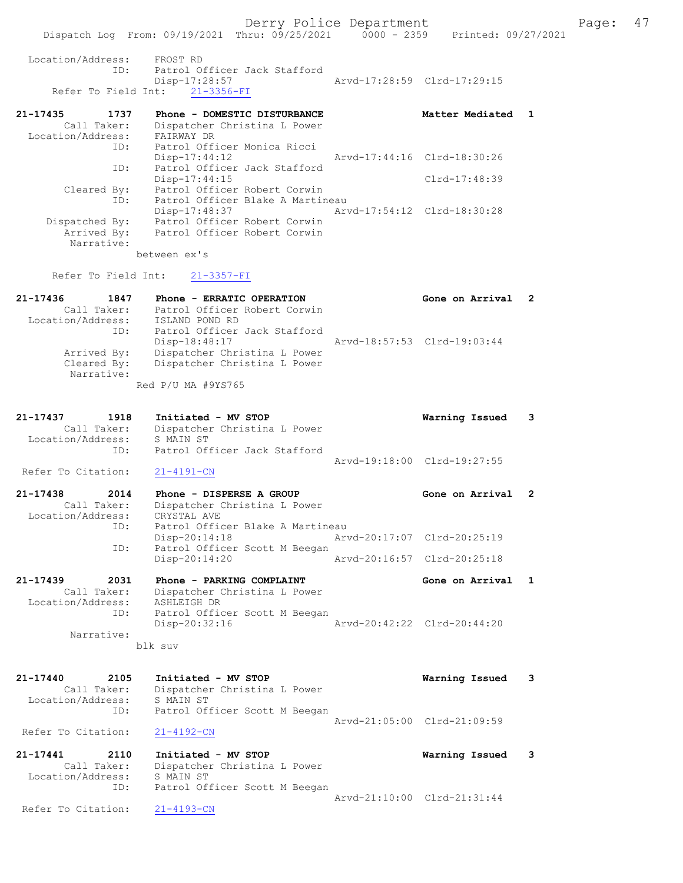| 21-17436                                    |     | 1847 Phone - ERRATIC OPERATION |                 |                                          |  | Gone on Arrival 2                                                              |  |
|---------------------------------------------|-----|--------------------------------|-----------------|------------------------------------------|--|--------------------------------------------------------------------------------|--|
| Refer To Field Int: 21-3357-FI              |     |                                |                 |                                          |  |                                                                                |  |
|                                             |     | between ex's                   |                 |                                          |  |                                                                                |  |
| Narrative:                                  |     |                                |                 |                                          |  |                                                                                |  |
|                                             |     |                                |                 | Arrived By: Patrol Officer Robert Corwin |  |                                                                                |  |
| Dispatched By: Patrol Officer Robert Corwin |     |                                |                 |                                          |  |                                                                                |  |
|                                             |     |                                | Disp-17:48:37   |                                          |  |                                                                                |  |
|                                             | ID: |                                |                 | Patrol Officer Blake A Martineau         |  |                                                                                |  |
|                                             |     |                                |                 | Cleared By: Patrol Officer Robert Corwin |  |                                                                                |  |
|                                             |     |                                | $Disp-17:44:15$ |                                          |  | $Clrd-17:48:39$                                                                |  |
|                                             | ID: |                                |                 | Patrol Officer Jack Stafford             |  |                                                                                |  |
|                                             |     |                                | $Disp-17:44:12$ |                                          |  | Arvd-17:44:16 Clrd-18:30:26                                                    |  |
|                                             |     |                                |                 | ID: Patrol Officer Monica Ricci          |  |                                                                                |  |
| Location/Address: FAIRWAY DR                |     |                                |                 |                                          |  |                                                                                |  |
| Call Taker:                                 |     |                                |                 | Dispatcher Christina L Power             |  |                                                                                |  |
| 21-17435 1737 Phone - DOMESTIC DISTURBANCE  |     |                                |                 |                                          |  | Matter Mediated 1                                                              |  |
| Refer To Field Int: 21-3356-FI              |     |                                |                 |                                          |  |                                                                                |  |
|                                             |     |                                | Disp-17:28:57   |                                          |  | Arvd-17:28:59 Clrd-17:29:15                                                    |  |
|                                             |     |                                |                 | ID: Patrol Officer Jack Stafford         |  |                                                                                |  |
| Location/Address: FROST RD                  |     |                                |                 |                                          |  |                                                                                |  |
|                                             |     |                                |                 |                                          |  |                                                                                |  |
|                                             |     |                                |                 |                                          |  | Dispatch Log From: 09/19/2021 Thru: 09/25/2021 0000 - 2359 Printed: 09/27/2021 |  |

| 2 1 7 7 7 9 9 0<br><b>LOT</b> | $F11011E = E111111C$ OFERALION | GONE ON ALLIVAL             |  |
|-------------------------------|--------------------------------|-----------------------------|--|
| Call Taker:                   | Patrol Officer Robert Corwin   |                             |  |
| Location/Address:             | ISLAND POND RD                 |                             |  |
| ID:                           | Patrol Officer Jack Stafford   |                             |  |
|                               | Disp-18:48:17                  | Arvd-18:57:53 Clrd-19:03:44 |  |
| Arrived By:                   | Dispatcher Christina L Power   |                             |  |
| Cleared By:                   | Dispatcher Christina L Power   |                             |  |
| Narrative:                    |                                |                             |  |
|                               | Red P/U MA #9YS765             |                             |  |

| 21-17437          | 1918        | Initiated - MV STOP          | Warning Issued 3            |  |
|-------------------|-------------|------------------------------|-----------------------------|--|
|                   | Call Taker: | Dispatcher Christina L Power |                             |  |
| Location/Address: |             | S MAIN ST                    |                             |  |
|                   | TD:         | Patrol Officer Jack Stafford |                             |  |
|                   |             |                              | Arvd-19:18:00 Clrd-19:27:55 |  |

Refer To Citation: 21-4191-CN

```
21-17438 2014 Phone - DISPERSE A GROUP Gone on Arrival 2 
 Call Taker: Dispatcher Christina L Power
 Location/Address: CRYSTAL AVE
          ID: Patrol Officer Blake A Martineau
 Disp-20:14:18 Arvd-20:17:07 Clrd-20:25:19
 ID: Patrol Officer Scott M Beegan
 Disp-20:14:20 Arvd-20:16:57 Clrd-20:25:18
```
21-17439 2031 Phone - PARKING COMPLAINT Gone on Arrival 1 Call Taker: Dispatcher Christina L Power Location/Address: ASHLEIGH DR ID: Patrol Officer Scott M Beegan Disp-20:32:16 Arvd-20:42:22 Clrd-20:44:20 Narrative:

blk suv

| 21-17440<br>2105   | Initiated - MV STOP           | Warning Issued              | - 3 |
|--------------------|-------------------------------|-----------------------------|-----|
| Call Taker:        | Dispatcher Christina L Power  |                             |     |
| Location/Address:  | S MAIN ST                     |                             |     |
| ID:                | Patrol Officer Scott M Beegan |                             |     |
|                    |                               | Aryd-21:05:00 Clrd-21:09:59 |     |
| Refer To Citation: | 21-4192-CN                    |                             |     |
|                    |                               |                             |     |

```
21-17441 2110 Initiated - MV STOP Warning Issued 3 
 Call Taker: Dispatcher Christina L Power
 Location/Address: S MAIN ST
 ID: Patrol Officer Scott M Beegan
               Arvd-21:10:00 Clrd-21:31:44<br>21-4193-CN
```
Refer To Citation: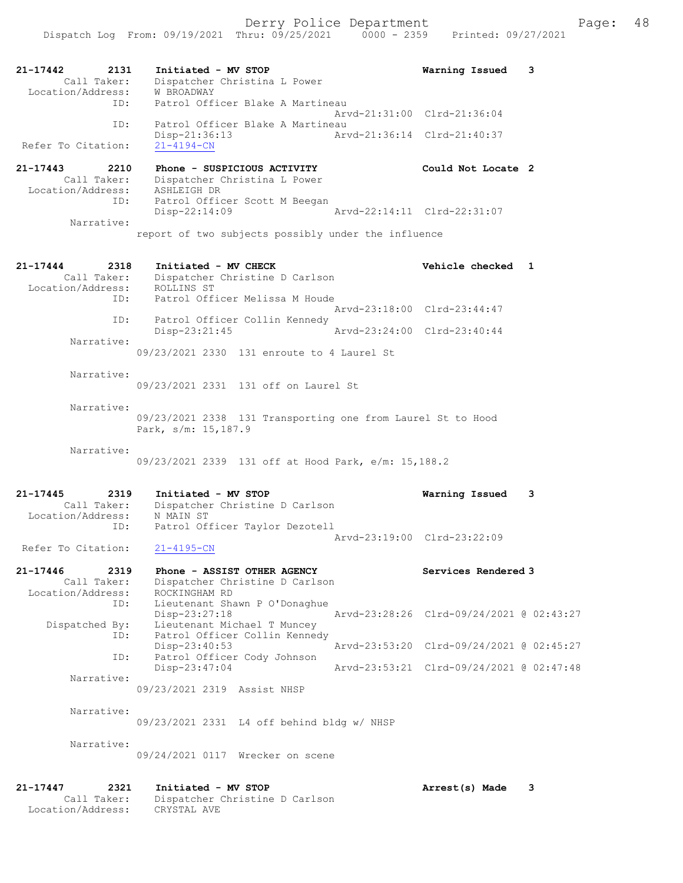Dispatch Log From: 09/19/2021 Thru: 09/25/2021 0000 - 2359 Printed: 09/27/2021 21-17442 2131 Initiated - MV STOP Warning Issued 3 Call Taker: Dispatcher Christina L Power Location/Address: W BROADWAY ID: Patrol Officer Blake A Martineau Arvd-21:31:00 Clrd-21:36:04 ID: Patrol Officer Blake A Martineau<br>Disp-21:36:13 Arw Disp-21:36:13 Arvd-21:36:14 Clrd-21:40:37 Refer To Citation: 21-17443 2210 Phone - SUSPICIOUS ACTIVITY Could Not Locate 2 Call Taker: Dispatcher Christina L Power Location/Address: ASHLEIGH DR ID: Patrol Officer Scott M Beegan Disp-22:14:09 Arvd-22:14:11 Clrd-22:31:07 Narrative: report of two subjects possibly under the influence 21-17444 2318 Initiated - MV CHECK 21 Vehicle checked 1 Call Taker: Dispatcher Christine D Carlson Location/Address: ROLLINS ST ID: Patrol Officer Melissa M Houde Arvd-23:18:00 Clrd-23:44:47 ID: Patrol Officer Collin Kennedy<br>Disp-23:21:45 Arvd-23:24:00 Clrd-23:40:44 Disp-23:21:45 Narrative: 09/23/2021 2330 131 enroute to 4 Laurel St Narrative: 09/23/2021 2331 131 off on Laurel St Narrative: 09/23/2021 2338 131 Transporting one from Laurel St to Hood Park, s/m: 15,187.9 Narrative: 09/23/2021 2339 131 off at Hood Park, e/m: 15,188.2 21-17445 2319 Initiated - MV STOP Warning Issued 3 Call Taker: Dispatcher Christine D Carlson Location/Address: N MAIN ST ID: Patrol Officer Taylor Dezotell Arvd-23:19:00 Clrd-23:22:09 Refer To Citation: 21-4195-CN 21-17446 2319 Phone - ASSIST OTHER AGENCY Services Rendered 3 Call Taker: Dispatcher Christine D Carlson Location/Address: ROCKINGHAM RD ID: Lieutenant Shawn P O'Donaghue<br>Disp-23:27:18 Disp-23:27:18 Arvd-23:28:26 Clrd-09/24/2021 @ 02:43:27 Dispatched By: Lieutenant Michael T Muncey ID: Patrol Officer Collin Kennedy Disp-23:40:53 Arvd-23:53:20 Clrd-09/24/2021 @ 02:45:27 ID: Patrol Officer Cody Johnson<br>Disp-23:47:04 Disp-23:47:04 Arvd-23:53:21 Clrd-09/24/2021 @ 02:47:48 Narrative: 09/23/2021 2319 Assist NHSP Narrative: 09/23/2021 2331 L4 off behind bldg w/ NHSP Narrative: 09/24/2021 0117 Wrecker on scene 21-17447 2321 Initiated - MV STOP Arrest(s) Made 3 Call Taker: Dispatcher Christine D Carlson Location/Address: CRYSTAL AVE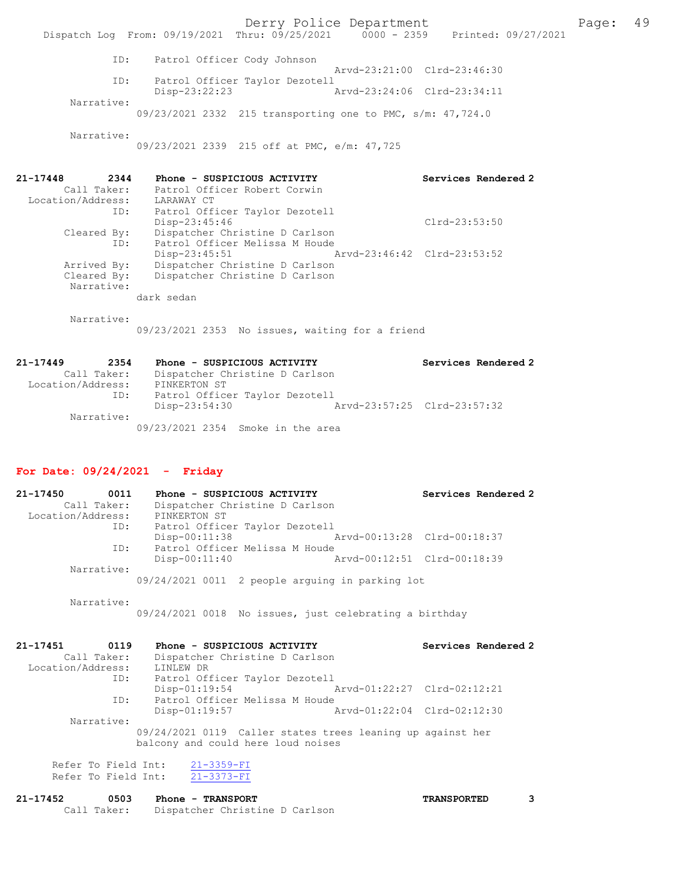ID: Patrol Officer Cody Johnson Arvd-23:21:00 Clrd-23:46:30 ID: Patrol Officer Taylor Dezotell Disp-23:22:23 Arvd-23:24:06 Clrd-23:34:11 Narrative:

09/23/2021 2332 215 transporting one to PMC, s/m: 47,724.0

Narrative:

09/23/2021 2339 215 off at PMC, e/m: 47,725

| 21-17448          | 2344 | Phone - SUSPICIOUS ACTIVITY    |                             | Services Rendered 2 |
|-------------------|------|--------------------------------|-----------------------------|---------------------|
| Call Taker:       |      | Patrol Officer Robert Corwin   |                             |                     |
| Location/Address: |      | LARAWAY CT                     |                             |                     |
|                   | ID:  | Patrol Officer Taylor Dezotell |                             |                     |
|                   |      | $Disp-23:45:46$                |                             | $Clrd-23:53:50$     |
| Cleared By:       |      | Dispatcher Christine D Carlson |                             |                     |
|                   | ID:  | Patrol Officer Melissa M Houde |                             |                     |
|                   |      | $Disp-23:45:51$                | Arvd-23:46:42 Clrd-23:53:52 |                     |
| Arrived By:       |      | Dispatcher Christine D Carlson |                             |                     |
| Cleared By:       |      | Dispatcher Christine D Carlson |                             |                     |
| Narrative:        |      |                                |                             |                     |
|                   |      | dark sedan                     |                             |                     |

Narrative:

09/23/2021 2353 No issues, waiting for a friend

| 21-17449          | 2354        | Phone - SUSPICIOUS ACTIVITY                  | Services Rendered 2 |
|-------------------|-------------|----------------------------------------------|---------------------|
|                   | Call Taker: | Dispatcher Christine D Carlson               |                     |
| Location/Address: |             | PINKERTON ST                                 |                     |
|                   | ID:         | Patrol Officer Taylor Dezotell               |                     |
|                   |             | Arvd-23:57:25 Clrd-23:57:32<br>Disp-23:54:30 |                     |
|                   | Narrative:  |                                              |                     |
|                   |             | 09/23/2021 2354 Smoke in the area            |                     |

### For Date: 09/24/2021 - Friday

| 21-17450          | 0011        | Phone - SUSPICIOUS ACTIVITY                       |                             | Services Rendered 2 |
|-------------------|-------------|---------------------------------------------------|-----------------------------|---------------------|
|                   | Call Taker: | Dispatcher Christine D Carlson                    |                             |                     |
| Location/Address: |             | PINKERTON ST                                      |                             |                     |
|                   | ID:         | Patrol Officer Taylor Dezotell                    |                             |                     |
|                   |             | $Disp-00:11:38$                                   | Arvd-00:13:28 Clrd-00:18:37 |                     |
|                   | ID:         | Patrol Officer Melissa M Houde                    |                             |                     |
|                   |             | $Disp-00:11:40$                                   | Arvd-00:12:51 Clrd-00:18:39 |                     |
|                   | Narrative:  |                                                   |                             |                     |
|                   |             | $09/24/2021$ 0011 2 people arquing in parking lot |                             |                     |

 Narrative: 09/24/2021 0018 No issues, just celebrating a birthday

| 21-17451<br>0119                                                                                 | Phone - SUSPICIOUS ACTIVITY    |                             | Services Rendered 2 |  |  |
|--------------------------------------------------------------------------------------------------|--------------------------------|-----------------------------|---------------------|--|--|
| Call Taker:                                                                                      | Dispatcher Christine D Carlson |                             |                     |  |  |
| Location/Address:                                                                                | LINLEW DR                      |                             |                     |  |  |
| ID:                                                                                              | Patrol Officer Taylor Dezotell |                             |                     |  |  |
|                                                                                                  | $Disp-01:19:54$                | Arvd-01:22:27 Clrd-02:12:21 |                     |  |  |
| ID:                                                                                              | Patrol Officer Melissa M Houde |                             |                     |  |  |
|                                                                                                  | $Disp-01:19:57$                | Arvd-01:22:04 Clrd-02:12:30 |                     |  |  |
| Narrative:                                                                                       |                                |                             |                     |  |  |
| 09/24/2021 0119 Caller states trees leaning up against her<br>balcony and could here loud noises |                                |                             |                     |  |  |
| Refer To Field Int:                                                                              | $21 - 3359 - FI$               |                             |                     |  |  |
| Refer To Field Int:                                                                              | $21 - 3373 - FI$               |                             |                     |  |  |

| 21-17452 | 0503        | <b>Phone - TRANSPORT</b>       | <b>TRANSPORTED</b> |  |
|----------|-------------|--------------------------------|--------------------|--|
|          | Call Taker: | Dispatcher Christine D Carlson |                    |  |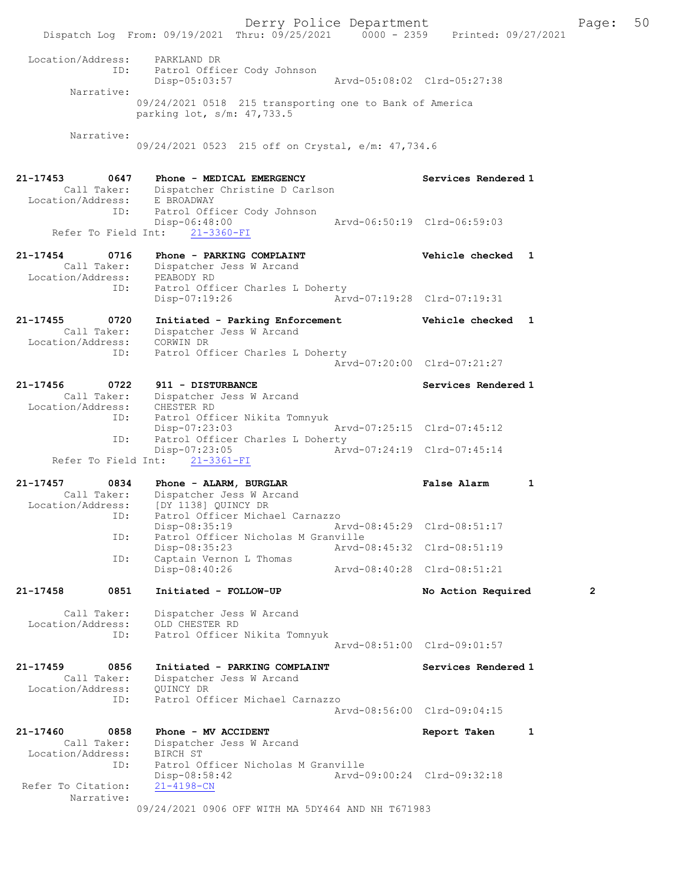Derry Police Department The Page: 50 Dispatch Log From: 09/19/2021 Thru: 09/25/2021 0000 - 2359 Printed: 09/27/2021 Location/Address: PARKLAND DR<br>ID: Patrol Officer<br>Disp-05:03:57 Patrol Officer Cody Johnson Disp-05:03:57 Arvd-05:08:02 Clrd-05:27:38 Narrative: 09/24/2021 0518 215 transporting one to Bank of America parking lot, s/m: 47,733.5 Narrative: 09/24/2021 0523 215 off on Crystal, e/m: 47,734.6 21-17453 0647 Phone - MEDICAL EMERGENCY Services Rendered 1 Call Taker: Dispatcher Christine D Carlson Location/Address: ID: Patrol Officer Cody Johnson Disp-06:48:00 Arvd-06:50:19 Clrd-06:59:03 Refer To Field Int: 21-3360-FI 21-17454 0716 Phone - PARKING COMPLAINT Vehicle checked 1 Call Taker: Dispatcher Jess W Arcand Location/Address: PEABODY RD ID: Patrol Officer Charles L Doherty Disp-07:19:26 Arvd-07:19:28 Clrd-07:19:31 21-17455 0720 Initiated - Parking Enforcement Vehicle checked 1 Call Taker: Dispatcher Jess W Arcand Location/Address: CORWIN DR ID: Patrol Officer Charles L Doherty Arvd-07:20:00 Clrd-07:21:27 21-17456 0722 911 - DISTURBANCE Services Rendered 1 Call Taker: Dispatcher Jess W Arcand Location/Address: CHESTER RD ID: Patrol Officer Nikita Tomnyuk Disp-07:23:03 Arvd-07:25:15 Clrd-07:45:12<br>ID: Patrol Officer Charles L Doherty Patrol Officer Charles L Doherty<br>Disp-07:23:05 Arv Disp-07:23:05 Arvd-07:24:19 Clrd-07:45:14 Refer To Field Int: 21-3361-FI 21-17457 0834 Phone - ALARM, BURGLAR False Alarm 1 Call Taker: Dispatcher Jess W Arcand Location/Address: [DY 1138] QUINCY DR ess. IPI IISS, gerner In Media Carnazzo Disp-08:35:19 Arvd-08:45:29 Clrd-08:51:17 ID: Patrol Officer Nicholas M Granville<br>Disp-08:35:23 Arvd-0 Disp-08:35:23 Arvd-08:45:32 Clrd-08:51:19<br>ID: Captain Vernon L Thomas Captain Vernon L Thomas<br>Disp-08:40:26 Disp-08:40:26 Arvd-08:40:28 Clrd-08:51:21 21-17458 0851 Initiated - FOLLOW-UP No Action Required 2 Call Taker: Dispatcher Jess W Arcand Location/Address: OLD CHESTER RD ID: Patrol Officer Nikita Tomnyuk Arvd-08:51:00 Clrd-09:01:57 21-17459 0856 Initiated - PARKING COMPLAINT Services Rendered 1 Call Taker: Dispatcher Jess W Arcand Location/Address: QUINCY DR ID: Patrol Officer Michael Carnazzo Arvd-08:56:00 Clrd-09:04:15 21-17460 0858 Phone - MV ACCIDENT Report Taken 1 Call Taker: Dispatcher Jess W Arcand Location/Address: BIRCH ST ID: Patrol Officer Nicholas M Granville Disp-08:58:42 Arvd-09:00:24 Clrd-09:32:18 Refer To Citation: Narrative: 09/24/2021 0906 OFF WITH MA 5DY464 AND NH T671983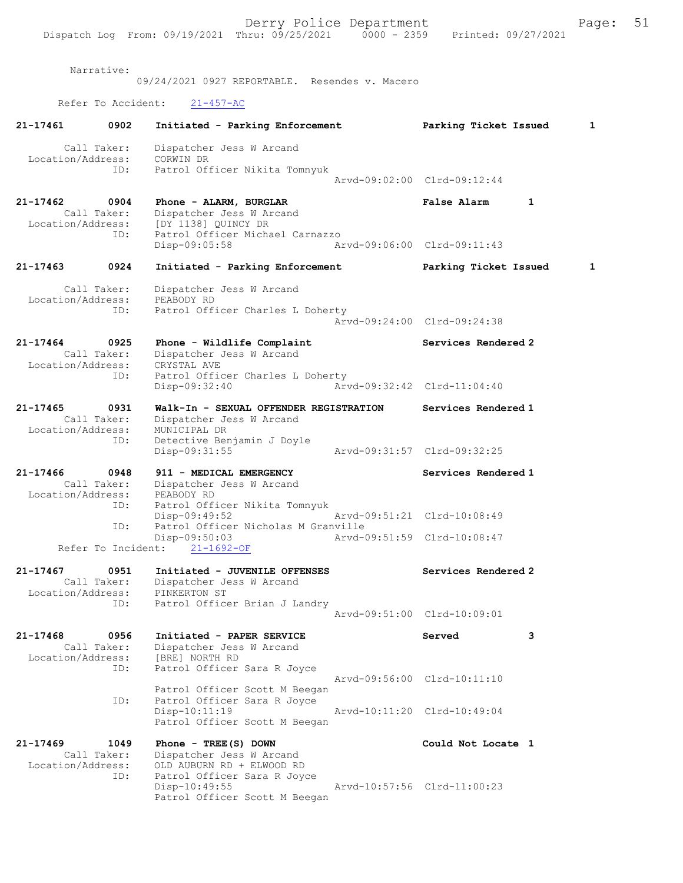Narrative:

09/24/2021 0927 REPORTABLE. Resendes v. Macero Refer To Accident: 21-457-AC 21-17461 0902 Initiated - Parking Enforcement Parking Ticket Issued 1 Call Taker: Dispatcher Jess W Arcand Location/Address:<br>ID: .<br>CORWIN DR<br>Patrol Officer Nikita Tomnyuk Arvd-09:02:00 Clrd-09:12:44 21-17462 0904 Phone - ALARM, BURGLAR False Alarm 1 Call Taker: Dispatcher Jess W Arcand<br>Location/Address: [DY 1138] QUINCY DR [DY 1138] QUINCY DR ID: Patrol Officer Michael Carnazzo Disp-09:05:58 Arvd-09:06:00 Clrd-09:11:43 21-17463 0924 Initiated - Parking Enforcement Parking Ticket Issued 1 Call Taker: Dispatcher Jess W Arcand Location/Address: PEABODY RD ID: Patrol Officer Charles L Doherty Arvd-09:24:00 Clrd-09:24:38 21-17464 0925 Phone - Wildlife Complaint Services Rendered 2 Call Taker: Dispatcher Jess W Arcand<br>CRYSTAL AVE: CRYSTAL AVE Location/Address: ID: Patrol Officer Charles L Doherty Disp-09:32:40 Arvd-09:32:42 Clrd-11:04:40 21-17465 0931 Walk-In - SEXUAL OFFENDER REGISTRATION Services Rendered 1 Call Taker: Dispatcher Jess W Arcand<br>ion/Address: MUNICIPAL DR Location/Address: ID: Detective Benjamin J Doyle<br>Disp-09:31:55 Disp-09:31:55 Arvd-09:31:57 Clrd-09:32:25 21-17466 0948 911 - MEDICAL EMERGENCY Services Rendered 1 Call Taker: Dispatcher Jess W Arcand Location/Address: PEABODY RD ID: Patrol Officer Nikita Tomnyuk Disp-09:49:52 Arvd-09:51:21 Clrd-10:08:49 ID: Patrol Officer Nicholas M Granville Disp-09:50:03 Arvd-09:51:59 Clrd-10:08:47 Refer To Incident: 21-1692-OF 21-17467 0951 Initiated - JUVENILE OFFENSES Services Rendered 2 Call Taker: Dispatcher Jess W Arcand Location/Address: PINKERTON ST ID: Patrol Officer Brian J Landry Arvd-09:51:00 Clrd-10:09:01 21-17468 0956 Initiated - PAPER SERVICE Served 3 Call Taker: Dispatcher Jess W Arcand Location/Address: [BRE] NORTH RD ID: Patrol Officer Sara R Joyce Arvd-09:56:00 Clrd-10:11:10 Patrol Officer Scott M Beegan<br>ID: Patrol Officer Sara R Joyce Patrol Officer Sara R Joyce<br>Disp-10:11:19 Arvd-10:11:20 Clrd-10:49:04 Patrol Officer Scott M Beegan 21-17469 1049 Phone - TREE(S) DOWN Could Not Locate 1 Call Taker: Dispatcher Jess W Arcand<br>Location/Address: OLD AUBURN RD + ELWOOD RD OLD AUBURN RD + ELWOOD RD ID: Patrol Officer Sara R Joyce Disp-10:49:55 Arvd-10:57:56 Clrd-11:00:23 Patrol Officer Scott M Beegan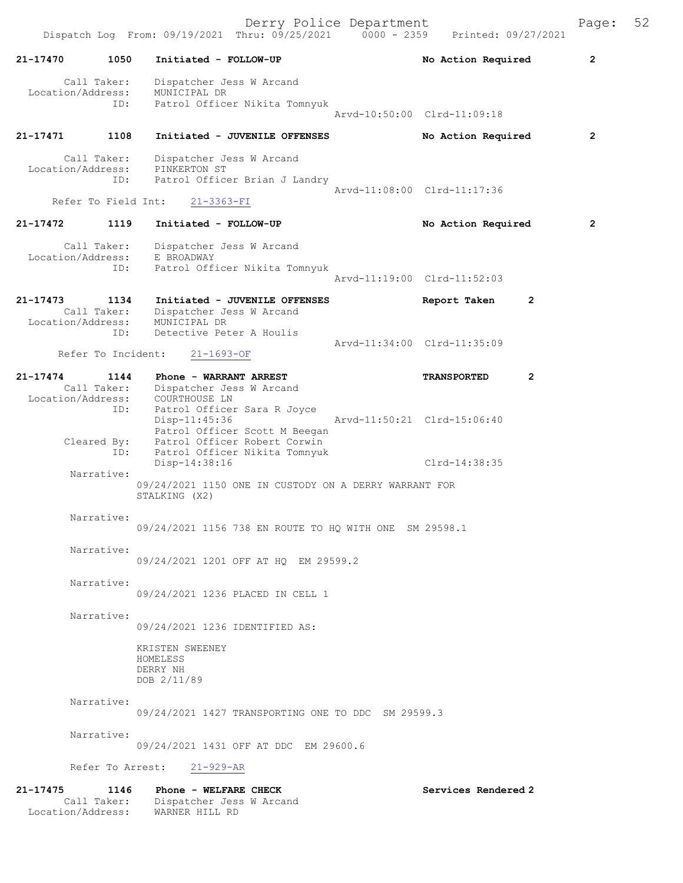Derry Police Department Form Page: 52 Dispatch Log From: 09/19/2021 Thru: 09/25/2021 0000 - 2359 Printed: 09/27/2021 21-17470 1050 Initiated - FOLLOW-UP No Action Required 2 Call Taker: Dispatcher Jess W Arcand Location/Address: MUNICIPAL DR ID: Patrol Officer Nikita Tomnyuk Arvd-10:50:00 Clrd-11:09:18 21-17471 1108 Initiated - JUVENILE OFFENSES No Action Required 2 Call Taker: Dispatcher Jess W Arcand Location/Address: PINKERTON ST ID: Patrol Officer Brian J Landry Arvd-11:08:00 Clrd-11:17:36 Refer To Field Int: 21-3363-FI 21-17472 1119 Initiated - FOLLOW-UP No Action Required 2 Call Taker: Dispatcher Jess W Arcand Location/Address: E BROADWAY ID: Patrol Officer Nikita Tomnyuk Arvd-11:19:00 Clrd-11:52:03 21-17473 1134 Initiated - JUVENILE OFFENSES Report Taken 2 Call Taker: Dispatcher Jess W Arcand Location/Address: MUNICIPAL DR ID: Detective Peter A Houlis Arvd-11:34:00 Clrd-11:35:09 Refer To Incident: 21-1693-OF 21-17474 1144 Phone - WARRANT ARREST TRANSPORTED 2 Call Taker: Dispatcher Jess W Arcand Location/Address: COURTHOUSE LN ID: Patrol Officer Sara R Joyce Disp-11:45:36 Arvd-11:50:21 Clrd-15:06:40 Patrol Officer Scott M Beegan Cleared By: Patrol Officer Robert Corwin ID: Patrol Officer Nikita Tomnyuk Disp-14:38:16 Clrd-14:38:35 Narrative: 09/24/2021 1150 ONE IN CUSTODY ON A DERRY WARRANT FOR STALKING (X2) Narrative: 09/24/2021 1156 738 EN ROUTE TO HQ WITH ONE SM 29598.1 Narrative: 09/24/2021 1201 OFF AT HQ EM 29599.2 Narrative: 09/24/2021 1236 PLACED IN CELL 1 Narrative: 09/24/2021 1236 IDENTIFIED AS: KRISTEN SWEENEY HOMELESS DERRY NH DOB 2/11/89 Narrative: 09/24/2021 1427 TRANSPORTING ONE TO DDC SM 29599.3 Narrative: 09/24/2021 1431 OFF AT DDC EM 29600.6 Refer To Arrest: 21-929-AR

21-17475 1146 Phone - WELFARE CHECK Services Rendered 2 Call Taker: Dispatcher Jess W Arcand Location/Address: WARNER HILL RD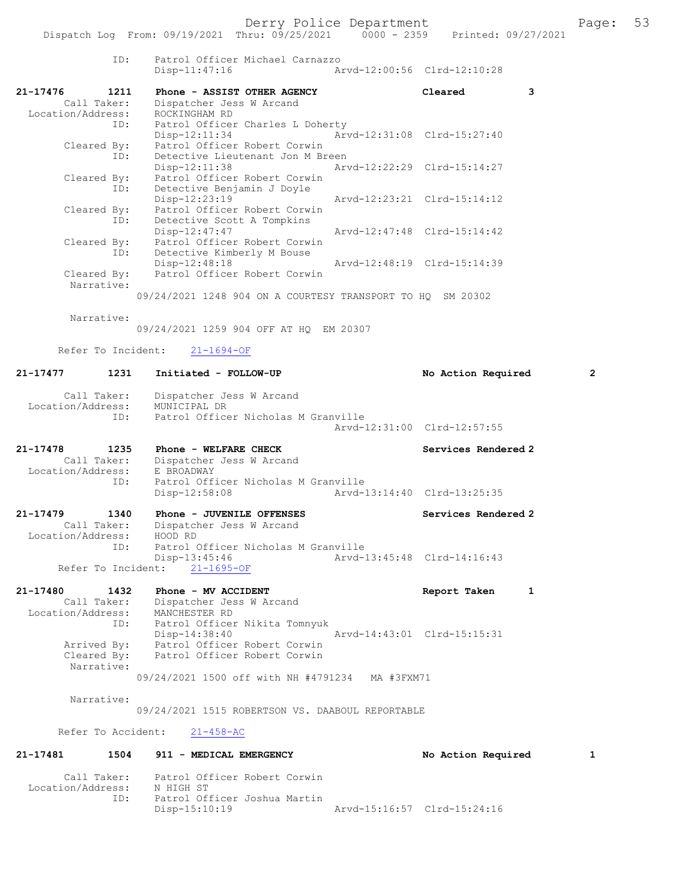|                                  | ID:         | Patrol Officer Michael Carnazzo<br>Disp-11:47:16           | Arvd-12:00:56 Clrd-12:10:28 |                             |                |
|----------------------------------|-------------|------------------------------------------------------------|-----------------------------|-----------------------------|----------------|
| 21-17476                         | 1211        | Phone - ASSIST OTHER AGENCY                                |                             | Cleared                     | 3              |
| Call Taker:                      |             | Dispatcher Jess W Arcand                                   |                             |                             |                |
| Location/Address:                |             | ROCKINGHAM RD                                              |                             |                             |                |
|                                  | ID:         | Patrol Officer Charles L Doherty                           |                             |                             |                |
| Cleared By:                      |             | Disp-12:11:34<br>Patrol Officer Robert Corwin              |                             | Arvd-12:31:08 Clrd-15:27:40 |                |
|                                  | ID:         | Detective Lieutenant Jon M Breen                           |                             |                             |                |
|                                  |             | $Disp-12:11:38$                                            |                             | Arvd-12:22:29 Clrd-15:14:27 |                |
| Cleared By:                      |             | Patrol Officer Robert Corwin                               |                             |                             |                |
|                                  | ID:         | Detective Benjamin J Doyle                                 |                             |                             |                |
| Cleared By:                      |             | Disp-12:23:19<br>Patrol Officer Robert Corwin              |                             | Arvd-12:23:21 Clrd-15:14:12 |                |
|                                  | ID:         | Detective Scott A Tompkins                                 |                             |                             |                |
|                                  |             | Disp-12:47:47                                              |                             | Arvd-12:47:48 Clrd-15:14:42 |                |
| Cleared By:                      |             | Patrol Officer Robert Corwin                               |                             |                             |                |
|                                  | ID:         | Detective Kimberly M Bouse                                 |                             |                             |                |
|                                  |             | Disp-12:48:18                                              |                             | Arvd-12:48:19 Clrd-15:14:39 |                |
| Cleared By:<br>Narrative:        |             | Patrol Officer Robert Corwin                               |                             |                             |                |
|                                  |             | 09/24/2021 1248 904 ON A COURTESY TRANSPORT TO HQ SM 20302 |                             |                             |                |
| Narrative:                       |             | 09/24/2021 1259 904 OFF AT HO EM 20307                     |                             |                             |                |
| Refer To Incident:               |             | $21 - 1694 - OF$                                           |                             |                             |                |
|                                  |             |                                                            |                             |                             |                |
| 21-17477                         | 1231        | Initiated - FOLLOW-UP                                      |                             | No Action Required          | $\overline{2}$ |
| Call Taker:<br>Location/Address: |             | Dispatcher Jess W Arcand<br>MUNICIPAL DR                   |                             |                             |                |
|                                  | ID:         | Patrol Officer Nicholas M Granville                        |                             | Arvd-12:31:00 Clrd-12:57:55 |                |
| 21-17478                         | 1235        | Phone - WELFARE CHECK                                      |                             | Services Rendered 2         |                |
| Call Taker:                      |             | Dispatcher Jess W Arcand                                   |                             |                             |                |
| Location/Address:                | ID:         | E BROADWAY<br>Patrol Officer Nicholas M Granville          |                             |                             |                |
|                                  |             | $Disp-12:58:08$                                            | Arvd-13:14:40 Clrd-13:25:35 |                             |                |
|                                  |             |                                                            |                             |                             |                |
| 21-17479                         | 1340        | Phone - JUVENILE OFFENSES                                  |                             | Services Rendered 2         |                |
| Call Taker:                      |             | Dispatcher Jess W Arcand                                   |                             |                             |                |
| Location/Address:                | ID:         | HOOD RD<br>Patrol Officer Nicholas M Granville             |                             |                             |                |
|                                  |             | Disp-13:45:46                                              |                             | Arvd-13:45:48 Clrd-14:16:43 |                |
| Refer To Incident:               |             | $21 - 1695 - OF$                                           |                             |                             |                |
|                                  |             |                                                            |                             |                             |                |
| 21-17480<br>Call Taker:          | 1432        | Phone - MV ACCIDENT<br>Dispatcher Jess W Arcand            |                             | Report Taken                | 1              |
| Location/Address:                |             | MANCHESTER RD                                              |                             |                             |                |
|                                  | ID:         | Patrol Officer Nikita Tomnyuk                              |                             |                             |                |
|                                  |             | Disp-14:38:40                                              |                             | Arvd-14:43:01 Clrd-15:15:31 |                |
| Arrived By:                      |             | Patrol Officer Robert Corwin                               |                             |                             |                |
| Cleared By:<br>Narrative:        |             | Patrol Officer Robert Corwin                               |                             |                             |                |
|                                  |             | 09/24/2021 1500 off with NH #4791234 MA #3FXM71            |                             |                             |                |
|                                  |             |                                                            |                             |                             |                |
| Narrative:                       |             | 09/24/2021 1515 ROBERTSON VS. DAABOUL REPORTABLE           |                             |                             |                |
| Refer To Accident:               |             | $21 - 458 - AC$                                            |                             |                             |                |
| 21-17481                         | 1504        | 911 - MEDICAL EMERGENCY                                    |                             | No Action Required          | 1              |
|                                  | Call Taker: | Patrol Officer Robert Corwin                               |                             |                             |                |

Location/Address: N HIGH ST

ID: Patrol Officer Joshua Martin

Disp-15:10:19 Arvd-15:16:57 Clrd-15:24:16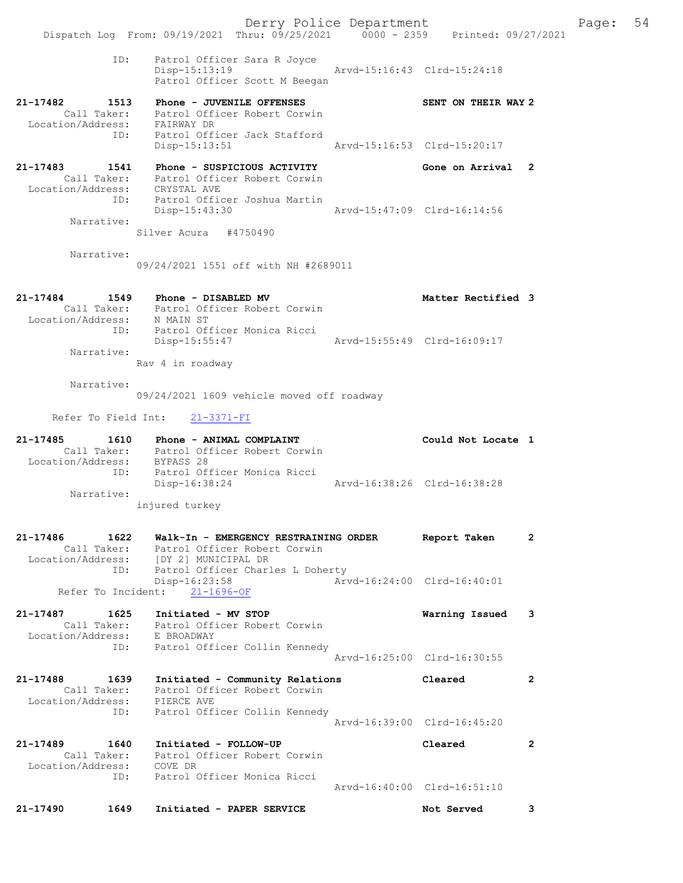Derry Police Department Fage: 54 Dispatch Log From: 09/19/2021 Thru: 09/25/2021 0000 - 2359 Printed: 09/27/2021 ID: Patrol Officer Sara R Joyce Disp-15:13:19 Arvd-15:16:43 Clrd-15:24:18 Patrol Officer Scott M Beegan 21-17482 1513 Phone - JUVENILE OFFENSES SENT ON THEIR WAY 2 Call Taker: Patrol Officer Robert Corwin Location/Address: FAIRWAY DR ID: Patrol Officer Jack Stafford Disp-15:13:51 Arvd-15:16:53 Clrd-15:20:17 21-17483 1541 Phone - SUSPICIOUS ACTIVITY Cone on Arrival 2 Call Taker: Patrol Officer Robert Corwin Location/Address: CRYSTAL AVE ID: Patrol Officer Joshua Martin Disp-15:43:30 Arvd-15:47:09 Clrd-16:14:56 Narrative: Silver Acura #4750490 Narrative: 09/24/2021 1551 off with NH #2689011 21-17484 1549 Phone - DISABLED MV Matter Rectified 3 Call Taker: Patrol Officer Robert Corwin Location/Address: N MAIN ST ID: Patrol Officer Monica Ricci Disp-15:55:47 Arvd-15:55:49 Clrd-16:09:17 Narrative: Rav 4 in roadway Narrative: 09/24/2021 1609 vehicle moved off roadway Refer To Field Int: 21-3371-FI 21-17485 1610 Phone - ANIMAL COMPLAINT Could Not Locate 1 Call Taker: Patrol Officer Robert Corwin Location/Address: BYPASS 28 ID: Patrol Officer Monica Ricci Disp-16:38:24 Arvd-16:38:26 Clrd-16:38:28 Narrative: injured turkey 21-17486 1622 Walk-In - EMERGENCY RESTRAINING ORDER Report Taken 2 Call Taker: Patrol Officer Robert Corwin Location/Address: [DY 2] MUNICIPAL DR ID: Patrol Officer Charles L Doherty Disp-16:23:58 Arvd-16:24:00 Clrd-16:40:01 Disp-16:23:58<br>
Refer To Incident: 21-1696-OF<br>
Refer To Incident: 21-1696-OF 21-17487 1625 Initiated - MV STOP Warning Issued 3 Call Taker: Patrol Officer Robert Corwin Location/Address: E BROADWAY ID: Patrol Officer Collin Kennedy Arvd-16:25:00 Clrd-16:30:55 21-17488 1639 Initiated - Community Relations Cleared 2 Call Taker: Patrol Officer Robert Corwin Location/Address: PIERCE AVE ID: Patrol Officer Collin Kennedy Arvd-16:39:00 Clrd-16:45:20 21-17489 1640 Initiated - FOLLOW-UP Cleared 2 Call Taker: Patrol Officer Robert Corwin Location/Address: COVE DR ID: Patrol Officer Monica Ricci Arvd-16:40:00 Clrd-16:51:10 21-17490 1649 Initiated - PAPER SERVICE Not Served 3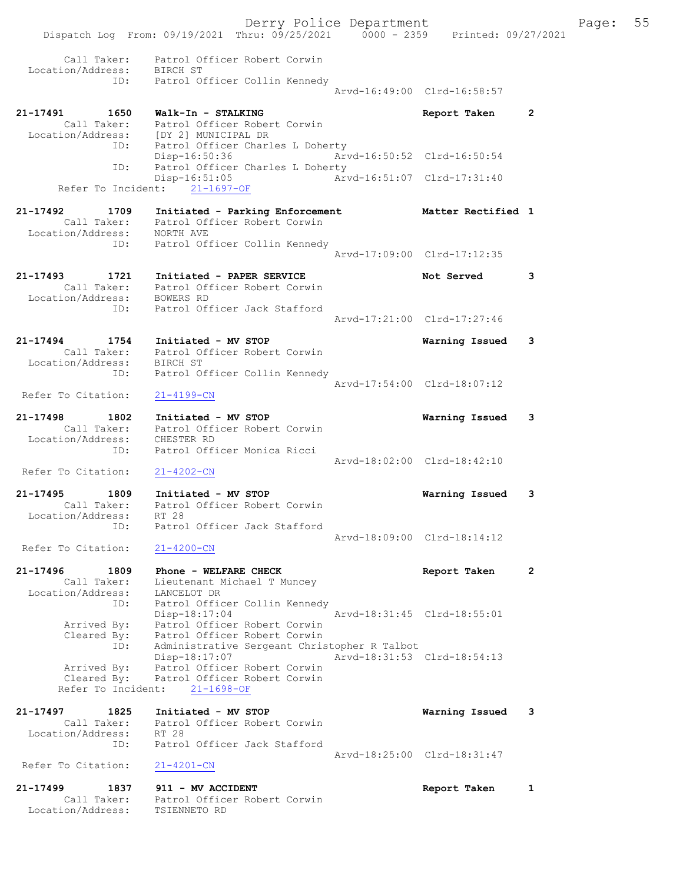Derry Police Department Fage: 55 Dispatch Log From: 09/19/2021 Thru: 09/25/2021 0000 - 2359 Printed: 09/27/2021 Call Taker: Patrol Officer Robert Corwin Location/Address: BIRCH ST ID: Patrol Officer Collin Kennedy Arvd-16:49:00 Clrd-16:58:57 21-17491 1650 Walk-In - STALKING Report Taken 2 Call Taker: Patrol Officer Robert Corwin Location/Address: [DY 2] MUNICIPAL DR ID: Patrol Officer Charles L Doherty Disp-16:50:36 Arvd-16:50:52 Clrd-16:50:54 ID: Patrol Officer Charles L Doherty Disp-16:51:05 Arvd-16:51:07 Clrd-17:31:40 Refer To Incident: 21-1697-OF 21-17492 1709 Initiated - Parking Enforcement Matter Rectified 1 Call Taker: Patrol Officer Robert Corwin Location/Address: NORTH AVE ID: Patrol Officer Collin Kennedy Arvd-17:09:00 Clrd-17:12:35 21-17493 1721 Initiated - PAPER SERVICE Not Served 3 Call Taker: Patrol Officer Robert Corwin Location/Address: BOWERS RD ID: Patrol Officer Jack Stafford Arvd-17:21:00 Clrd-17:27:46 21-17494 1754 Initiated - MV STOP Warning Issued 3 Call Taker: Patrol Officer Robert Corwin Location/Address: BIRCH ST ID: Patrol Officer Collin Kennedy Arvd-17:54:00 Clrd-18:07:12 Refer To Citation: 21-4199-CN 21-17498 1802 Initiated - MV STOP Warning Issued 3 Call Taker: Patrol Officer Robert Corwin Location/Address: CHESTER RD ID: Patrol Officer Monica Ricci Arvd-18:02:00 Clrd-18:42:10 Refer To Citation: 21-4202-CN 21-17495 1809 Initiated - MV STOP Warning Issued 3 Call Taker: Patrol Officer Robert Corwin Location/Address: RT 28 ID: Patrol Officer Jack Stafford Arvd-18:09:00 Clrd-18:14:12 Refer To Citation: 21-4200-CN 21-17496 1809 Phone - WELFARE CHECK Report Taken 2 Call Taker: Lieutenant Michael T Muncey Location/Address: LANCELOT DR ID: Patrol Officer Collin Kennedy Disp-18:17:04 Arvd-18:31:45 Clrd-18:55:01 Arrived By: Patrol Officer Robert Corwin Cleared By: Patrol Officer Robert Corwin ID: Administrative Sergeant Christopher R Talbot Disp-18:17:07 Arvd-18:31:53 Clrd-18:54:13 Arrived By: Patrol Officer Robert Corwin Cleared By: Patrol Officer Robert Corwin Refer To Incident: 21-1698-OF 21-17497 1825 Initiated - MV STOP Warning Issued 3 Call Taker: Patrol Officer Robert Corwin Location/Address: RT 28 ID: Patrol Officer Jack Stafford Arvd-18:25:00 Clrd-18:31:47<br>21-4201-CN Refer To Citation: 21-17499 1837 911 - MV ACCIDENT Report Taken 1 Call Taker: Patrol Officer Robert Corwin Location/Address: TSIENNETO RD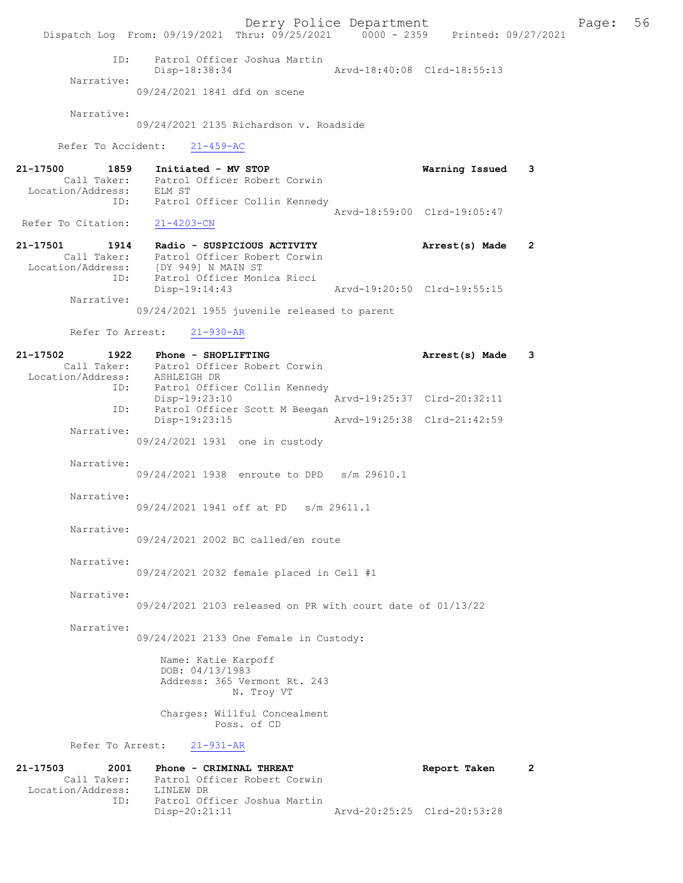Derry Police Department Fage: 56 Dispatch Log From: 09/19/2021 Thru: 09/25/2021 0000 - 2359 Printed: 09/27/2021 ID: Patrol Officer Joshua Martin Arvd-18:40:08 Clrd-18:55:13 Narrative: 09/24/2021 1841 dfd on scene Narrative: 09/24/2021 2135 Richardson v. Roadside Refer To Accident: 21-459-AC 21-17500 1859 Initiated - MV STOP Warning Issued 3 Call Taker: Patrol Officer Robert Corwin Location/Address: ELM ST ID: Patrol Officer Collin Kennedy Arvd-18:59:00 Clrd-19:05:47<br>21-4203-CN Refer To Citation: 21-17501 1914 Radio - SUSPICIOUS ACTIVITY Arrest(s) Made 2 Call Taker: Patrol Officer Robert Corwin Location/Address: [DY 949] N MAIN ST ID: Patrol Officer Monica Ricci Disp-19:14:43 Arvd-19:20:50 Clrd-19:55:15 Narrative: 09/24/2021 1955 juvenile released to parent Refer To Arrest: 21-930-AR 21-17502 1922 Phone - SHOPLIFTING Arrest(s) Made 3 Call Taker: Patrol Officer Robert Corwin Location/Address: ASHLEIGH DR ID: Patrol Officer Collin Kennedy Disp-19:23:10 Arvd-19:25:37 Clrd-20:32:11 ID: Patrol Officer Scott M Beegan Disp-19:23:15 Arvd-19:25:38 Clrd-21:42:59 Narrative: 09/24/2021 1931 one in custody Narrative: 09/24/2021 1938 enroute to DPD s/m 29610.1 Narrative: 09/24/2021 1941 off at PD s/m 29611.1 Narrative: 09/24/2021 2002 BC called/en route Narrative: 09/24/2021 2032 female placed in Cell #1 Narrative: 09/24/2021 2103 released on PR with court date of 01/13/22 Narrative: 09/24/2021 2133 One Female in Custody: Name: Katie Karpoff DOB: 04/13/1983 Address: 365 Vermont Rt. 243 N. Troy VT Charges: Willful Concealment Poss. of CD Refer To Arrest: 21-931-AR 21-17503 2001 Phone - CRIMINAL THREAT Report Taken 2 Call Taker: Patrol Officer Robert Corwin<br>ion/Address: LINLEW DR Location/Address: ID: Patrol Officer Joshua Martin

Arvd-20:25:25 Clrd-20:53:28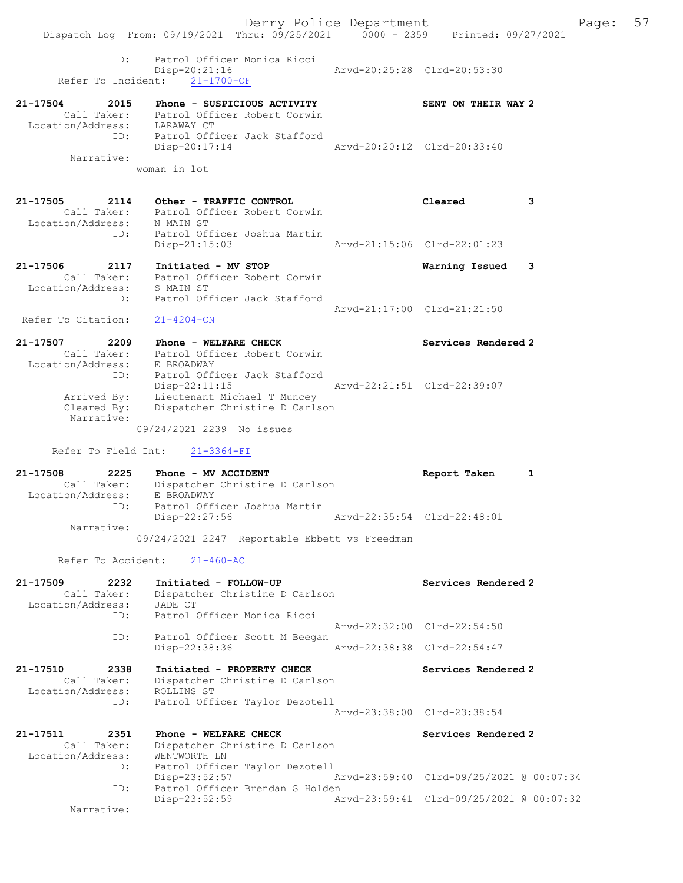Derry Police Department Fage: 57 Dispatch Log From: 09/19/2021 Thru: 09/25/2021 0000 - 2359 Printed: 09/27/2021 ID: Patrol Officer Monica Ricci Disp-20:21:16 Arvd-20:25:28 Clrd-20:53:30 Refer To Incident: 21-1700-OF 21-17504 2015 Phone - SUSPICIOUS ACTIVITY SENT ON THEIR WAY 2 Call Taker: Patrol Officer Robert Corwin Location/Address: LARAWAY CT ID: Patrol Officer Jack Stafford Disp-20:17:14 Arvd-20:20:12 Clrd-20:33:40 Narrative: woman in lot 21-17505 2114 Other - TRAFFIC CONTROL Cleared 3 Call Taker: Patrol Officer Robert Corwin Location/Address: N MAIN ST ID: Patrol Officer Joshua Martin Disp-21:15:03 Arvd-21:15:06 Clrd-22:01:23 21-17506 2117 Initiated - MV STOP Warning Issued 3 Call Taker: Patrol Officer Robert Corwin Location/Address: S MAIN ST

 Arvd-21:17:00 Clrd-21:21:50 Refer To Citation: 21-4204-CN 21-17507 2209 Phone - WELFARE CHECK Services Rendered 2 Call Taker: Patrol Officer Robert Corwin

 Location/Address: E BROADWAY ID: Patrol Officer Jack Stafford Disp-22:11:15 Arvd-22:21:51 Clrd-22:39:07 Arrived By: Lieutenant Michael T Muncey Cleared By: Dispatcher Christine D Carlson Narrative:

09/24/2021 2239 No issues

Refer To Field Int: 21-3364-FI

ID: Patrol Officer Jack Stafford

21-17508 2225 Phone - MV ACCIDENT Report Taken 1 Call Taker: Dispatcher Christine D Carlson Location/Address: E BROADWAY ID: Patrol Officer Joshua Martin Disp-22:27:56 Arvd-22:35:54 Clrd-22:48:01 Narrative: 09/24/2021 2247 Reportable Ebbett vs Freedman

Refer To Accident: 21-460-AC

| Call Taker:<br>Location/Address: JADE CT                     | 21-17509 2232 Initiated - FOLLOW-UP<br>Dispatcher Christine D Carlson                              |                             | Services Rendered 2         |  |
|--------------------------------------------------------------|----------------------------------------------------------------------------------------------------|-----------------------------|-----------------------------|--|
|                                                              | ID: Patrol Officer Monica Ricci                                                                    |                             | Arvd-22:32:00 Clrd-22:54:50 |  |
| ID:                                                          | Patrol Officer Scott M Beegan<br>Disp-22:38:36                                                     | Arvd-22:38:38 Clrd-22:54:47 |                             |  |
| 21-17510 2338<br>Call Taker:<br>Location/Address: ROLLINS ST | Initiated - PROPERTY CHECK<br>Dispatcher Christine D Carlson<br>ID: Patrol Officer Taylor Dezotell |                             | Services Rendered 2         |  |
|                                                              |                                                                                                    |                             | Arvd-23:38:00 Clrd-23:38:54 |  |
| Call Taker:<br>Location/Address: WENTWORTH LN                | 21-17511 2351 Phone - WELFARE CHECK<br>Dispatcher Christine D Carlson                              |                             | Services Rendered 2         |  |
| ID:<br>ID:                                                   | Patrol Officer Taylor Dezotell<br>Disp-23:52:57<br>Patrol Officer Brendan S Holden                 |                             |                             |  |
| Narrative:                                                   | $Disp-23:52:59$                                                                                    |                             |                             |  |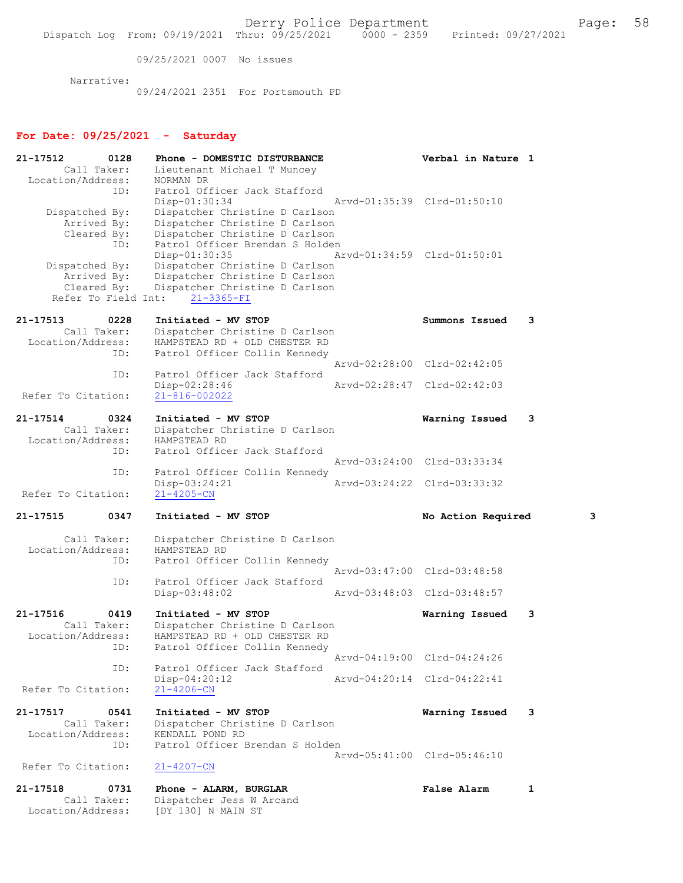09/25/2021 0007 No issues

Narrative:

09/24/2021 2351 For Portsmouth PD

#### For Date: 09/25/2021 - Saturday

21-17512 0128 Phone - DOMESTIC DISTURBANCE Verbal in Nature 1<br>Call Taker: Lieutenant Michael T Muncey Lieutenant Michael T Muncey<br>NORMAN DR Location/Address: ID: Patrol Officer Jack Stafford<br>Disp-01:30:34 Disp-01:30:34 Arvd-01:35:39 Clrd-01:50:10 Dispatched By: Dispatcher Christine D Carlson Arrived By: Dispatcher Christine D Carlson<br>Cleared By: Dispatcher Christine D Carlson By: Dispatcher Christine D Carlson<br>TD: Patrol Officer Brendan S Holder Patrol Officer Brendan S Holden<br>Disp-01:30:35 A Disp-01:30:35 Arvd-01:34:59 Clrd-01:50:01 Dispatched By: Dispatcher Christine D Carlson Arrived By: Dispatcher Christine D Carlson<br>Cleared By: Dispatcher Christine D Carlson Dispatcher Christine D Carlson<br>ht: 21-3365-FI Refer To Field Int: 21-17513 0228 Initiated - MV STOP Summons Issued 3<br>Call Taker: Dispatcher Christine D Carlson Call Taker: Dispatcher Christine D Carlson<br>Location/Address: HAMPSTEAD RD + OLD CHESTER RD HAMPSTEAD RD + OLD CHESTER RD ID: Patrol Officer Collin Kennedy Arvd-02:28:00 Clrd-02:42:05 ID: Patrol Officer Jack Stafford<br>Disp-02:28:46 Disp-02:28:46 Arvd-02:28:47 Clrd-02:42:03 Refer To Citation: 21-17514 0324 Initiated - MV STOP **Warning Issued** 3<br>Call Taker: Dispatcher Christine D Carlson Dispatcher Christine D Carlson<br>HAMPSTEAD RD Location/Address:<br>ID: Patrol Officer Jack Stafford Arvd-03:24:00 Clrd-03:33:34 ID: Patrol Officer Collin Kennedy<br>Disp-03:24:21 Disp-03:24:21 Arvd-03:24:22 Clrd-03:33:32<br>21-4205-CN Refer To Citation: 21-17515 0347 Initiated - MV STOP No Action Required 3 Call Taker: Dispatcher Christine D Carlson<br>ion/Address: HAMPSTEAD RD Location/Address: ID: Patrol Officer Collin Kennedy Arvd-03:47:00 Clrd-03:48:58<br>ID: Patrol Officer Jack Stafford Patrol Officer Jack Stafford<br>Disp-03:48:02 Disp-03:48:02 Arvd-03:48:03 Clrd-03:48:57 21-17516 0419 Initiated - MV STOP **Warning Issued 3**<br>Call Taker: Dispatcher Christine D Carlson Call Taker: Dispatcher Christine D Carlson<br>Location/Address: HAMPSTEAD RD + OLD CHESTER RD HAMPSTEAD RD + OLD CHESTER RD ID: Patrol Officer Collin Kennedy Arvd-04:19:00 Clrd-04:24:26<br>TD: Patrol Officer Jack Stafford Patrol Officer Jack Stafford<br>Disp-04:20:12 Disp-04:20:12 Arvd-04:20:14 Clrd-04:22:41 Refer To Citation: 21-17517 0541 Initiated - MV STOP 1981 21-17517 0541 Initiated - MV STOP 1981 21-17517 Dispatcher Christine D Carlson<br>KENDALL POND RD Location/Address: ID: Patrol Officer Brendan S Holden Arvd-05:41:00 Clrd-05:46:10<br>21-4207-CN Refer To Citation: 21-17518 0731 Phone - ALARM, BURGLAR False Alarm 1 Call Taker: Dispatcher Jess W Arcand<br>Location/Address: [DY 130] N MAIN ST Location/Address: [DY 130] N MAIN ST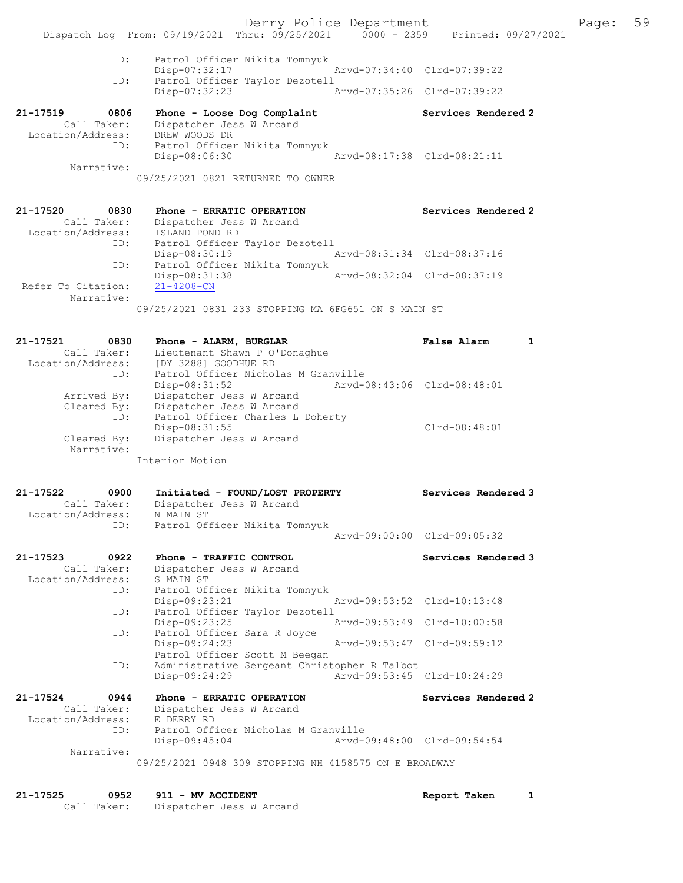Derry Police Department Fage: 59 Dispatch Log From: 09/19/2021 Thru: 09/25/2021 0000 - 2359 Printed: 09/27/2021 ID: Patrol Officer Nikita Tomnyuk Disp-07:32:17 Arvd-07:34:40 Clrd-07:39:22 ID: Patrol Officer Taylor Dezotell Disp-07:32:23 Arvd-07:35:26 Clrd-07:39:22 21-17519 0806 Phone - Loose Dog Complaint Services Rendered 2 Call Taker: Dispatcher Jess W Arcand Location/Address: DREW WOODS DR ID: Patrol Officer Nikita Tomnyuk Disp-08:06:30 Arvd-08:17:38 Clrd-08:21:11 Narrative: 09/25/2021 0821 RETURNED TO OWNER 21-17520 0830 Phone - ERRATIC OPERATION Services Rendered 2 Call Taker: Dispatcher Jess W Arcand Location/Address: ISLAND POND RD ID: Patrol Officer Taylor Dezotell Disp-08:30:19 Arvd-08:31:34 Clrd-08:37:16 ID: Patrol Officer Nikita Tomnyuk Disp-08:31:38 Arvd-08:32:04 Clrd-08:37:19 Refer To Citation: 21-4208-CN Narrative: 09/25/2021 0831 233 STOPPING MA 6FG651 ON S MAIN ST 21-17521 0830 Phone - ALARM, BURGLAR False Alarm 1 Call Taker: Lieutenant Shawn P O'Donaghue Location/Address: [DY 3288] GOODHUE RD ID: Patrol Officer Nicholas M Granville Disp-08:31:52 Arvd-08:43:06 Clrd-08:48:01 Arrived By: Dispatcher Jess W Arcand Cleared By: Dispatcher Jess W Arcand ID: Patrol Officer Charles L Doherty Disp-08:31:55 Clrd-08:48:01 Cleared By: Dispatcher Jess W Arcand Narrative: Interior Motion 21-17522 0900 Initiated - FOUND/LOST PROPERTY Services Rendered 3 Call Taker: Dispatcher Jess W Arcand Location/Address: N MAIN ST ID: Patrol Officer Nikita Tomnyuk Arvd-09:00:00 Clrd-09:05:32 21-17523 0922 Phone - TRAFFIC CONTROL Services Rendered 3 Call Taker: Dispatcher Jess W Arcand Location/Address: S MAIN ST ID: Patrol Officer Nikita Tomnyuk Disp-09:23:21 Arvd-09:53:52 Clrd-10:13:48 ID: Patrol Officer Taylor Dezotell Disp-09:23:25 Arvd-09:53:49 Clrd-10:00:58 ID: Patrol Officer Sara R Joyce<br>Disp-09:24:23 Arvd-09:53:47 Clrd-09:59:12 Patrol Officer Scott M Beegan ID: Administrative Sergeant Christopher R Talbot Disp-09:24:29 Arvd-09:53:45 Clrd-10:24:29 21-17524 0944 Phone - ERRATIC OPERATION Services Rendered 2 Call Taker: Dispatcher Jess W Arcand Location/Address: E DERRY RD ID: Patrol Officer Nicholas M Granville Disp-09:45:04 Arvd-09:48:00 Clrd-09:54:54 Narrative: 09/25/2021 0948 309 STOPPING NH 4158575 ON E BROADWAY

21-17525 0952 911 - MV ACCIDENT Report Taken 1 Call Taker: Dispatcher Jess W Arcand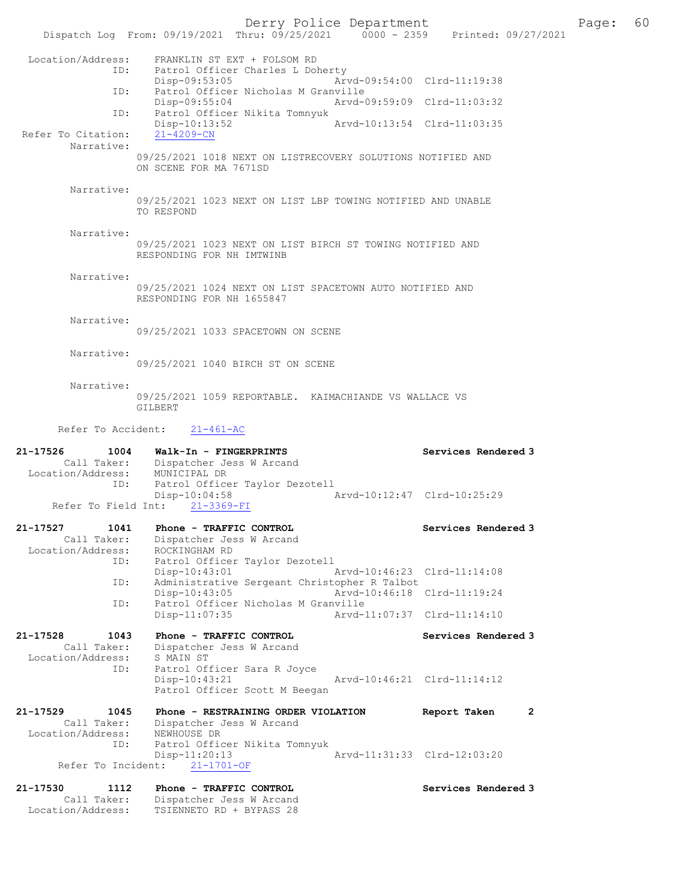Derry Police Department Fage: 60 Dispatch Log From: 09/19/2021 Thru: 09/25/2021 0000 - 2359 Printed: 09/27/2021 Location/Address: FRANKLIN ST EXT + FOLSOM RD<br>ID: Patrol Officer Charles L Dol Patrol Officer Charles L Doherty Disp-09:53:05 Arvd-09:54:00 Clrd-11:19:38 ID: Patrol Officer Nicholas M Granville<br>Disp-09:55:04 Arvd-0 Disp-09:55:04 Arvd-09:59:09 Clrd-11:03:32 ID: Patrol Officer Nikita Tomnyuk Disp-10:13:52 Arvd-10:13:54 Clrd-11:03:35 Refer To Citation: Narrative: 09/25/2021 1018 NEXT ON LISTRECOVERY SOLUTIONS NOTIFIED AND ON SCENE FOR MA 7671SD Narrative: 09/25/2021 1023 NEXT ON LIST LBP TOWING NOTIFIED AND UNABLE TO RESPOND Narrative: 09/25/2021 1023 NEXT ON LIST BIRCH ST TOWING NOTIFIED AND RESPONDING FOR NH IMTWINB Narrative: 09/25/2021 1024 NEXT ON LIST SPACETOWN AUTO NOTIFIED AND RESPONDING FOR NH 1655847 Narrative: 09/25/2021 1033 SPACETOWN ON SCENE Narrative: 09/25/2021 1040 BIRCH ST ON SCENE Narrative: 09/25/2021 1059 REPORTABLE. KAIMACHIANDE VS WALLACE VS GILBERT Refer To Accident: 21-461-AC 21-17526 1004 Walk-In - FINGERPRINTS Services Rendered 3 Call Taker: Dispatcher Jess W Arcand Location/Address: MUNICIPAL DR ID: Patrol Officer Taylor Dezotell Disp-10:04:58 Arvd-10:12:47 Clrd-10:25:29 Refer To Field Int: 21-3369-FI 21-17527 1041 Phone - TRAFFIC CONTROL Services Rendered 3 Call Taker: Dispatcher Jess W Arcand Location/Address: ROCKINGHAM RD ID: Patrol Officer Taylor Dezotell Disp-10:43:01 Arvd-10:46:23 Clrd-11:14:08 ID: Administrative Sergeant Christopher R Talbot Disp-10:43:05 Arvd-10:46:18 Clrd-11:19:24 ID: Patrol Officer Nicholas M Granville Disp-11:07:35 Arvd-11:07:37 Clrd-11:14:10 21-17528 1043 Phone - TRAFFIC CONTROL Services Rendered 3 Call Taker: Dispatcher Jess W Arcand Location/Address: S MAIN ST ID: Patrol Officer Sara R Joyce<br>Disp-10:43:21 Disp-10:43:21 Arvd-10:46:21 Clrd-11:14:12 Patrol Officer Scott M Beegan 21-17529 1045 Phone - RESTRAINING ORDER VIOLATION Report Taken 2 Call Taker: Dispatcher Jess W Arcand Location/Address: NEWHOUSE DR ID: Patrol Officer Nikita Tomnyuk Disp-11:20:13 Arvd-11:31:33 Clrd-12:03:20 Refer To Incident: 21-1701-OF 21-17530 1112 Phone - TRAFFIC CONTROL Services Rendered 3

 Call Taker: Dispatcher Jess W Arcand Location/Address: TSIENNETO RD + BYPASS 28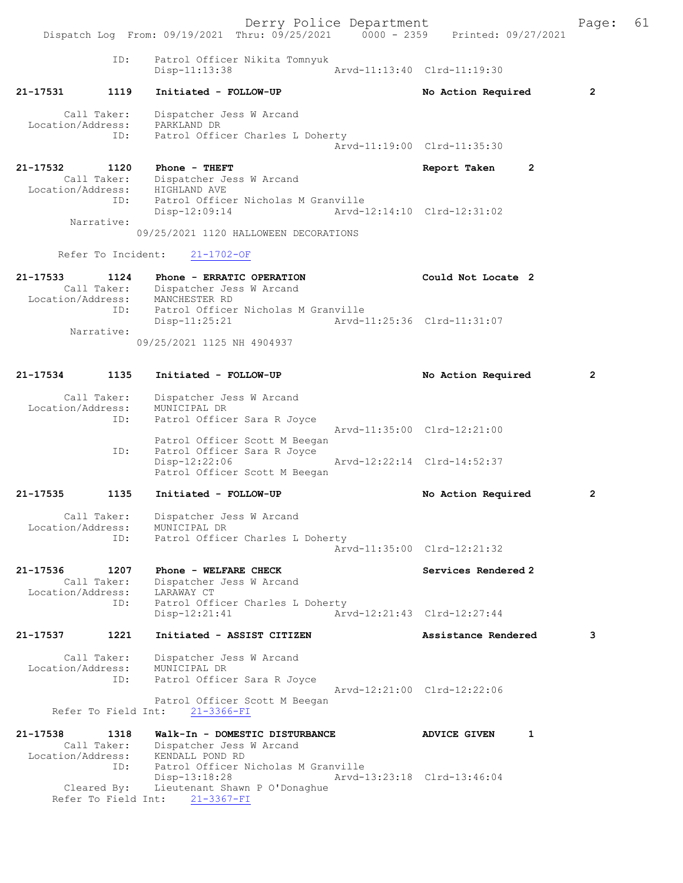Derry Police Department Fage: 61 Dispatch Log From: 09/19/2021 Thru: 09/25/2021 0000 - 2359 Printed: 09/27/2021 ID: Patrol Officer Nikita Tomnyuk Disp-11:13:38 Arvd-11:13:40 Clrd-11:19:30 21-17531 1119 Initiated - FOLLOW-UP No Action Required 2 Call Taker: Dispatcher Jess W Arcand Location/Address: PARKLAND DR ID: Patrol Officer Charles L Doherty Arvd-11:19:00 Clrd-11:35:30 21-17532 1120 Phone - THEFT Report Taken 2 Call Taker: Dispatcher Jess W Arcand Location/Address: HIGHLAND AVE ID: Patrol Officer Nicholas M Granville Disp-12:09:14 Arvd-12:14:10 Clrd-12:31:02 Narrative: 09/25/2021 1120 HALLOWEEN DECORATIONS Refer To Incident: 21-1702-OF 21-17533 1124 Phone - ERRATIC OPERATION Could Not Locate 2 Call Taker: Dispatcher Jess W Arcand Location/Address: MANCHESTER RD ID: Patrol Officer Nicholas M Granville Disp-11:25:21 Arvd-11:25:36 Clrd-11:31:07 Narrative: 09/25/2021 1125 NH 4904937 21-17534 1135 Initiated - FOLLOW-UP No Action Required 2 Call Taker: Dispatcher Jess W Arcand Location/Address: MUNICIPAL DR<br>TD: Patrol Office Patrol Officer Sara R Joyce Arvd-11:35:00 Clrd-12:21:00 Patrol Officer Scott M Beegan ID: Patrol Officer Sara R Joyce Disp-12:22:06 Arvd-12:22:14 Clrd-14:52:37 Patrol Officer Scott M Beegan 21-17535 1135 Initiated - FOLLOW-UP No Action Required 2 Call Taker: Dispatcher Jess W Arcand Location/Address: MUNICIPAL DR ID: Patrol Officer Charles L Doherty Arvd-11:35:00 Clrd-12:21:32 21-17536 1207 Phone - WELFARE CHECK Services Rendered 2 Call Taker: Dispatcher Jess W Arcand Location/Address: LARAWAY CT ID: Patrol Officer Charles L Doherty Disp-12:21:41 Arvd-12:21:43 Clrd-12:27:44 21-17537 1221 Initiated - ASSIST CITIZEN Assistance Rendered 3 Call Taker: Dispatcher Jess W Arcand Location/Address: MUNICIPAL DR<br>TD: Patrol Office Patrol Officer Sara R Joyce Arvd-12:21:00 Clrd-12:22:06 Patrol Officer Scott M Beegan Refer To Field Int: 21-3366-FI 21-17538 1318 Walk-In - DOMESTIC DISTURBANCE ADVICE GIVEN 1 Call Taker: Dispatcher Jess W Arcand Location/Address: KENDALL POND RD ID: Patrol Officer Nicholas M Granville Disp-13:18:28 Arvd-13:23:18 Clrd-13:46:04 Cleared By: Lieutenant Shawn P O'Donaghue Refer To Field Int: 21-3367-FI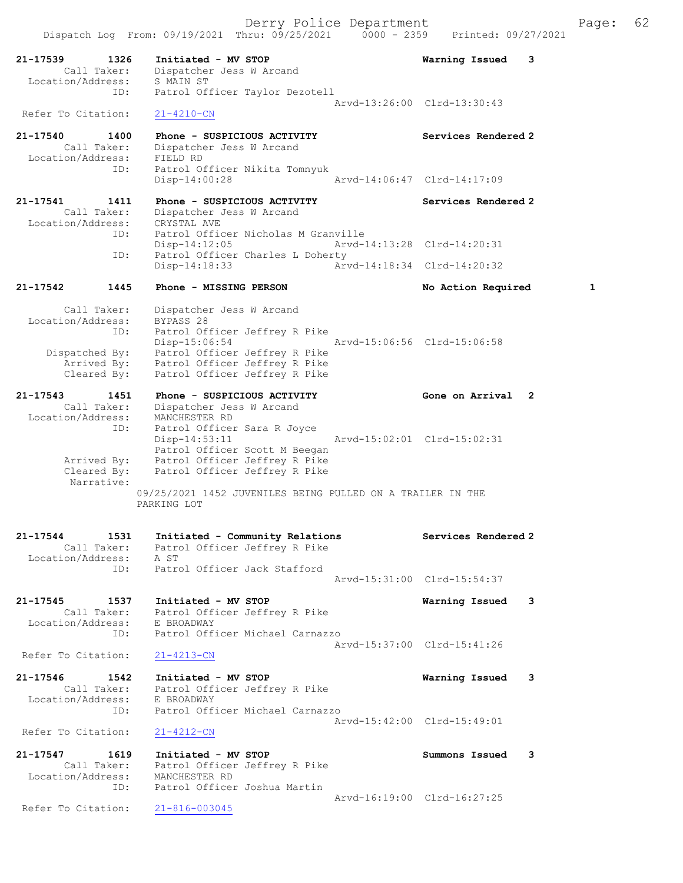| 21-17539<br>1326<br>Call Taker:<br>Location/Address: | Initiated - MV STOP<br>Dispatcher Jess W Arcand<br>S MAIN ST                                                       | 3<br>Warning Issued         |
|------------------------------------------------------|--------------------------------------------------------------------------------------------------------------------|-----------------------------|
| ID:<br>Refer To Citation:                            | Patrol Officer Taylor Dezotell<br>$21 - 4210 - CN$                                                                 | Arvd-13:26:00 Clrd-13:30:43 |
| 21-17540<br>1400<br>Call Taker:                      | Phone - SUSPICIOUS ACTIVITY<br>Dispatcher Jess W Arcand                                                            | Services Rendered 2         |
| Location/Address:<br>ID:                             | FIELD RD<br>Patrol Officer Nikita Tomnyuk                                                                          |                             |
|                                                      | $Disp-14:00:28$                                                                                                    | Arvd-14:06:47 Clrd-14:17:09 |
| 21-17541<br>1411<br>Call Taker:<br>Location/Address: | Phone - SUSPICIOUS ACTIVITY<br>Dispatcher Jess W Arcand<br>CRYSTAL AVE                                             | Services Rendered 2         |
| ID:                                                  | Patrol Officer Nicholas M Granville<br>$Disp-14:12:05$                                                             | Arvd-14:13:28 Clrd-14:20:31 |
| ID:                                                  | Patrol Officer Charles L Doherty<br>Disp-14:18:33                                                                  | Arvd-14:18:34 Clrd-14:20:32 |
| $21 - 17542$<br>1445                                 | Phone - MISSING PERSON                                                                                             | 1<br>No Action Required     |
| Call Taker:<br>Location/Address:                     | Dispatcher Jess W Arcand<br>BYPASS 28                                                                              |                             |
| ID:<br>Dispatched By:                                | Patrol Officer Jeffrey R Pike<br>$Disp-15:06:54$<br>Patrol Officer Jeffrey R Pike                                  | Arvd-15:06:56 Clrd-15:06:58 |
| Arrived By:<br>Cleared By:                           | Patrol Officer Jeffrey R Pike<br>Patrol Officer Jeffrey R Pike                                                     |                             |
| 21-17543<br>1451                                     | Phone - SUSPICIOUS ACTIVITY                                                                                        | Gone on Arrival<br>2        |
| Call Taker:<br>Location/Address:<br>ID:              | Dispatcher Jess W Arcand<br>MANCHESTER RD<br>Patrol Officer Sara R Joyce                                           |                             |
| Arrived By:<br>Cleared By:                           | $Disp-14:53:11$<br>Patrol Officer Scott M Beegan<br>Patrol Officer Jeffrey R Pike<br>Patrol Officer Jeffrey R Pike | Arvd-15:02:01 Clrd-15:02:31 |
| Narrative:                                           | 09/25/2021 1452 JUVENILES BEING PULLED ON A TRAILER IN THE<br>PARKING LOT                                          |                             |
| $21 - 17544$<br>1531                                 |                                                                                                                    | Services Rendered 2         |
| Call Taker:<br>Location/Address:                     | Initiated - Community Relations<br>Patrol Officer Jeffrey R Pike<br>A ST                                           |                             |
| ID:                                                  | Patrol Officer Jack Stafford                                                                                       | Arvd-15:31:00 Clrd-15:54:37 |
| 21-17545<br>1537<br>Call Taker:<br>Location/Address: | Initiated - MV STOP<br>Patrol Officer Jeffrey R Pike<br>E BROADWAY                                                 | Warning Issued<br>3         |
| ID:<br>Refer To Citation:                            | Patrol Officer Michael Carnazzo<br>$21 - 4213 - CN$                                                                | Arvd-15:37:00 Clrd-15:41:26 |
| 21-17546<br>1542                                     | Initiated - MV STOP                                                                                                | Warning Issued<br>3         |
| Call Taker:<br>Location/Address:<br>ID:              | Patrol Officer Jeffrey R Pike<br>E BROADWAY<br>Patrol Officer Michael Carnazzo                                     |                             |
| Refer To Citation:                                   | $21 - 4212 - CN$                                                                                                   | Arvd-15:42:00 Clrd-15:49:01 |
| 21-17547<br>1619<br>Call Taker:                      | Initiated - MV STOP<br>Patrol Officer Jeffrey R Pike                                                               | Summons Issued<br>3         |
| Location/Address:<br>ID:                             | MANCHESTER RD<br>Patrol Officer Joshua Martin                                                                      |                             |
| Refer To Citation:                                   | $21 - 816 - 003045$                                                                                                | Arvd-16:19:00 Clrd-16:27:25 |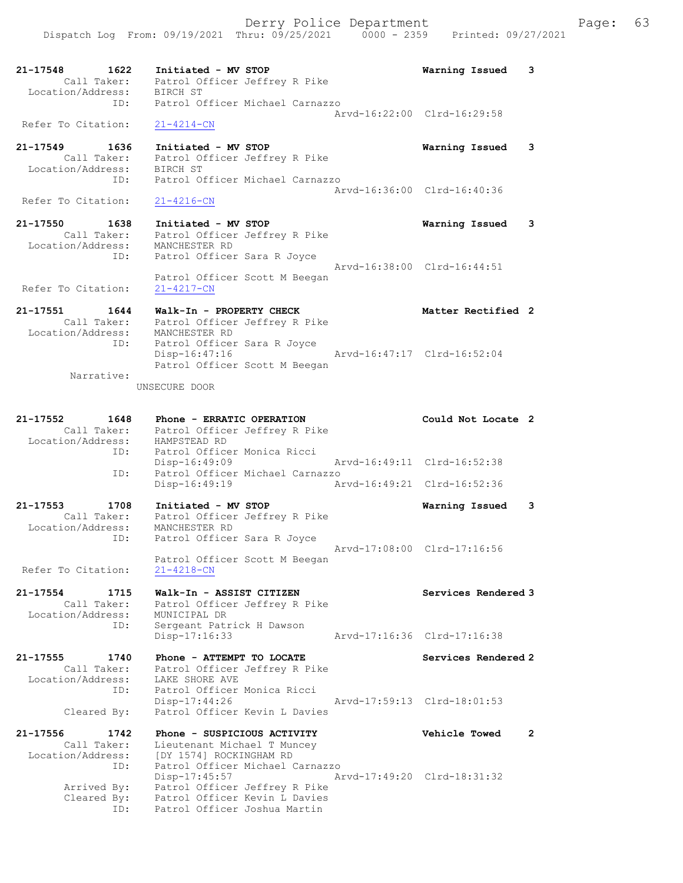21-17548 1622 Initiated - MV STOP Warning Issued 3

 Call Taker: Patrol Officer Jeffrey R Pike Location/Address: BIRCH ST ID: Patrol Officer Michael Carnazzo Arvd-16:22:00 Clrd-16:29:58 Refer To Citation: 21-4214-CN 21-17549 1636 Initiated - MV STOP Warning Issued 3 Call Taker: Patrol Officer Jeffrey R Pike Location/Address: BIRCH ST ID: Patrol Officer Michael Carnazzo Arvd-16:36:00 Clrd-16:40:36 Refer To Citation: 21-4216-CN 21-17550 1638 Initiated - MV STOP Warning Issued 3 Call Taker: Patrol Officer Jeffrey R Pike Location/Address: MANCHESTER RD ID: Patrol Officer Sara R Joyce Arvd-16:38:00 Clrd-16:44:51 Patrol Officer Scott M Beegan Refer To Citation: 21-4217-CN 21-17551 1644 Walk-In - PROPERTY CHECK Nether Rectified 2 Call Taker: Patrol Officer Jeffrey R Pike Location/Address: MANCHESTER RD ID: Patrol Officer Sara R Joyce Disp-16:47:16 Arvd-16:47:17 Clrd-16:52:04 Patrol Officer Scott M Beegan Narrative: UNSECURE DOOR 21-17552 1648 Phone - ERRATIC OPERATION Could Not Locate 2 Call Taker: Patrol Officer Jeffrey R Pike Location/Address: HAMPSTEAD RD ID: Patrol Officer Monica Ricci Disp-16:49:09 Arvd-16:49:11 Clrd-16:52:38 ID: Patrol Officer Michael Carnazzo Disp-16:49:19 Arvd-16:49:21 Clrd-16:52:36 21-17553 1708 Initiated - MV STOP Warning Issued 3 Call Taker: Patrol Officer Jeffrey R Pike Location/Address: MANCHESTER RD ID: Patrol Officer Sara R Joyce Arvd-17:08:00 Clrd-17:16:56 Patrol Officer Scott M Beegan Refer To Citation: 21-4218-CN 21-17554 1715 Walk-In - ASSIST CITIZEN Nervices Rendered 3 Call Taker: Patrol Officer Jeffrey R Pike Location/Address: MUNICIPAL DR ID: Sergeant Patrick H Dawson Disp-17:16:33 Arvd-17:16:36 Clrd-17:16:38 21-17555 1740 Phone - ATTEMPT TO LOCATE North Services Rendered 2 Call Taker: Patrol Officer Jeffrey R Pike Location/Address: LAKE SHORE AVE ID: Patrol Officer Monica Ricci Disp-17:44:26 Arvd-17:59:13 Clrd-18:01:53 Cleared By: Patrol Officer Kevin L Davies 21-17556 1742 Phone - SUSPICIOUS ACTIVITY Vehicle Towed 2 Call Taker: Lieutenant Michael T Muncey Location/Address: [DY 1574] ROCKINGHAM RD ID: Patrol Officer Michael Carnazzo Disp-17:45:57 Arvd-17:49:20 Clrd-18:31:32 Arrived By: Patrol Officer Jeffrey R Pike Cleared By: Patrol Officer Kevin L Davies ID: Patrol Officer Joshua Martin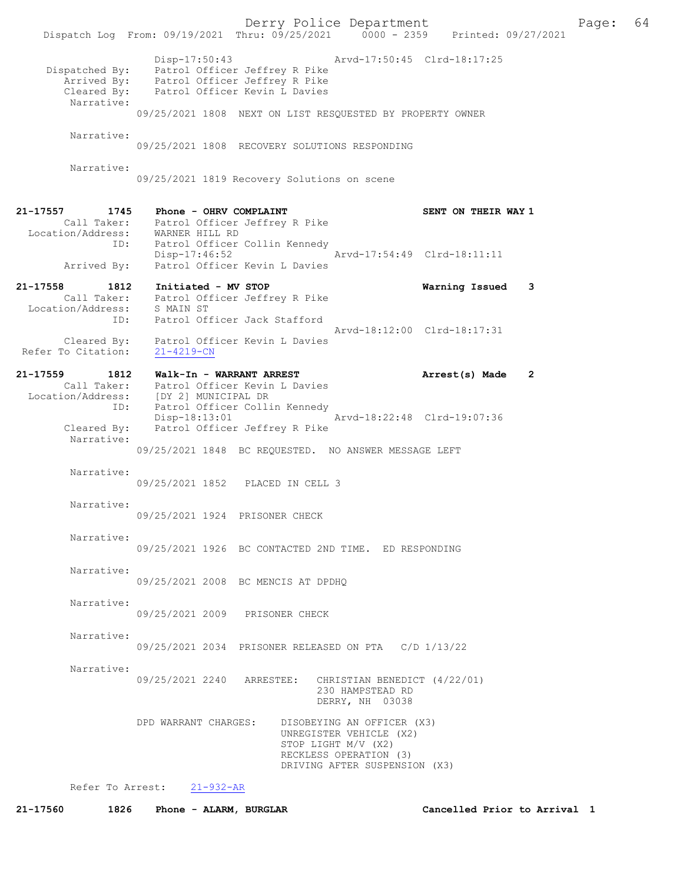Derry Police Department The Page: 64 Dispatch Log From: 09/19/2021 Thru: 09/25/2021 0000 - 2359 Printed: 09/27/2021 Disp-17:50:43 Arvd-17:50:45 Clrd-18:17:25 Dispatched By: Patrol Officer Jeffrey R Pike Arrived By: Patrol Officer Jeffrey R Pike Cleared By: Patrol Officer Kevin L Davies Narrative: 09/25/2021 1808 NEXT ON LIST RESQUESTED BY PROPERTY OWNER Narrative: 09/25/2021 1808 RECOVERY SOLUTIONS RESPONDING Narrative: 09/25/2021 1819 Recovery Solutions on scene 21-17557 1745 Phone - OHRV COMPLAINT SENT ON THEIR WAY 1 Call Taker: Patrol Officer Jeffrey R Pike Location/Address: WARNER HILL RD ID: Patrol Officer Collin Kennedy<br>Disp-17:46:52 Disp-17:46:52 Arvd-17:54:49 Clrd-18:11:11 Arrived By: Patrol Officer Kevin L Davies 21-17558 1812 Initiated - MV STOP Warning Issued 3 Call Taker: Patrol Officer Jeffrey R Pike Location/Address: S MAIN ST ID: Patrol Officer Jack Stafford Arvd-18:12:00 Clrd-18:17:31 Cleared By: Patrol Officer Kevin L Davies Refer To Citation: 21-4219-CN 21-17559 1812 Walk-In - WARRANT ARREST Arrest(s) Made 2 Call Taker: Patrol Officer Kevin L Davies Location/Address: [DY 2] MUNICIPAL DR ID: Patrol Officer Collin Kennedy Disp-18:13:01 Arvd-18:22:48 Clrd-19:07:36 Cleared By: Patrol Officer Jeffrey R Pike Narrative: 09/25/2021 1848 BC REQUESTED. NO ANSWER MESSAGE LEFT Narrative: 09/25/2021 1852 PLACED IN CELL 3 Narrative: 09/25/2021 1924 PRISONER CHECK Narrative: 09/25/2021 1926 BC CONTACTED 2ND TIME. ED RESPONDING Narrative: 09/25/2021 2008 BC MENCIS AT DPDHQ Narrative: 09/25/2021 2009 PRISONER CHECK Narrative: 09/25/2021 2034 PRISONER RELEASED ON PTA C/D 1/13/22 Narrative: 09/25/2021 2240 ARRESTEE: CHRISTIAN BENEDICT (4/22/01) 230 HAMPSTEAD RD DERRY, NH 03038 DPD WARRANT CHARGES: DISOBEYING AN OFFICER (X3) UNREGISTER VEHICLE (X2) STOP LIGHT M/V (X2) RECKLESS OPERATION (3) DRIVING AFTER SUSPENSION (X3) Refer To Arrest: 21-932-AR

21-17560 1826 Phone - ALARM, BURGLAR Cancelled Prior to Arrival 1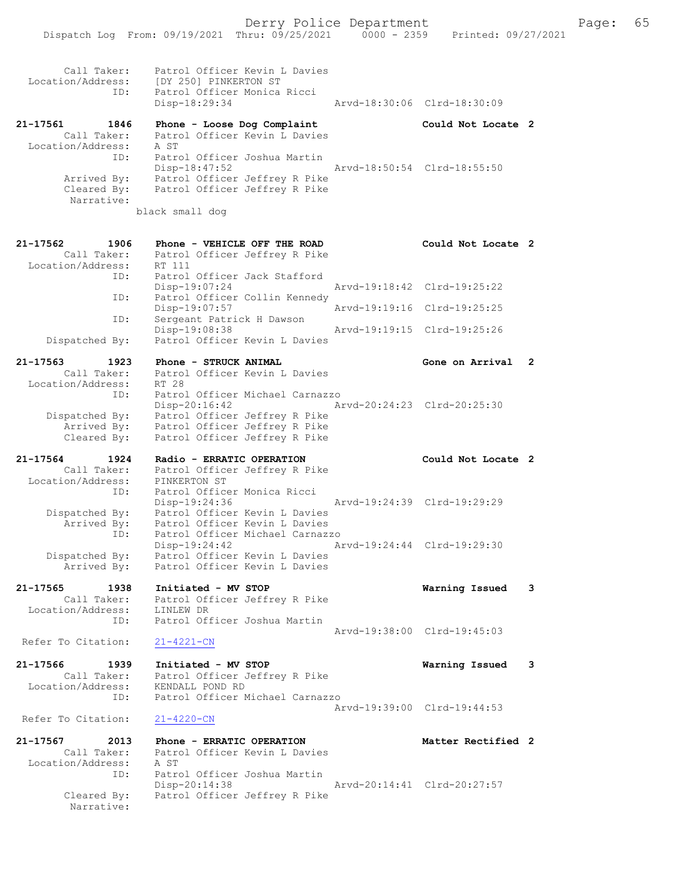| Call Taker:<br>Location/Address:         |      | Patrol Officer Kevin L Davies<br>[DY 250] PINKERTON ST         |                             |   |
|------------------------------------------|------|----------------------------------------------------------------|-----------------------------|---|
|                                          | ID:  | Patrol Officer Monica Ricci<br>Disp-18:29:34                   | Arvd-18:30:06 Clrd-18:30:09 |   |
| 21-17561                                 | 1846 | Phone - Loose Dog Complaint                                    | Could Not Locate 2          |   |
| Call Taker:                              |      | Patrol Officer Kevin L Davies                                  |                             |   |
| Location/Address:                        | ID:  | A ST<br>Patrol Officer Joshua Martin                           |                             |   |
|                                          |      | $Disp-18:47:52$                                                | Arvd-18:50:54 Clrd-18:55:50 |   |
| Arrived By:<br>Cleared By:<br>Narrative: |      | Patrol Officer Jeffrey R Pike<br>Patrol Officer Jeffrey R Pike |                             |   |
|                                          |      | black small dog                                                |                             |   |
| 21-17562                                 | 1906 | Phone - VEHICLE OFF THE ROAD                                   | Could Not Locate 2          |   |
| Call Taker:                              |      | Patrol Officer Jeffrey R Pike                                  |                             |   |
| Location/Address:                        |      | RT 111                                                         |                             |   |
|                                          | ID:  | Patrol Officer Jack Stafford<br>Disp-19:07:24                  | Arvd-19:18:42 Clrd-19:25:22 |   |
|                                          | ID:  | Patrol Officer Collin Kennedy                                  |                             |   |
|                                          | ID:  | Disp-19:07:57<br>Sergeant Patrick H Dawson                     | Arvd-19:19:16 Clrd-19:25:25 |   |
|                                          |      | Disp-19:08:38                                                  | Arvd-19:19:15 Clrd-19:25:26 |   |
| Dispatched By:                           |      | Patrol Officer Kevin L Davies                                  |                             |   |
| $21 - 17563$                             | 1923 | Phone - STRUCK ANIMAL                                          | Gone on Arrival             | 2 |
| Call Taker:<br>Location/Address:         |      | Patrol Officer Kevin L Davies                                  |                             |   |
|                                          | ID:  | RT 28<br>Patrol Officer Michael Carnazzo                       |                             |   |
|                                          |      | $Disp-20:16:42$                                                | Arvd-20:24:23 Clrd-20:25:30 |   |
| Dispatched By:<br>Arrived By:            |      | Patrol Officer Jeffrey R Pike<br>Patrol Officer Jeffrey R Pike |                             |   |
| Cleared By:                              |      | Patrol Officer Jeffrey R Pike                                  |                             |   |
| 21-17564                                 | 1924 | Radio - ERRATIC OPERATION                                      | Could Not Locate 2          |   |
| Call Taker:                              |      | Patrol Officer Jeffrey R Pike                                  |                             |   |
| Location/Address:                        | ID:  | PINKERTON ST                                                   |                             |   |
|                                          |      | Patrol Officer Monica Ricci                                    |                             |   |
|                                          |      | Disp-19:24:36                                                  | Arvd-19:24:39 Clrd-19:29:29 |   |
| Dispatched By:                           |      | Patrol Officer Kevin L Davies                                  |                             |   |
| Arrived By:                              |      | Patrol Officer Kevin L Davies                                  |                             |   |
|                                          | ID:  | Patrol Officer Michael Carnazzo<br>Disp-19:24:42               | Arvd-19:24:44 Clrd-19:29:30 |   |
| Dispatched By:                           |      | Patrol Officer Kevin L Davies                                  |                             |   |
| Arrived By:                              |      | Patrol Officer Kevin L Davies                                  |                             |   |
| 21-17565                                 | 1938 | Initiated - MV STOP                                            | Warning Issued              | 3 |
| Call Taker:                              |      | Patrol Officer Jeffrey R Pike                                  |                             |   |
| Location/Address:                        | ID:  | LINLEW DR<br>Patrol Officer Joshua Martin                      |                             |   |
| Refer To Citation:                       |      | $21 - 4221 - CN$                                               | Arvd-19:38:00 Clrd-19:45:03 |   |
| 21-17566                                 | 1939 | Initiated - MV STOP                                            | Warning Issued              | 3 |
| Call Taker:                              |      | Patrol Officer Jeffrey R Pike                                  |                             |   |
| Location/Address:                        | ID:  | KENDALL POND RD<br>Patrol Officer Michael Carnazzo             |                             |   |
| Refer To Citation:                       |      | $21 - 4220 - CN$                                               | Arvd-19:39:00 Clrd-19:44:53 |   |
|                                          |      |                                                                |                             |   |
| 21-17567<br>Call Taker:                  | 2013 | Phone - ERRATIC OPERATION                                      | Matter Rectified 2          |   |
| Location/Address:                        |      | Patrol Officer Kevin L Davies<br>A ST                          |                             |   |
|                                          | ID:  | Patrol Officer Joshua Martin                                   |                             |   |
| Cleared By:                              |      | Disp-20:14:38<br>Patrol Officer Jeffrey R Pike                 | Arvd-20:14:41 Clrd-20:27:57 |   |
| Narrative:                               |      |                                                                |                             |   |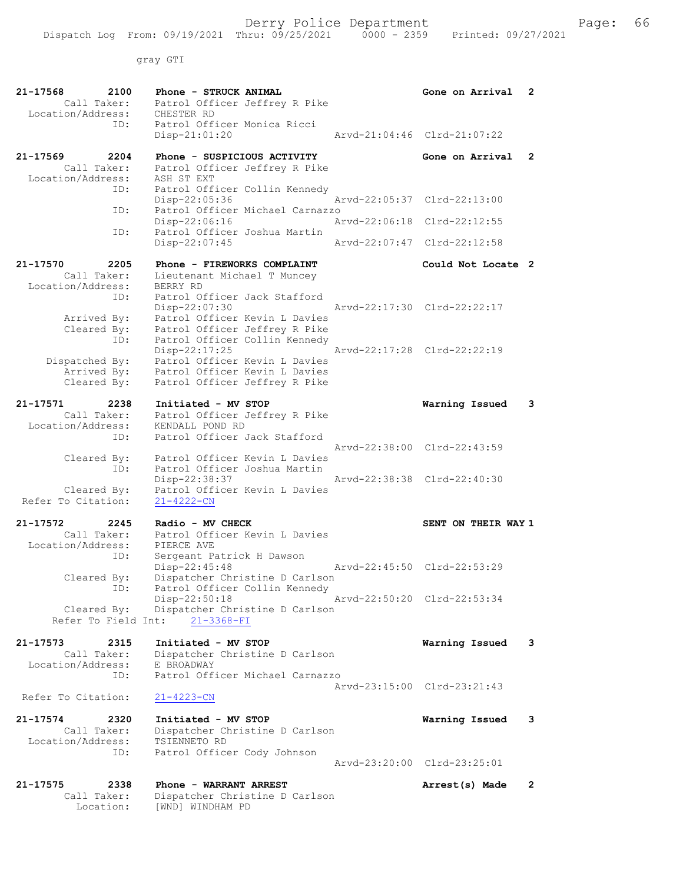gray GTI

| 21-17568<br>2100<br>Call Taker:<br>Location/Address: | Phone - STRUCK ANIMAL<br>Patrol Officer Jeffrey R Pike<br>CHESTER RD | Gone on Arrival             | 2              |
|------------------------------------------------------|----------------------------------------------------------------------|-----------------------------|----------------|
| ID:                                                  | Patrol Officer Monica Ricci<br>$Disp-21:01:20$                       | Arvd-21:04:46 Clrd-21:07:22 |                |
| 21-17569<br>2204                                     | Phone - SUSPICIOUS ACTIVITY                                          | Gone on Arrival             | $\overline{2}$ |
| Call Taker:<br>Location/Address:                     | Patrol Officer Jeffrey R Pike<br>ASH ST EXT                          |                             |                |
| ID:                                                  | Patrol Officer Collin Kennedy<br>Disp-22:05:36                       | Arvd-22:05:37 Clrd-22:13:00 |                |
| ID:                                                  | Patrol Officer Michael Carnazzo<br>Disp-22:06:16                     | Arvd-22:06:18 Clrd-22:12:55 |                |
| ID:                                                  | Patrol Officer Joshua Martin<br>Disp-22:07:45                        | Arvd-22:07:47 Clrd-22:12:58 |                |
|                                                      |                                                                      |                             |                |
| 21-17570<br>2205<br>Call Taker:                      | Phone - FIREWORKS COMPLAINT<br>Lieutenant Michael T Muncey           | Could Not Locate 2          |                |
| Location/Address:                                    | BERRY RD                                                             |                             |                |
| ID:                                                  | Patrol Officer Jack Stafford<br>Disp-22:07:30                        | Arvd-22:17:30 Clrd-22:22:17 |                |
| Arrived By:                                          | Patrol Officer Kevin L Davies                                        |                             |                |
| Cleared By:                                          | Patrol Officer Jeffrey R Pike                                        |                             |                |
| ID:                                                  | Patrol Officer Collin Kennedy<br>$Disp-22:17:25$                     | Arvd-22:17:28 Clrd-22:22:19 |                |
| Dispatched By:                                       | Patrol Officer Kevin L Davies                                        |                             |                |
| Arrived By:                                          | Patrol Officer Kevin L Davies                                        |                             |                |
| Cleared By:                                          | Patrol Officer Jeffrey R Pike                                        |                             |                |
| $21 - 17571$<br>2238                                 | Initiated - MV STOP                                                  | Warning Issued              | 3              |
| Call Taker:                                          | Patrol Officer Jeffrey R Pike                                        |                             |                |
| Location/Address:<br>ID:                             | KENDALL POND RD<br>Patrol Officer Jack Stafford                      |                             |                |
|                                                      |                                                                      | Arvd-22:38:00 Clrd-22:43:59 |                |
| Cleared By:                                          | Patrol Officer Kevin L Davies                                        |                             |                |
| ID:                                                  | Patrol Officer Joshua Martin<br>Disp-22:38:37                        | Arvd-22:38:38 Clrd-22:40:30 |                |
| Cleared By:<br>Refer To Citation:                    | Patrol Officer Kevin L Davies<br>$21 - 4222 - CN$                    |                             |                |
| 21-17572<br>2245                                     | Radio - MV CHECK                                                     | SENT ON THEIR WAY 1         |                |
| Call Taker:                                          | Patrol Officer Kevin L Davies                                        |                             |                |
| Location/Address:<br>ID:                             | PIERCE AVE<br>Sergeant Patrick H Dawson                              |                             |                |
| Cleared By:                                          | Disp-22:45:48<br>Dispatcher Christine D Carlson                      | Arvd-22:45:50 Clrd-22:53:29 |                |
| ID:                                                  | Patrol Officer Collin Kennedy                                        |                             |                |
| Cleared By:                                          | Disp-22:50:18<br>Dispatcher Christine D Carlson                      | Arvd-22:50:20 Clrd-22:53:34 |                |
| Refer To Field Int:                                  | $21 - 3368 - FI$                                                     |                             |                |
| 21-17573<br>2315                                     | Initiated - MV STOP                                                  | Warning Issued              | 3              |
| Call Taker:                                          | Dispatcher Christine D Carlson                                       |                             |                |
| Location/Address:                                    | E BROADWAY<br>Patrol Officer Michael Carnazzo                        |                             |                |
| ID:                                                  |                                                                      | Arvd-23:15:00 Clrd-23:21:43 |                |
| Refer To Citation:                                   | $21 - 4223 - CN$                                                     |                             |                |
| 21-17574<br>2320                                     | Initiated - MV STOP                                                  | Warning Issued              | 3              |
| Call Taker:                                          | Dispatcher Christine D Carlson                                       |                             |                |
| Location/Address:<br>ID:                             | TSIENNETO RD<br>Patrol Officer Cody Johnson                          |                             |                |
|                                                      |                                                                      | Arvd-23:20:00 Clrd-23:25:01 |                |
| 21-17575<br>2338                                     | Phone - WARRANT ARREST                                               | Arrest(s) Made              | $\overline{2}$ |
| Call Taker:                                          | Dispatcher Christine D Carlson                                       |                             |                |
| Location:                                            | [WND] WINDHAM PD                                                     |                             |                |